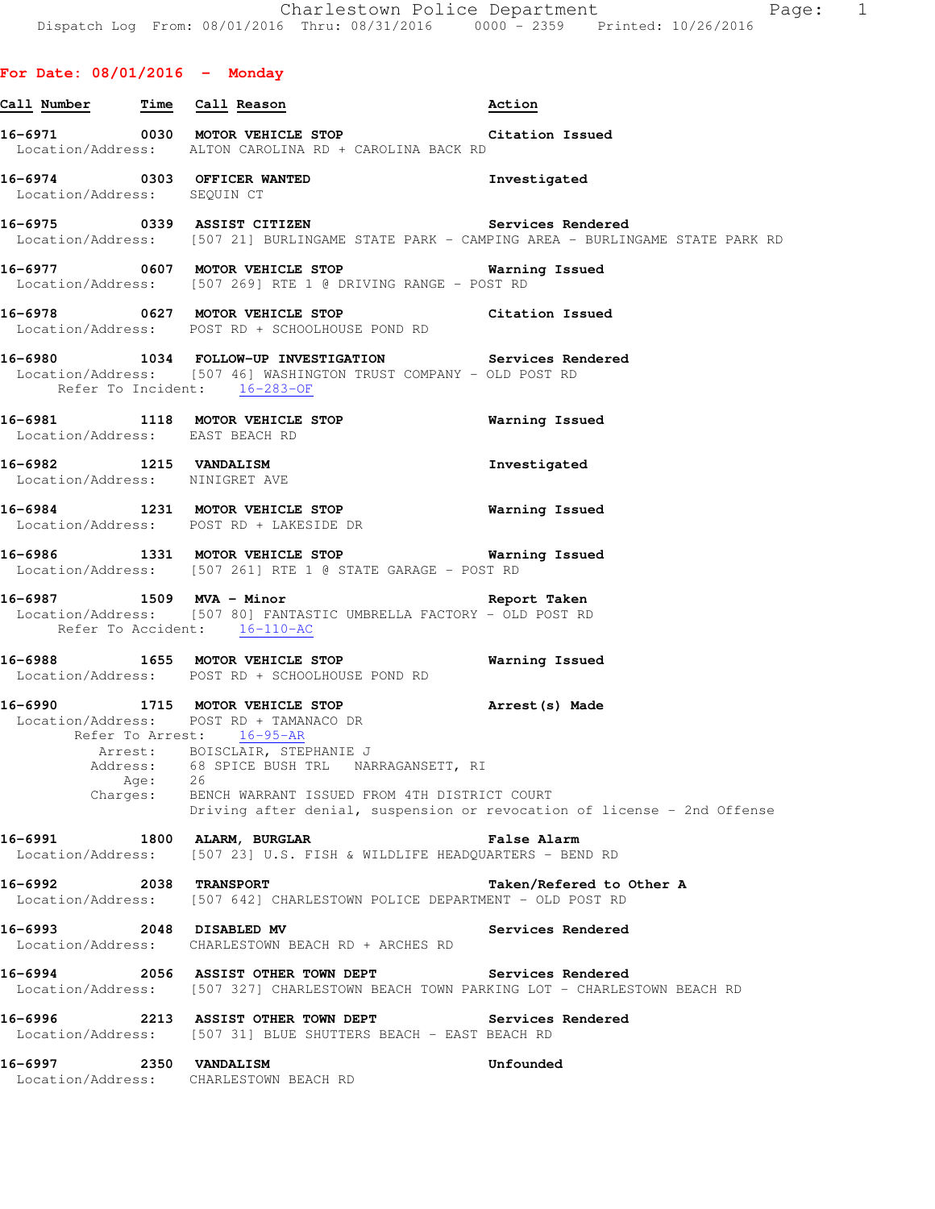# **For Date: 08/01/2016 - Monday**

| Call Number Time Call Reason                             |                  |                                                                                                                                                                                                                                                                        | Action                                                                                                                                      |
|----------------------------------------------------------|------------------|------------------------------------------------------------------------------------------------------------------------------------------------------------------------------------------------------------------------------------------------------------------------|---------------------------------------------------------------------------------------------------------------------------------------------|
|                                                          |                  | 16-6971 0030 MOTOR VEHICLE STOP Citation Issued<br>Location/Address: ALTON CAROLINA RD + CAROLINA BACK RD                                                                                                                                                              |                                                                                                                                             |
| Location/Address: SEQUIN CT                              |                  | 16-6974 0303 OFFICER WANTED                                                                                                                                                                                                                                            | Investigated                                                                                                                                |
|                                                          |                  |                                                                                                                                                                                                                                                                        | 16-6975 0339 ASSIST CITIZEN Services Rendered<br>Location/Address: [507 21] BURLINGAME STATE PARK - CAMPING AREA - BURLINGAME STATE PARK RD |
|                                                          |                  | 16-6977 0607 MOTOR VEHICLE STOP 16-6977 Warning Issued<br>Location/Address: [507 269] RTE 1 @ DRIVING RANGE - POST RD                                                                                                                                                  |                                                                                                                                             |
|                                                          |                  | 16-6978 0627 MOTOR VEHICLE STOP Citation Issued<br>Location/Address: POST RD + SCHOOLHOUSE POND RD                                                                                                                                                                     |                                                                                                                                             |
|                                                          |                  | Location/Address: [507 46] WASHINGTON TRUST COMPANY - OLD POST RD<br>Refer To Incident: 16-283-OF                                                                                                                                                                      | 16-6980 1034 FOLLOW-UP INVESTIGATION Services Rendered                                                                                      |
| Location/Address: EAST BEACH RD                          |                  | 16-6981 1118 MOTOR VEHICLE STOP 60 Warning Issued                                                                                                                                                                                                                      |                                                                                                                                             |
| 16-6982 1215 VANDALISM<br>Location/Address: NINIGRET AVE |                  |                                                                                                                                                                                                                                                                        | Investigated                                                                                                                                |
|                                                          |                  | 16-6984 1231 MOTOR VEHICLE STOP<br>Location/Address: POST RD + LAKESIDE DR                                                                                                                                                                                             | Warning Issued                                                                                                                              |
|                                                          |                  | 16-6986 1331 MOTOR VEHICLE STOP 60 Warning Issued<br>Location/Address: [507 261] RTE 1 @ STATE GARAGE - POST RD                                                                                                                                                        |                                                                                                                                             |
|                                                          |                  | 16-6987 1509 MVA - Minor 16-6987 Report Taken<br>Location/Address: [507 80] FANTASTIC UMBRELLA FACTORY - OLD POST RD<br>Refer To Accident: 16-110-AC                                                                                                                   |                                                                                                                                             |
|                                                          |                  | 16-6988 1655 MOTOR VEHICLE STOP 60 Warning Issued<br>Location/Address: POST RD + SCHOOLHOUSE POND RD                                                                                                                                                                   |                                                                                                                                             |
|                                                          | Age:<br>Charges: | 16-6990 1715 MOTOR VEHICLE STOP 16-6990 Arrest (s) Made<br>Location/Address: POST RD + TAMANACO DR<br>Refer To Arrest: 16-95-AR<br>Arrest: BOISCLAIR, STEPHANIE J<br>Address: 68 SPICE BUSH TRL NARRAGANSETT, RI<br>26<br>BENCH WARRANT ISSUED FROM 4TH DISTRICT COURT | Driving after denial, suspension or revocation of license - 2nd Offense                                                                     |
| 16-6991                                                  |                  | 1800 ALARM, BURGLAR                                                                                                                                                                                                                                                    | False Alarm<br>Location/Address: [507 23] U.S. FISH & WILDLIFE HEADQUARTERS - BEND RD                                                       |
| 16-6992                                                  |                  | <b>2038 TRANSPORT</b>                                                                                                                                                                                                                                                  | Taken/Refered to Other A<br>Location/Address: [507 642] CHARLESTOWN POLICE DEPARTMENT - OLD POST RD                                         |
| 16-6993 2048 DISABLED MV                                 |                  | Location/Address: CHARLESTOWN BEACH RD + ARCHES RD                                                                                                                                                                                                                     | Services Rendered                                                                                                                           |
|                                                          |                  | 16-6994 2056 ASSIST OTHER TOWN DEPT                                                                                                                                                                                                                                    | Services Rendered<br>Location/Address: [507 327] CHARLESTOWN BEACH TOWN PARKING LOT - CHARLESTOWN BEACH RD                                  |
|                                                          |                  | 16-6996 2213 ASSIST OTHER TOWN DEPT<br>Location/Address: [507 31] BLUE SHUTTERS BEACH - EAST BEACH RD                                                                                                                                                                  | <b>Services Rendered</b>                                                                                                                    |
| 16-6997 2350 VANDALISM                                   |                  | Location/Address: CHARLESTOWN BEACH RD                                                                                                                                                                                                                                 | Unfounded                                                                                                                                   |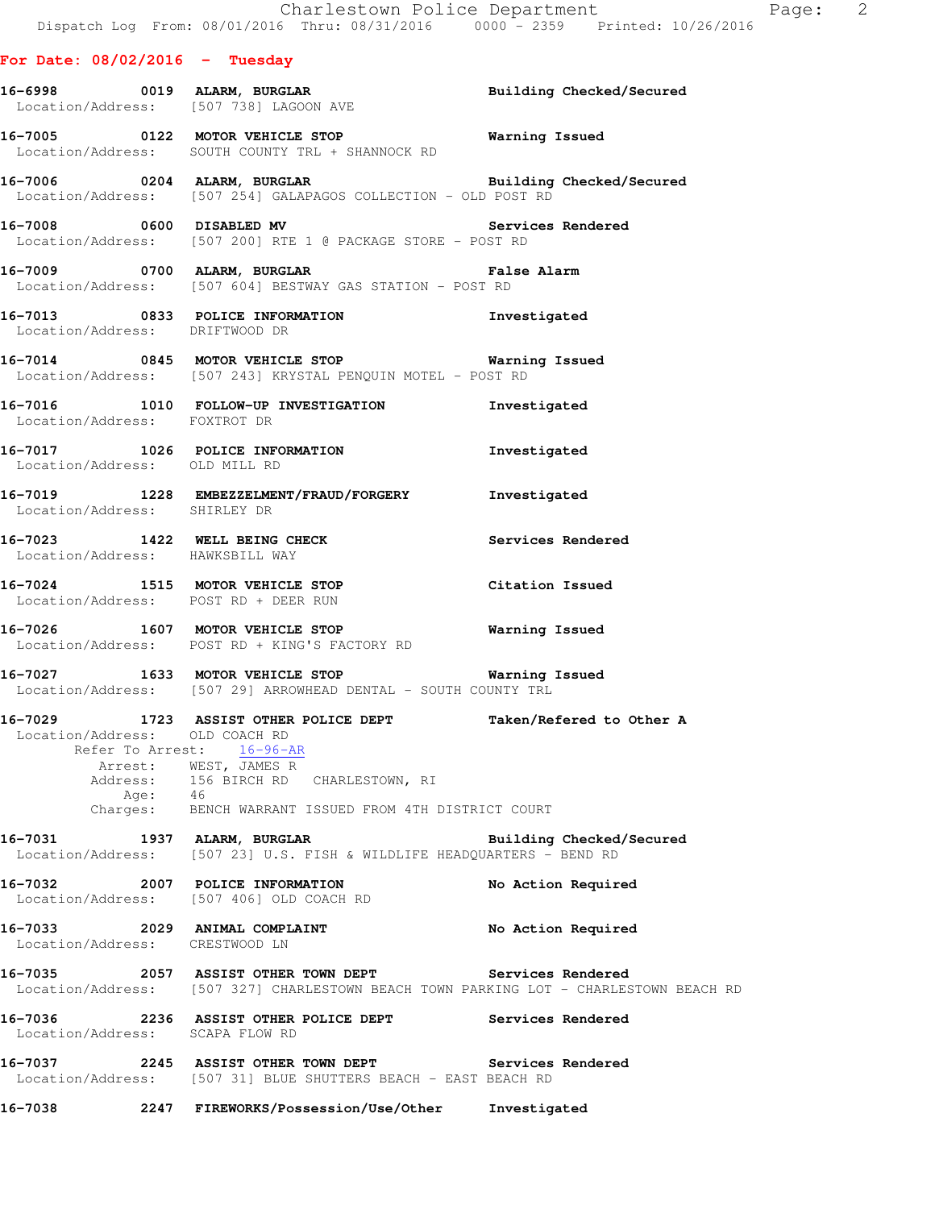| For Date: $08/02/2016$ - Tuesday |      |                                                                                                                               |                          |
|----------------------------------|------|-------------------------------------------------------------------------------------------------------------------------------|--------------------------|
|                                  |      | 16-6998 0019 ALARM, BURGLAR BURGLAR Building Checked/Secured Location/Address: [507 738] LAGOON AVE                           |                          |
|                                  |      | 16-7005 0122 MOTOR VEHICLE STOP Warning Issued<br>Location/Address: SOUTH COUNTY TRL + SHANNOCK RD                            |                          |
|                                  |      | 16-7006 0204 ALARM, BURGLAR BURGLAR Building Checked/Secured Location/Address: [507 254] GALAPAGOS COLLECTION - OLD POST RD   |                          |
|                                  |      | 16-7008 0600 DISABLED MV 3ervices Rendered<br>Location/Address: [507 200] RTE 1 @ PACKAGE STORE - POST RD                     |                          |
|                                  |      | 16-7009 0700 ALARM, BURGLAR COMPARENT Ralse Alarm<br>Location/Address: [507 604] BESTWAY GAS STATION - POST RD                |                          |
| Location/Address: DRIFTWOOD DR   |      | 16-7013 0833 POLICE INFORMATION 1nvestigated                                                                                  |                          |
|                                  |      | 16-7014 0845 MOTOR VEHICLE STOP 6 Warning Issued<br>Location/Address: [507 243] KRYSTAL PENQUIN MOTEL - POST RD               |                          |
| Location/Address: FOXTROT DR     |      | 16-7016 1010 FOLLOW-UP INVESTIGATION 1nvestigated                                                                             |                          |
|                                  |      | 16-7017 1026 POLICE INFORMATION 1nvestigated<br>Location/Address: OLD MILL RD                                                 |                          |
|                                  |      | 16-7019 1228 EMBEZZELMENT/FRAUD/FORGERY Investigated<br>Location/Address: SHIRLEY DR                                          |                          |
| Location/Address: HAWKSBILL WAY  |      | $16-7023$ 1422 WELL BEING CHECK                                                                                               | Services Rendered        |
|                                  |      | 16-7024 1515 MOTOR VEHICLE STOP<br>Location/Address: POST RD + DEER RUN                                                       | Citation Issued          |
|                                  |      | 16-7026 1607 MOTOR VEHICLE STOP<br>Location/Address: POST RD + KING'S FACTORY RD                                              | <b>Warning Issued</b>    |
|                                  |      | 16-7027 1633 MOTOR VEHICLE STOP 6 Warning Issued<br>Location/Address: [507 29] ARROWHEAD DENTAL - SOUTH COUNTY TRL            |                          |
|                                  |      | 16-7029 1723 ASSIST OTHER POLICE DEPT Taken/Refered to Other A<br>Location/Address: OLD COACH RD<br>Refer To Arrest: 16-96-AR |                          |
| Address:                         | Age: | Arrest: WEST, JAMES R<br>156 BIRCH RD CHARLESTOWN, RI<br>46                                                                   |                          |
| Charges:                         |      | BENCH WARRANT ISSUED FROM 4TH DISTRICT COURT                                                                                  |                          |
| 16-7031<br>Location/Address:     |      | 1937 ALARM, BURGLAR<br>[507 23] U.S. FISH & WILDLIFE HEADOUARTERS - BEND RD                                                   | Building Checked/Secured |
| 16-7032                          |      | 2007 POLICE INFORMATION                                                                                                       | No Action Required       |

16-7033 2029 ANIMAL COMPLAINT **No Action Required** Location/Address: CRESTWOOD LN

Location/Address: [507 406] OLD COACH RD

**16-7035 2057 ASSIST OTHER TOWN DEPT Services Rendered**  Location/Address: [507 327] CHARLESTOWN BEACH TOWN PARKING LOT - CHARLESTOWN BEACH RD

**16-7036 2236 ASSIST OTHER POLICE DEPT Services Rendered**  Location/Address: SCAPA FLOW RD

**16-7037 2245 ASSIST OTHER TOWN DEPT Services Rendered**  Location/Address: [507 31] BLUE SHUTTERS BEACH - EAST BEACH RD

**16-7038 2247 FIREWORKS/Possession/Use/Other Investigated**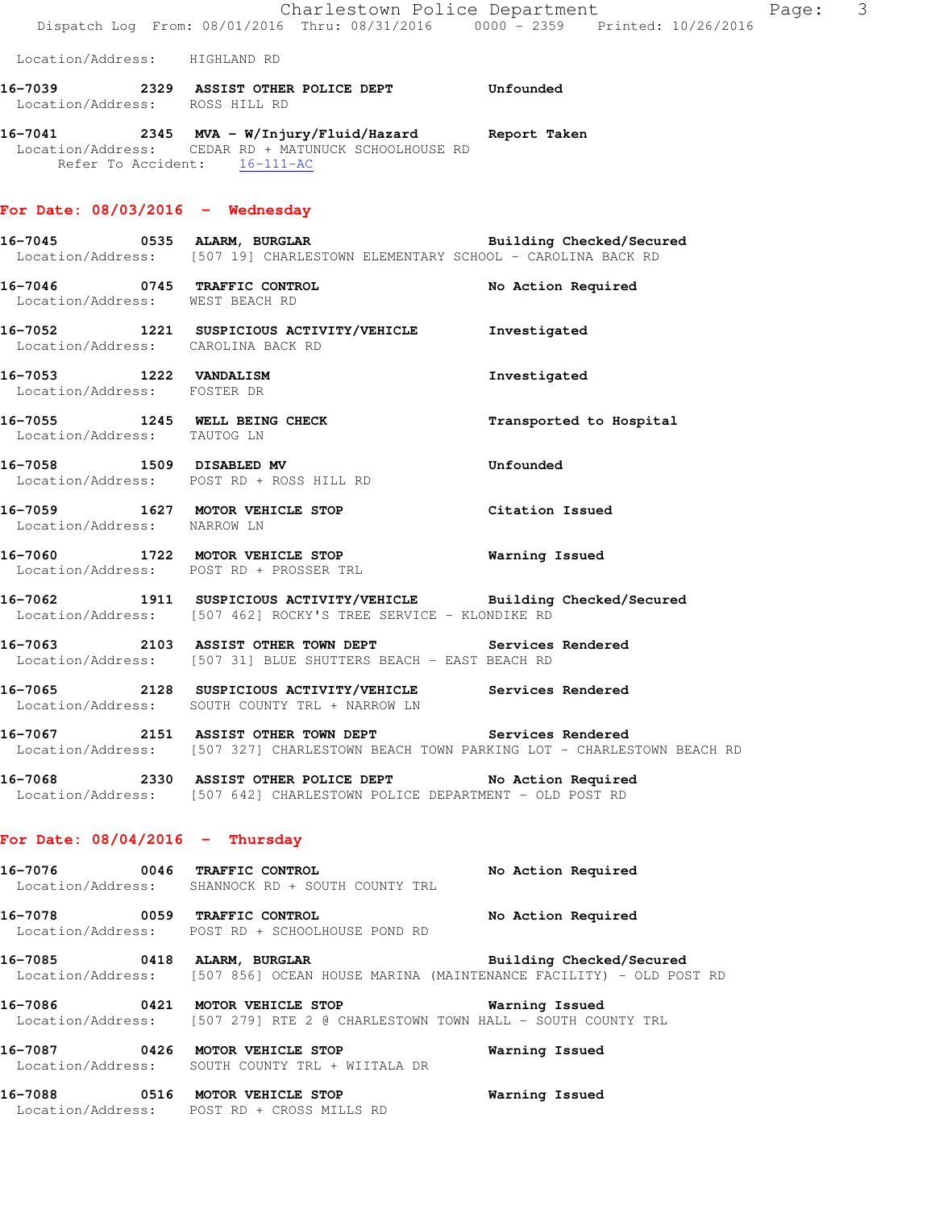|                                                       | Dispatch Log From: 08/01/2016 Thru: 08/31/2016   0000 - 2359   Printed: 10/26/2016                                                                 | Charlestown Police Department | Page: | $\overline{\mathbf{3}}$ |
|-------------------------------------------------------|----------------------------------------------------------------------------------------------------------------------------------------------------|-------------------------------|-------|-------------------------|
| Location/Address: HIGHLAND RD                         |                                                                                                                                                    |                               |       |                         |
|                                                       | 16-7039 2329 ASSIST OTHER POLICE DEPT Unfounded<br>Location/Address: ROSS HILL RD                                                                  |                               |       |                         |
| Refer To Accident: 16-111-AC                          | 16-7041 2345 MVA - W/Injury/Fluid/Hazard Report Taken<br>Location/Address: CEDAR RD + MATUNUCK SCHOOLHOUSE RD                                      |                               |       |                         |
| For Date: $08/03/2016$ - Wednesday                    |                                                                                                                                                    |                               |       |                         |
|                                                       | 16-7045 0535 ALARM, BURGLAR BURGLAR Building Checked/Secured<br>Location/Address: [507 19] CHARLESTOWN ELEMENTARY SCHOOL - CAROLINA BACK RD        |                               |       |                         |
| Location/Address: WEST BEACH RD                       | 16-7046 0745 TRAFFIC CONTROL                                                                                                                       | No Action Required            |       |                         |
|                                                       | 16-7052 1221 SUSPICIOUS ACTIVITY/VEHICLE Investigated<br>Location/Address: CAROLINA BACK RD                                                        |                               |       |                         |
| 16-7053 1222 VANDALISM<br>Location/Address: FOSTER DR |                                                                                                                                                    | Investigated                  |       |                         |
|                                                       | 16-7055 1245 WELL BEING CHECK<br>Location/Address: TAUTOG LN                                                                                       | Transported to Hospital       |       |                         |
|                                                       | 16-7058 1509 DISABLED MV<br>Location/Address: POST RD + ROSS HILL RD                                                                               | Unfounded                     |       |                         |
| Location/Address: NARROW LN                           | 16-7059 1627 MOTOR VEHICLE STOP                                                                                                                    | Citation Issued               |       |                         |
|                                                       | 16-7060 1722 MOTOR VEHICLE STOP<br>Location/Address: POST RD + PROSSER TRL                                                                         | <b>Warning Issued</b>         |       |                         |
|                                                       | 16-7062 1911 SUSPICIOUS ACTIVITY/VEHICLE Building Checked/Secured<br>Location/Address: [507 462] ROCKY'S TREE SERVICE - KLONDIKE RD                |                               |       |                         |
|                                                       | 16-7063 2103 ASSIST OTHER TOWN DEPT Services Rendered<br>Location/Address: [507 31] BLUE SHUTTERS BEACH - EAST BEACH RD                            |                               |       |                         |
|                                                       | 16-7065 2128 SUSPICIOUS ACTIVITY/VEHICLE Services Rendered<br>Location/Address: SOUTH COUNTY TRL + NARROW LN                                       |                               |       |                         |
|                                                       | 16-7067 2151 ASSIST OTHER TOWN DEPT Services Rendered<br>Location/Address: [507 327] CHARLESTOWN BEACH TOWN PARKING LOT - CHARLESTOWN BEACH RD     |                               |       |                         |
|                                                       | 16-7068 2330 ASSIST OTHER POLICE DEPT No Action Required<br>Location/Address: [507 642] CHARLESTOWN POLICE DEPARTMENT - OLD POST RD                |                               |       |                         |
| For Date: $08/04/2016$ - Thursday                     |                                                                                                                                                    |                               |       |                         |
|                                                       | 16-7076 0046 TRAFFIC CONTROL<br>Location/Address: SHANNOCK RD + SOUTH COUNTY TRL                                                                   | No Action Required            |       |                         |
| 16-7078 0059 TRAFFIC CONTROL                          | Location/Address: POST RD + SCHOOLHOUSE POND RD                                                                                                    | No Action Required            |       |                         |
|                                                       | 16-7085 0418 ALARM, BURGLAR BURGER Building Checked/Secured<br>Location/Address: [507 856] OCEAN HOUSE MARINA (MAINTENANCE FACILITY) - OLD POST RD |                               |       |                         |
|                                                       | 16-7086 6421 MOTOR VEHICLE STOP 6421 WOTOR VEHICLE STOP<br>Location/Address: [507 279] RTE 2 @ CHARLESTOWN TOWN HALL - SOUTH COUNTY TRL            |                               |       |                         |
|                                                       | 16-7087 0426 MOTOR VEHICLE STOP<br>Location/Address: SOUTH COUNTY TRL + WIITALA DR                                                                 | Warning Issued                |       |                         |
|                                                       | 16-7088 0516 MOTOR VEHICLE STOP                                                                                                                    | Warning Issued                |       |                         |

Location/Address: POST RD + CROSS MILLS RD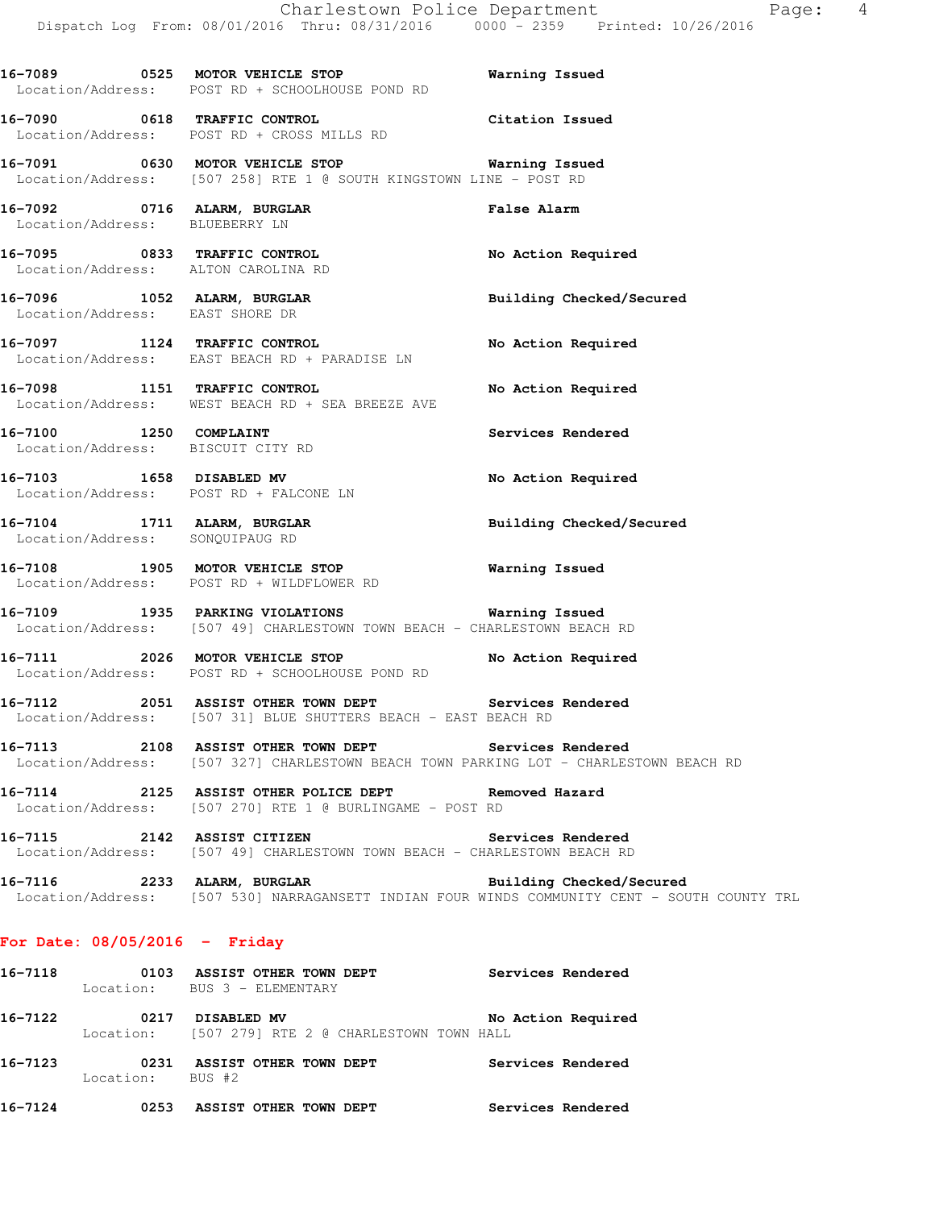**16-7089 0525 MOTOR VEHICLE STOP Warning Issued** 

 Location/Address: POST RD + SCHOOLHOUSE POND RD **16-7090 0618 TRAFFIC CONTROL Citation Issued**  Location/Address: POST RD + CROSS MILLS RD **16-7091 0630 MOTOR VEHICLE STOP Warning Issued**  Location/Address: [507 258] RTE 1 @ SOUTH KINGSTOWN LINE - POST RD **16-7092 0716 ALARM, BURGLAR False Alarm**  Location/Address: BLUEBERRY LN **16-7095 0833 TRAFFIC CONTROL No Action Required**  Location/Address: ALTON CAROLINA RD **16-7096 1052 ALARM, BURGLAR Building Checked/Secured**  Location/Address: EAST SHORE DR **16-7097 1124 TRAFFIC CONTROL No Action Required**  Location/Address: EAST BEACH RD + PARADISE LN **16-7098 1151 TRAFFIC CONTROL No Action Required**  Location/Address: WEST BEACH RD + SEA BREEZE AVE **16-7100 1250 COMPLAINT Services Rendered**  Location/Address: BISCUIT CITY RD **16-7103 1658 DISABLED MV No Action Required**  Location/Address: POST RD + FALCONE LN **16-7104 1711 ALARM, BURGLAR Building Checked/Secured**  Location/Address: SONQUIPAUG RD **16-7108 1905 MOTOR VEHICLE STOP Warning Issued**  Location/Address: POST RD + WILDFLOWER RD **16-7109 1935 PARKING VIOLATIONS Warning Issued**  Location/Address: [507 49] CHARLESTOWN TOWN BEACH - CHARLESTOWN BEACH RD **16-7111 2026 MOTOR VEHICLE STOP No Action Required**  Location/Address: POST RD + SCHOOLHOUSE POND RD **16-7112 2051 ASSIST OTHER TOWN DEPT Services Rendered**  Location/Address: [507 31] BLUE SHUTTERS BEACH - EAST BEACH RD **16-7113 2108 ASSIST OTHER TOWN DEPT Services Rendered**  Location/Address: [507 327] CHARLESTOWN BEACH TOWN PARKING LOT - CHARLESTOWN BEACH RD **16-7114 2125 ASSIST OTHER POLICE DEPT Removed Hazard**  Location/Address: [507 270] RTE 1 @ BURLINGAME - POST RD **16-7115 2142 ASSIST CITIZEN Services Rendered**  Location/Address: [507 49] CHARLESTOWN TOWN BEACH - CHARLESTOWN BEACH RD **16-7116 2233 ALARM, BURGLAR Building Checked/Secured**  Location/Address: [507 530] NARRAGANSETT INDIAN FOUR WINDS COMMUNITY CENT - SOUTH COUNTY TRL **For Date: 08/05/2016 - Friday**

# Location: BUS 3 - ELEMENTARY **16-7122 0217 DISABLED MV No Action Required**  Location: [507 279] RTE 2 @ CHARLESTOWN TOWN HALL

**16-7118 0103 ASSIST OTHER TOWN DEPT Services Rendered** 

**16-7123 0231 ASSIST OTHER TOWN DEPT Services Rendered**  Location: BUS #2 **16-7124 0253 ASSIST OTHER TOWN DEPT Services Rendered**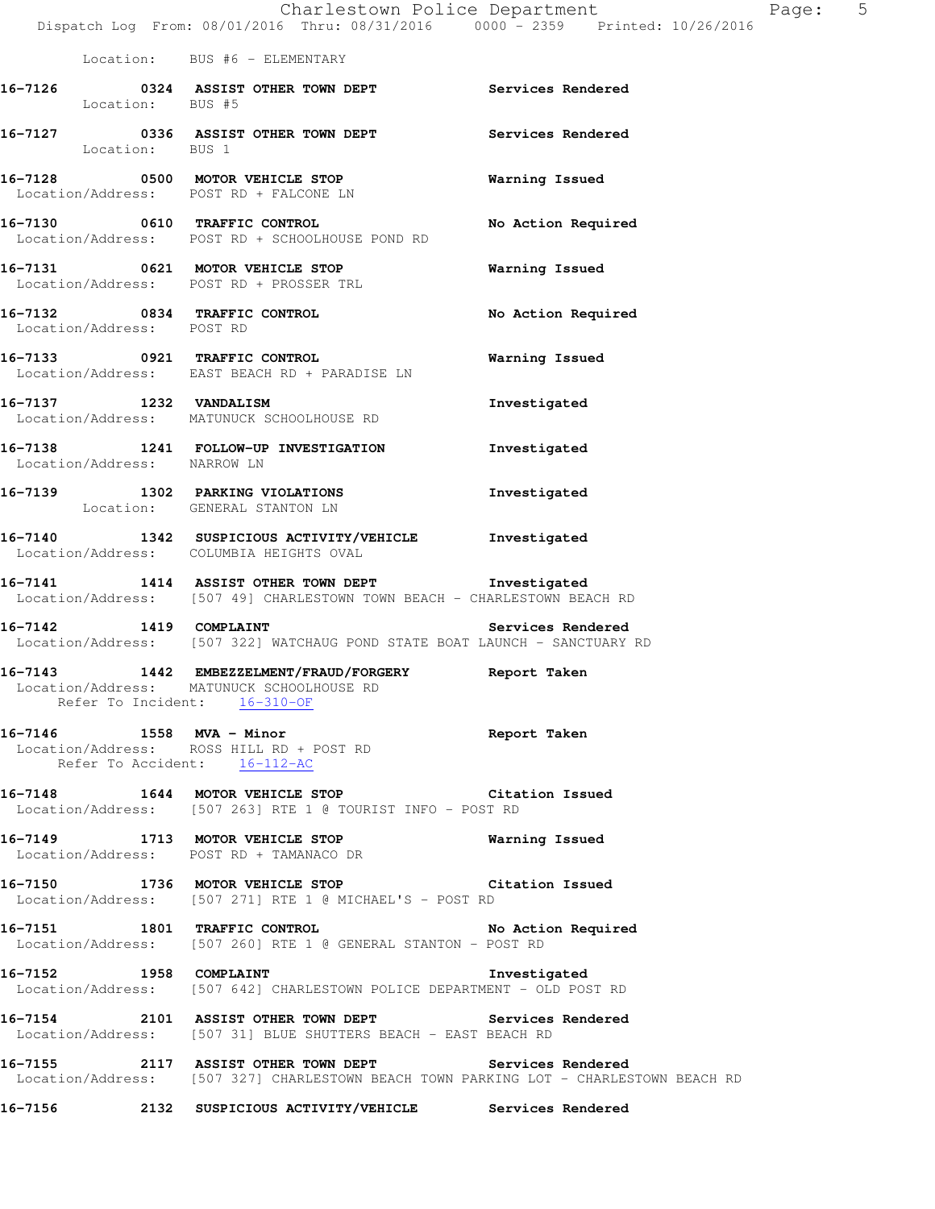|                                         | Charlestown Police Department<br>Dispatch Log From: 08/01/2016 Thru: 08/31/2016 0000 - 2359 Printed: 10/26/2016                                |                    | Pa |
|-----------------------------------------|------------------------------------------------------------------------------------------------------------------------------------------------|--------------------|----|
|                                         | Location: BUS #6 - ELEMENTARY                                                                                                                  |                    |    |
| Location: BUS #5                        | 16-7126 		 0324 ASSIST OTHER TOWN DEPT 		 Services Rendered                                                                                    |                    |    |
| Location: BUS 1                         | 16-7127 0336 ASSIST OTHER TOWN DEPT Services Rendered                                                                                          |                    |    |
| Location/Address: POST RD + FALCONE LN  | 16-7128 0500 MOTOR VEHICLE STOP                                                                                                                | Warning Issued     |    |
|                                         | 16-7130 0610 TRAFFIC CONTROL<br>Location/Address: POST RD + SCHOOLHOUSE POND RD                                                                | No Action Required |    |
|                                         | 16-7131 0621 MOTOR VEHICLE STOP<br>Location/Address: POST RD + PROSSER TRL                                                                     | Warning Issued     |    |
| Location/Address: POST RD               | 16-7132 0834 TRAFFIC CONTROL                                                                                                                   | No Action Required |    |
|                                         | 16-7133 0921 TRAFFIC CONTROL<br>Location/Address: EAST BEACH RD + PARADISE LN                                                                  | Warning Issued     |    |
| 16-7137 1232 VANDALISM                  | Location/Address: MATUNUCK SCHOOLHOUSE RD                                                                                                      | Investigated       |    |
| Location/Address: NARROW LN             | 16-7138 1241 FOLLOW-UP INVESTIGATION                                                                                                           | Investigated       |    |
| Location: GENERAL STANTON LN            | 16-7139 1302 PARKING VIOLATIONS                                                                                                                | Investigated       |    |
| Location/Address: COLUMBIA HEIGHTS OVAL | 16-7140 1342 SUSPICIOUS ACTIVITY/VEHICLE Investigated                                                                                          |                    |    |
|                                         | 16-7141 1414 ASSIST OTHER TOWN DEPT 1nvestigated<br>Location/Address: [507 49] CHARLESTOWN TOWN BEACH - CHARLESTOWN BEACH RD                   |                    |    |
|                                         | 16-7142 1419 COMPLAINT Services Rendered<br>Location/Address: [507 322] WATCHAUG POND STATE BOAT LAUNCH - SANCTUARY RD                         |                    |    |
|                                         | Location/Address: MATUNUCK SCHOOLHOUSE RD<br>Refer To Incident: 16-310-OF                                                                      |                    |    |
| Refer To Accident: 16-112-AC            | 16-7146 1558 MVA - Minor<br>Location/Address: ROSS HILL RD + POST RD                                                                           | Report Taken       |    |
|                                         | 16-7148 1644 MOTOR VEHICLE STOP 16-7148<br>Location/Address: [507 263] RTE 1 @ TOURIST INFO - POST RD                                          |                    |    |
|                                         | 16-7149 1713 MOTOR VEHICLE STOP 10 Warning Issued<br>Location/Address: POST RD + TAMANACO DR                                                   |                    |    |
|                                         | 16-7150 1736 MOTOR VEHICLE STOP 6 Citation Issued<br>Location/Address: [507 271] RTE 1 @ MICHAEL'S - POST RD                                   |                    |    |
|                                         | 16-7151 1801 TRAFFIC CONTROL<br>Location/Address: [507 260] RTE 1 @ GENERAL STANTON - POST RD                                                  | No Action Required |    |
|                                         | 16-7152 1958 COMPLAINT<br>Location/Address: [507 642] CHARLESTOWN POLICE DEPARTMENT - OLD POST RD                                              | Investigated       |    |
|                                         | 16-7154 2101 ASSIST OTHER TOWN DEPT Services Rendered<br>Location/Address: [507 31] BLUE SHUTTERS BEACH - EAST BEACH RD                        |                    |    |
|                                         | 16-7155 2117 ASSIST OTHER TOWN DEPT Services Rendered<br>Location/Address: [507 327] CHARLESTOWN BEACH TOWN PARKING LOT - CHARLESTOWN BEACH RD |                    |    |

**16-7156 2132 SUSPICIOUS ACTIVITY/VEHICLE Services Rendered** 

age: 5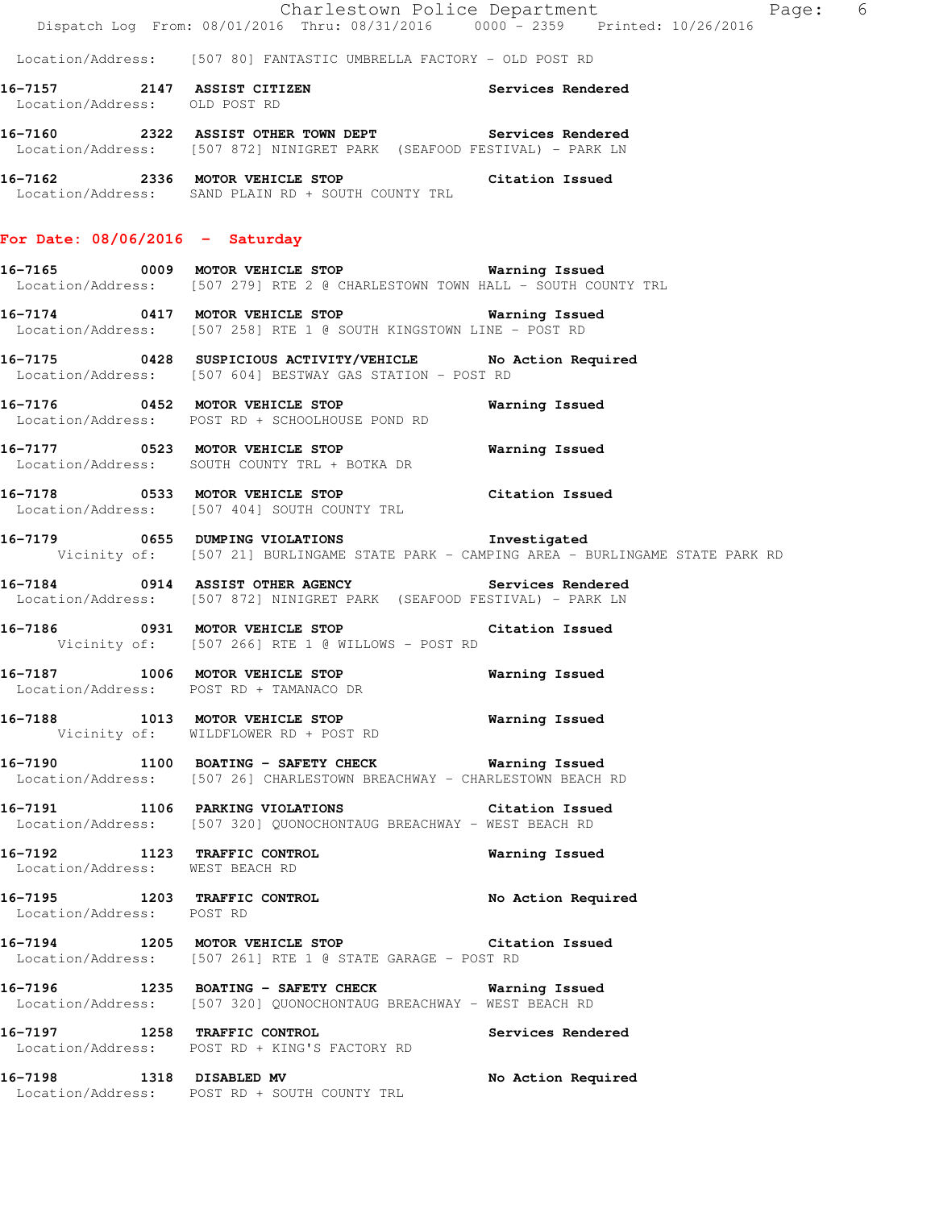Location/Address: [507 80] FANTASTIC UMBRELLA FACTORY - OLD POST RD

**16-7157 2147 ASSIST CITIZEN Services Rendered**  Location/Address: OLD POST RD

**16-7160 2322 ASSIST OTHER TOWN DEPT Services Rendered**  Location/Address: [507 872] NINIGRET PARK (SEAFOOD FESTIVAL) - PARK LN

**16-7162 2336 MOTOR VEHICLE STOP Citation Issued**  Location/Address: SAND PLAIN RD + SOUTH COUNTY TRL

# **For Date: 08/06/2016 - Saturday**

**16-7165 0009 MOTOR VEHICLE STOP Warning Issued**  Location/Address: [507 279] RTE 2 @ CHARLESTOWN TOWN HALL - SOUTH COUNTY TRL

**16-7174 0417 MOTOR VEHICLE STOP Warning Issued**  Location/Address: [507 258] RTE 1 @ SOUTH KINGSTOWN LINE - POST RD

**16-7175 0428 SUSPICIOUS ACTIVITY/VEHICLE No Action Required**  Location/Address: [507 604] BESTWAY GAS STATION - POST RD

**16-7176 0452 MOTOR VEHICLE STOP Warning Issued**  Location/Address: POST RD + SCHOOLHOUSE POND RD

**16-7177 0523 MOTOR VEHICLE STOP Warning Issued**  Location/Address: SOUTH COUNTY TRL + BOTKA DR

**16-7178 0533 MOTOR VEHICLE STOP Citation Issued**  Location/Address: [507 404] SOUTH COUNTY TRL

**16-7179 0655 DUMPING VIOLATIONS Investigated**  Vicinity of: [507 21] BURLINGAME STATE PARK - CAMPING AREA - BURLINGAME STATE PARK RD

**16-7184 0914 ASSIST OTHER AGENCY Services Rendered**  Location/Address: [507 872] NINIGRET PARK (SEAFOOD FESTIVAL) - PARK LN

**16-7186 0931 MOTOR VEHICLE STOP Citation Issued**  Vicinity of: [507 266] RTE 1 @ WILLOWS - POST RD

**16-7187 1006 MOTOR VEHICLE STOP Warning Issued**  Location/Address: POST RD + TAMANACO DR

**16-7188 1013 MOTOR VEHICLE STOP Warning Issued**  Vicinity of: WILDFLOWER RD + POST RD

**16-7190 1100 BOATING - SAFETY CHECK Warning Issued**  Location/Address: [507 26] CHARLESTOWN BREACHWAY - CHARLESTOWN BEACH RD

**16-7191 1106 PARKING VIOLATIONS Citation Issued**  Location/Address: [507 320] QUONOCHONTAUG BREACHWAY - WEST BEACH RD

**16-7192 1123 TRAFFIC CONTROL Warning Issued**  Location/Address: WEST BEACH RD

**16-7195 1203 TRAFFIC CONTROL No Action Required**  Location/Address: POST RD

**16-7194 1205 MOTOR VEHICLE STOP Citation Issued**  Location/Address: [507 261] RTE 1 @ STATE GARAGE - POST RD

**16-7196 1235 BOATING - SAFETY CHECK Warning Issued**  Location/Address: [507 320] QUONOCHONTAUG BREACHWAY - WEST BEACH RD

**16-7197 1258 TRAFFIC CONTROL Services Rendered**  Location/Address: POST RD + KING'S FACTORY RD

**16-7198 1318 DISABLED MV No Action Required**  Location/Address: POST RD + SOUTH COUNTY TRL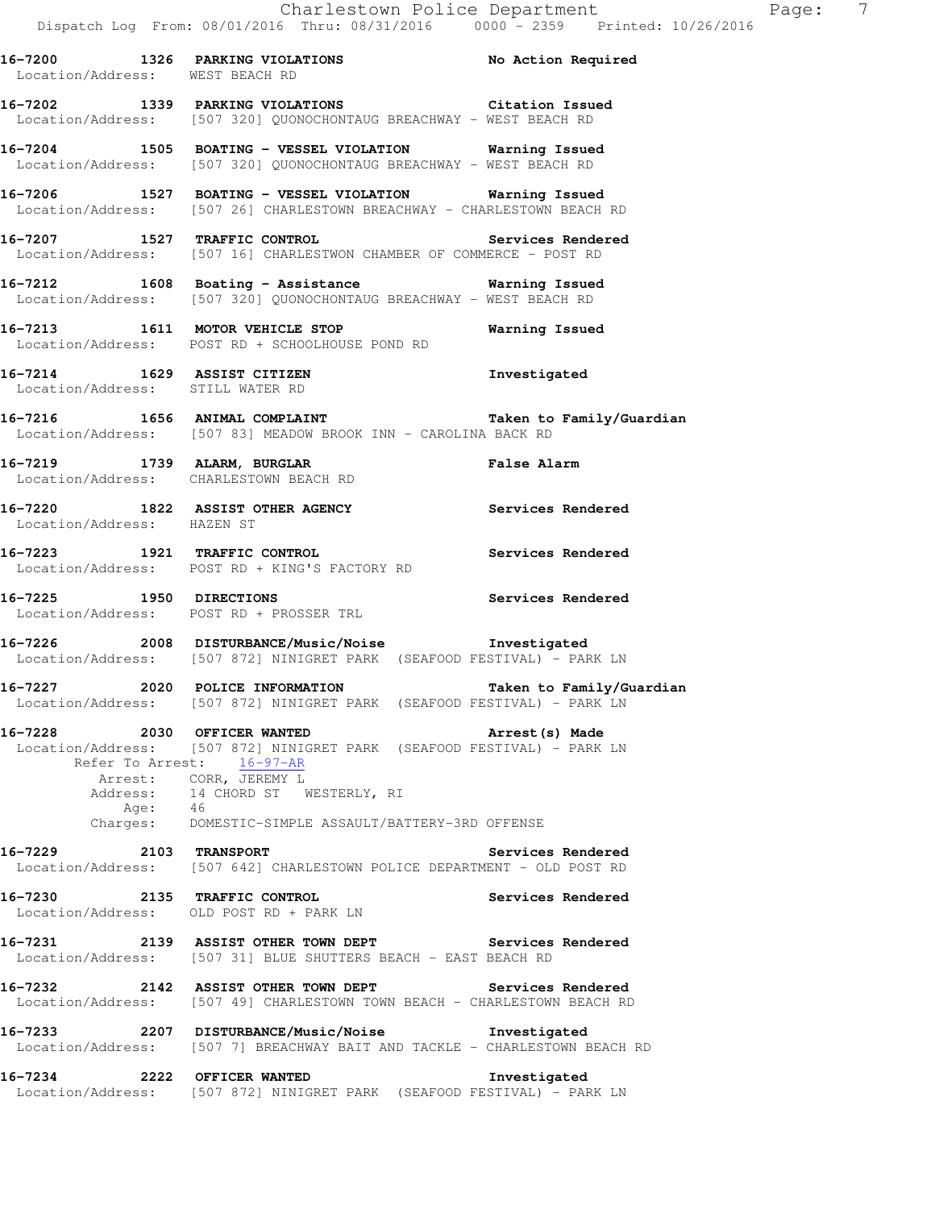Location/Address: WEST BEACH RD **16-7202 1339 PARKING VIOLATIONS Citation Issued**  Location/Address: [507 320] QUONOCHONTAUG BREACHWAY - WEST BEACH RD **16-7204 1505 BOATING - VESSEL VIOLATION Warning Issued**  Location/Address: [507 320] QUONOCHONTAUG BREACHWAY - WEST BEACH RD

**16-7206 1527 BOATING - VESSEL VIOLATION Warning Issued**  Location/Address: [507 26] CHARLESTOWN BREACHWAY - CHARLESTOWN BEACH RD

**16-7207 1527 TRAFFIC CONTROL Services Rendered**  Location/Address: [507 16] CHARLESTWON CHAMBER OF COMMERCE - POST RD

**16-7212 1608 Boating - Assistance Warning Issued**  Location/Address: [507 320] QUONOCHONTAUG BREACHWAY - WEST BEACH RD

**16-7213 1611 MOTOR VEHICLE STOP Warning Issued**  Location/Address: POST RD + SCHOOLHOUSE POND RD

**16-7214 1629 ASSIST CITIZEN Investigated**  Location/Address: STILL WATER RD

**16-7216 1656 ANIMAL COMPLAINT Taken to Family/Guardian**  Location/Address: [507 83] MEADOW BROOK INN - CAROLINA BACK RD

**16-7219 1739 ALARM, BURGLAR False Alarm**  Location/Address: CHARLESTOWN BEACH RD

**16-7220 1822 ASSIST OTHER AGENCY Services Rendered**  Location/Address: HAZEN ST

**16-7223 1921 TRAFFIC CONTROL Services Rendered**  Location/Address: POST RD + KING'S FACTORY RD

**16-7225 1950 DIRECTIONS Services Rendered**  Location/Address: POST RD + PROSSER TRL

**16-7226 2008 DISTURBANCE/Music/Noise Investigated**  Location/Address: [507 872] NINIGRET PARK (SEAFOOD FESTIVAL) - PARK LN

**16-7227 2020 POLICE INFORMATION Taken to Family/Guardian**  Location/Address: [507 872] NINIGRET PARK (SEAFOOD FESTIVAL) - PARK LN

**16-7228 2030 OFFICER WANTED Arrest(s) Made**  Location/Address: [507 872] NINIGRET PARK (SEAFOOD FESTIVAL) - PARK LN Refer To Arrest: 16-97-AR Arrest: CORR, JEREMY L Address: 14 CHORD ST WESTERLY, RI Age: 46 Charges: DOMESTIC-SIMPLE ASSAULT/BATTERY-3RD OFFENSE

**16-7229 2103 TRANSPORT Services Rendered**  Location/Address: [507 642] CHARLESTOWN POLICE DEPARTMENT - OLD POST RD

**16-7230 2135 TRAFFIC CONTROL Services Rendered**  Location/Address: OLD POST RD + PARK LN

**16-7231 2139 ASSIST OTHER TOWN DEPT Services Rendered**  Location/Address: [507 31] BLUE SHUTTERS BEACH - EAST BEACH RD

**16-7232 2142 ASSIST OTHER TOWN DEPT Services Rendered**  Location/Address: [507 49] CHARLESTOWN TOWN BEACH - CHARLESTOWN BEACH RD

**16-7233 2207 DISTURBANCE/Music/Noise Investigated**  Location/Address: [507 7] BREACHWAY BAIT AND TACKLE - CHARLESTOWN BEACH RD

**16-7234 2222 OFFICER WANTED Investigated**  Location/Address: [507 872] NINIGRET PARK (SEAFOOD FESTIVAL) - PARK LN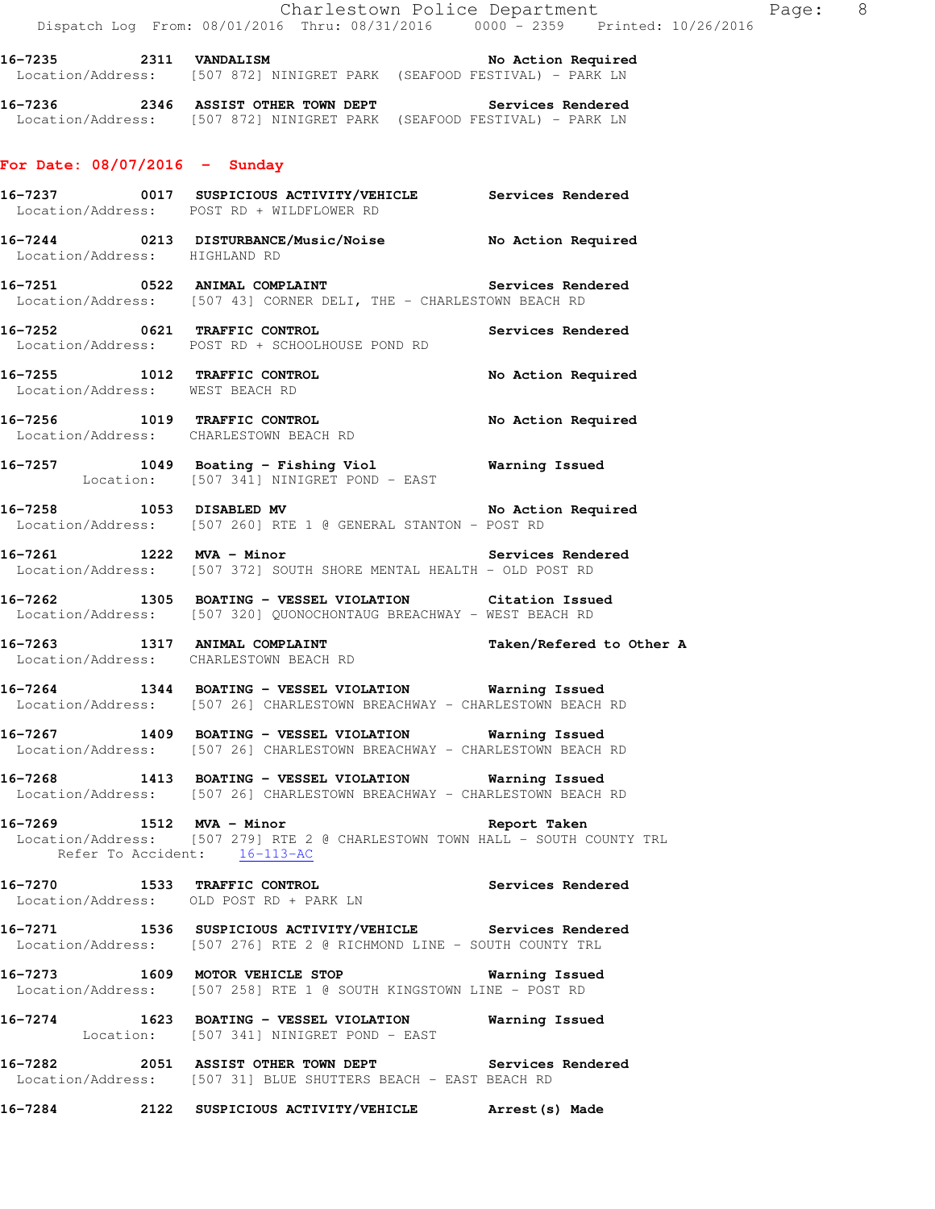16-7235 2311 VANDALISM **No Action Required** Location/Address: [507 872] NINIGRET PARK (SEAFOOD FESTIVAL) - PARK LN

**16-7236 2346 ASSIST OTHER TOWN DEPT Services Rendered**  Location/Address: [507 872] NINIGRET PARK (SEAFOOD FESTIVAL) - PARK LN

### **For Date: 08/07/2016 - Sunday**

|                               | 16-7237 0017 SUSPICIOUS ACTIVITY/VEHICLE Services Rendered<br>Location/Address: POST RD + WILDFLOWER RD                                  |                       |
|-------------------------------|------------------------------------------------------------------------------------------------------------------------------------------|-----------------------|
| Location/Address: HIGHLAND RD | 16-7244 0213 DISTURBANCE/Music/Noise No Action Required                                                                                  |                       |
|                               | 16-7251 0522 ANIMAL COMPLAINT Services Rendered<br>Location/Address: [507 43] CORNER DELI, THE - CHARLESTOWN BEACH RD                    |                       |
|                               | 16-7252 0621 TRAFFIC CONTROL<br>Location/Address: POST RD + SCHOOLHOUSE POND RD                                                          | Services Rendered     |
|                               | 16-7255 1012 TRAFFIC CONTROL No Action Required Location/Address: WEST BEACH RD                                                          |                       |
|                               | 16-7256 1019 TRAFFIC CONTROL No Action Required<br>Location/Address: CHARLESTOWN BEACH RD                                                |                       |
|                               | 16-7257 1049 Boating - Fishing Viol Warning Issued<br>Location: [507 341] NINIGRET POND - EAST                                           |                       |
|                               | 16-7258 1053 DISABLED MV<br>Location/Address: [507 260] RTE 1 @ GENERAL STANTON - POST RD                                                | No Action Required    |
|                               | 16-7261 1222 MVA - Minor<br>Location/Address: [507 372] SOUTH SHORE MENTAL HEALTH - OLD POST RD                                          | Services Rendered     |
|                               | 16-7262 1305 BOATING - VESSEL VIOLATION Citation Issued<br>Location/Address: [507 320] QUONOCHONTAUG BREACHWAY - WEST BEACH RD           |                       |
|                               | 16-7263 1317 ANIMAL COMPLAINT Taken/Refered to Other A Location/Address: CHARLESTOWN BEACH RD                                            |                       |
|                               | 16-7264 1344 BOATING - VESSEL VIOLATION Warning Issued<br>Location/Address: [507 26] CHARLESTOWN BREACHWAY - CHARLESTOWN BEACH RD        |                       |
|                               | 16-7267 1409 BOATING - VESSEL VIOLATION Warning Issued<br>Location/Address: [507 26] CHARLESTOWN BREACHWAY - CHARLESTOWN BEACH RD        |                       |
|                               | 16-7268 1413 BOATING - VESSEL VIOLATION Warning Issued<br>Location/Address: [507 26] CHARLESTOWN BREACHWAY - CHARLESTOWN BEACH RD        |                       |
|                               | 16-7269 1512 MVA - Minor<br>Location/Address: [507 279] RTE 2 @ CHARLESTOWN TOWN HALL - SOUTH COUNTY TRL<br>Refer To Accident: 16-113-AC | Report Taken          |
|                               | 16-7270 1533 TRAFFIC CONTROL<br>Location/Address: OLD POST RD + PARK LN                                                                  | Services Rendered     |
| 16-7271                       | 1536 SUSPICIOUS ACTIVITY/VEHICLE Services Rendered<br>Location/Address: [507 276] RTE 2 @ RICHMOND LINE - SOUTH COUNTY TRL               |                       |
|                               | 16-7273 1609 MOTOR VEHICLE STOP<br>Location/Address: [507 258] RTE 1 @ SOUTH KINGSTOWN LINE - POST RD                                    | <b>Warning Issued</b> |
|                               | 16-7274 1623 BOATING - VESSEL VIOLATION Warning Issued<br>Location: [507 341] NINIGRET POND - EAST                                       |                       |
|                               | 16-7282 2051 ASSIST OTHER TOWN DEPT Services Rendered<br>Location/Address: [507 31] BLUE SHUTTERS BEACH - EAST BEACH RD                  |                       |
| 16-7284                       | 2122 SUSPICIOUS ACTIVITY/VEHICLE Rrest(s) Made                                                                                           |                       |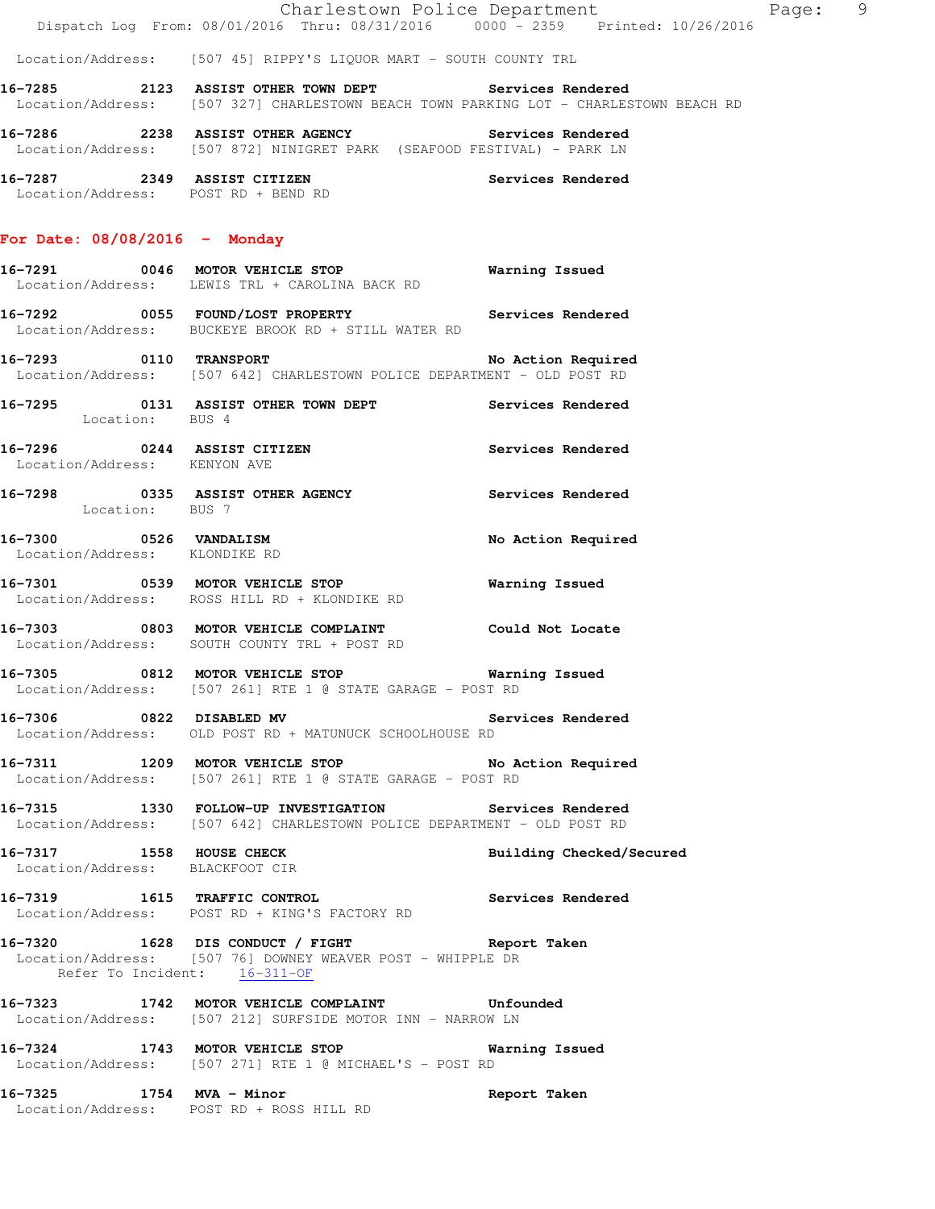|                                                             | Dispatch Log From: 08/01/2016 Thru: 08/31/2016 0000 - 2359 Printed: 10/26/2016                                                                     | Charlestown Police Department<br>Page: 9 |
|-------------------------------------------------------------|----------------------------------------------------------------------------------------------------------------------------------------------------|------------------------------------------|
|                                                             | Location/Address: [507 45] RIPPY'S LIQUOR MART - SOUTH COUNTY TRL                                                                                  |                                          |
|                                                             | 16-7285 2123 ASSIST OTHER TOWN DEPT Services Rendered<br>Location/Address: [507 327] CHARLESTOWN BEACH TOWN PARKING LOT - CHARLESTOWN BEACH RD     |                                          |
|                                                             | 16-7286 			 2238 		ASSIST OTHER AGENCY 													 Services Rendered<br>Location/Address: [507 872] NINIGRET PARK (SEAFOOD FESTIVAL) - PARK LN   |                                          |
| Location/Address: POST RD + BEND RD                         | 16-7287 2349 ASSIST CITIZEN                                                                                                                        | Services Rendered                        |
| For Date: $08/08/2016$ - Monday                             |                                                                                                                                                    |                                          |
|                                                             | 16-7291 0046 MOTOR VEHICLE STOP 6 Warning Issued<br>Location/Address: LEWIS TRL + CAROLINA BACK RD                                                 |                                          |
|                                                             | 16-7292 		 0055 FOUND/LOST PROPERTY 		 Services Rendered<br>Location/Address: BUCKEYE BROOK RD + STILL WATER RD                                    |                                          |
| 16-7293 0110 TRANSPORT                                      | Location/Address: [507 642] CHARLESTOWN POLICE DEPARTMENT - OLD POST RD                                                                            | No Action Required                       |
|                                                             | 16-7295    0131    ASSIST OTHER TOWN DEPT    Services Rendered    Location:    BUS 4                                                               |                                          |
| 16-7296 0244 ASSIST CITIZEN<br>Location/Address: KENYON AVE |                                                                                                                                                    | Services Rendered                        |
| Location: BUS 7                                             | 16-7298 			 0335 ASSIST OTHER AGENCY 				 Services Rendered                                                                                        |                                          |
| Location/Address: KLONDIKE RD                               | 16-7300 0526 VANDALISM                                                                                                                             | No Action Required                       |
|                                                             | 16-7301 0539 MOTOR VEHICLE STOP<br>Location/Address: ROSS HILL RD + KLONDIKE RD                                                                    | Warning Issued                           |
|                                                             | 16-7303 0803 MOTOR VEHICLE COMPLAINT Could Not Locate<br>Location/Address: SOUTH COUNTY TRL + POST RD                                              |                                          |
|                                                             | 16-7305 0812 MOTOR VEHICLE STOP<br>Location/Address: [507 261] RTE 1 @ STATE GARAGE - POST RD                                                      | <b>Warning Issued</b>                    |
|                                                             | 16-7306 0822 DISABLED MV<br>Location/Address: OLD POST RD + MATUNUCK SCHOOLHOUSE RD                                                                | Services Rendered                        |
|                                                             | 16-7311 1209 MOTOR VEHICLE STOP 10 No Action Required<br>Location/Address: [507 261] RTE 1 @ STATE GARAGE - POST RD                                |                                          |
|                                                             | 16-7315 1330 FOLLOW-UP INVESTIGATION Services Rendered<br>Location/Address: [507 642] CHARLESTOWN POLICE DEPARTMENT - OLD POST RD                  |                                          |
| 16-7317 1558 HOUSE CHECK<br>Location/Address: BLACKFOOT CIR |                                                                                                                                                    | Building Checked/Secured                 |
|                                                             | 16-7319 1615 TRAFFIC CONTROL<br>Location/Address: POST RD + KING'S FACTORY RD                                                                      | Services Rendered                        |
|                                                             | 16-7320 1628 DIS CONDUCT / FIGHT TARE Report Taken<br>Location/Address: [507 76] DOWNEY WEAVER POST - WHIPPLE DR<br>Refer To Incident: $16-311-OF$ |                                          |
|                                                             | 16-7323 1742 MOTOR VEHICLE COMPLAINT Unfounded<br>Location/Address: [507 212] SURFSIDE MOTOR INN - NARROW LN                                       |                                          |
|                                                             | 16-7324 1743 MOTOR VEHICLE STOP 6 Warning Issued<br>Location/Address: [507 271] RTE 1 @ MICHAEL'S - POST RD                                        |                                          |
| 16-7325 1754 MVA - Minor                                    | Location/Address: POST RD + ROSS HILL RD                                                                                                           | Report Taken                             |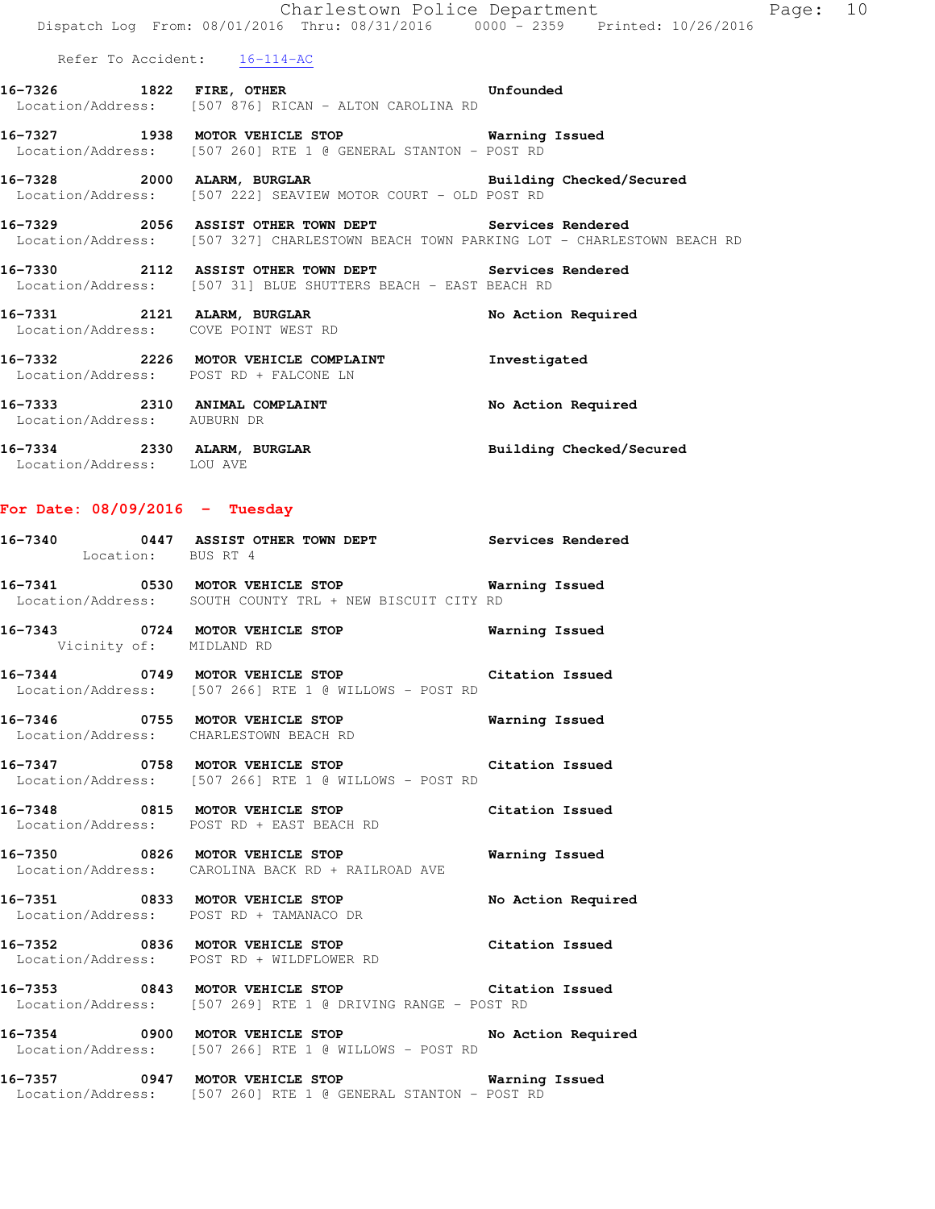Refer To Accident: 16-114-AC

- **16-7326 1822 FIRE, OTHER Unfounded**  Location/Address: [507 876] RICAN - ALTON CAROLINA RD
- **16-7327 1938 MOTOR VEHICLE STOP Warning Issued**  Location/Address: [507 260] RTE 1 @ GENERAL STANTON - POST RD
- **16-7328 2000 ALARM, BURGLAR Building Checked/Secured**  Location/Address: [507 222] SEAVIEW MOTOR COURT - OLD POST RD
- **16-7329 2056 ASSIST OTHER TOWN DEPT Services Rendered**  Location/Address: [507 327] CHARLESTOWN BEACH TOWN PARKING LOT - CHARLESTOWN BEACH RD
- **16-7330 2112 ASSIST OTHER TOWN DEPT Services Rendered**  Location/Address: [507 31] BLUE SHUTTERS BEACH - EAST BEACH RD
- 16-7331 2121 ALARM, BURGLAR No Action Required Location/Address: COVE POINT WEST RD **16-7332 2226 MOTOR VEHICLE COMPLAINT Investigated**  Location/Address: POST RD + FALCONE LN 16-7333 2310 ANIMAL COMPLAINT **No Action Required**  Location/Address: AUBURN DR **16-7334 2330 ALARM, BURGLAR Building Checked/Secured**  Location/Address: LOU AVE

# **For Date: 08/09/2016 - Tuesday**

| Location: BUS RT 4      | 16-7340 6447 ASSIST OTHER TOWN DEPT Services Rendered                                                            |                    |
|-------------------------|------------------------------------------------------------------------------------------------------------------|--------------------|
|                         | 16-7341 0530 MOTOR VEHICLE STOP 6 Warning Issued<br>Location/Address: SOUTH COUNTY TRL + NEW BISCUIT CITY RD     |                    |
| Vicinity of: MIDLAND RD | 16-7343 0724 MOTOR VEHICLE STOP                                                                                  | Warning Issued     |
|                         | 16-7344 0749 MOTOR VEHICLE STOP 6 Citation Issued<br>Location/Address: [507 266] RTE 1 @ WILLOWS - POST RD       |                    |
|                         | 16-7346 0755 MOTOR VEHICLE STOP Warning Issued<br>Location/Address: CHARLESTOWN BEACH RD                         |                    |
|                         | 16-7347 0758 MOTOR VEHICLE STOP Citation Issued<br>Location/Address: [507 266] RTE 1 @ WILLOWS - POST RD         |                    |
|                         | 16-7348 0815 MOTOR VEHICLE STOP Citation Issued<br>Location/Address: POST RD + EAST BEACH RD                     |                    |
|                         | 16-7350 0826 MOTOR VEHICLE STOP <b>WATER</b> Warning Issued<br>Location/Address: CAROLINA BACK RD + RAILROAD AVE |                    |
|                         | 16-7351 0833 MOTOR VEHICLE STOP<br>Location/Address: POST RD + TAMANACO DR                                       | No Action Required |
|                         | 16-7352 0836 MOTOR VEHICLE STOP Citation Issued<br>Location/Address: POST RD + WILDFLOWER RD                     |                    |
|                         | 16-7353 0843 MOTOR VEHICLE STOP Citation Issued<br>Location/Address: [507 269] RTE 1 @ DRIVING RANGE - POST RD   |                    |
|                         | 16-7354 0900 MOTOR VEHICLE STOP No Action Required<br>Location/Address: [507 266] RTE 1 @ WILLOWS - POST RD      |                    |

**16-7357 0947 MOTOR VEHICLE STOP Warning Issued**  Location/Address: [507 260] RTE 1 @ GENERAL STANTON - POST RD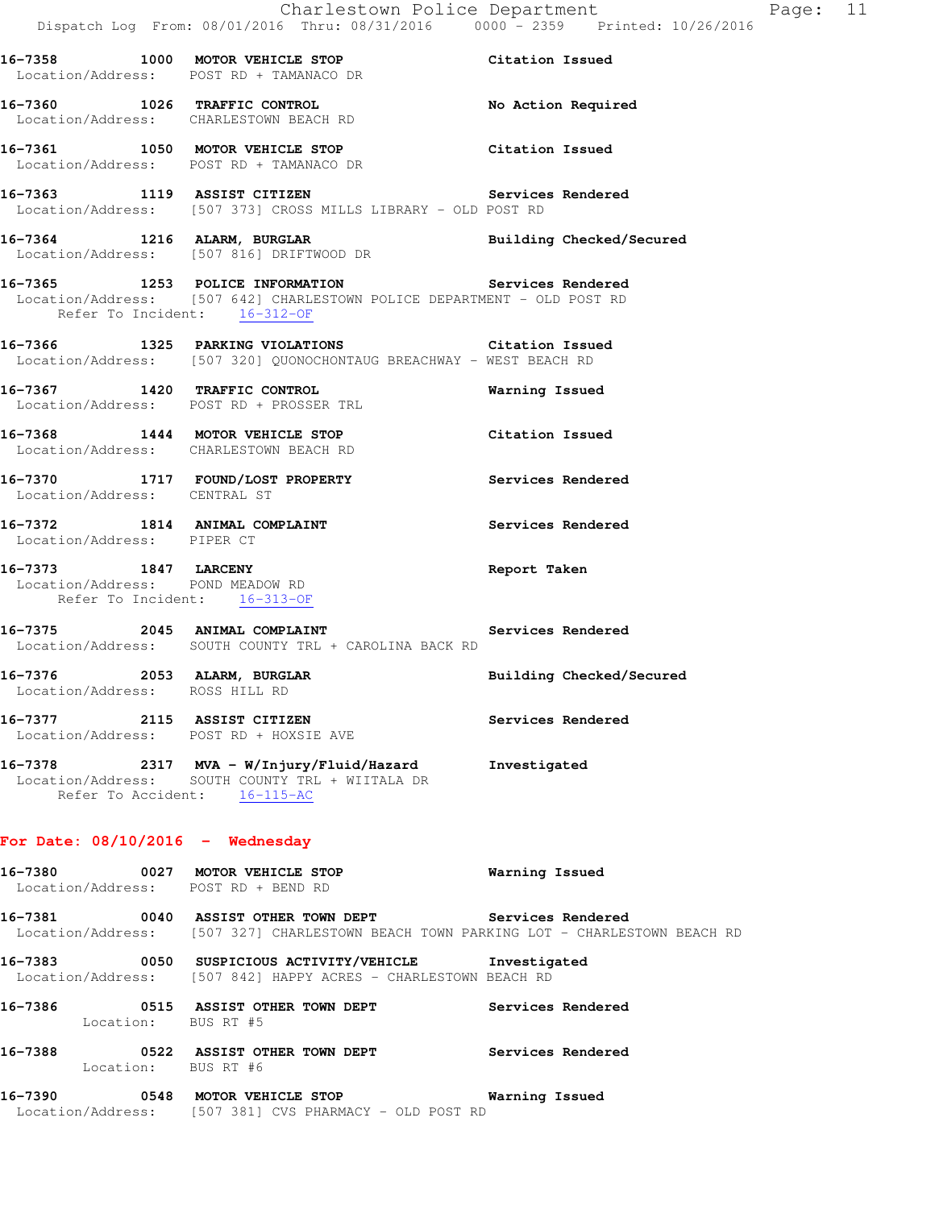**16-7358 1000 MOTOR VEHICLE STOP Citation Issued**  Location/Address: POST RD + TAMANACO DR **16-7360 1026 TRAFFIC CONTROL No Action Required**  Location/Address: CHARLESTOWN BEACH RD **16-7361 1050 MOTOR VEHICLE STOP Citation Issued**  Location/Address: POST RD + TAMANACO DR **16-7363 1119 ASSIST CITIZEN Services Rendered**  Location/Address: [507 373] CROSS MILLS LIBRARY - OLD POST RD **16-7364 1216 ALARM, BURGLAR Building Checked/Secured**  Location/Address: [507 816] DRIFTWOOD DR **16-7365 1253 POLICE INFORMATION Services Rendered**  Location/Address: [507 642] CHARLESTOWN POLICE DEPARTMENT - OLD POST RD Refer To Incident: 16-312-OF **16-7366 1325 PARKING VIOLATIONS Citation Issued**  Location/Address: [507 320] QUONOCHONTAUG BREACHWAY - WEST BEACH RD **16-7367 1420 TRAFFIC CONTROL Warning Issued**  Location/Address: POST RD + PROSSER TRL **16-7368 1444 MOTOR VEHICLE STOP Citation Issued**  Location/Address: CHARLESTOWN BEACH RD **16-7370 1717 FOUND/LOST PROPERTY Services Rendered**  Location/Address: CENTRAL ST 16-7372 1814 ANIMAL COMPLAINT **Services Rendered**  Location/Address: PIPER CT **16-7373 1847 LARCENY Report Taken**  Location/Address: POND MEADOW RD Refer To Incident: 16-313-OF **16-7375 2045 ANIMAL COMPLAINT Services Rendered**  Location/Address: SOUTH COUNTY TRL + CAROLINA BACK RD **16-7376 2053 ALARM, BURGLAR Building Checked/Secured**  Location/Address: ROSS HILL RD **16-7377 2115 ASSIST CITIZEN Services Rendered**  Location/Address: POST RD + HOXSIE AVE **16-7378 2317 MVA - W/Injury/Fluid/Hazard Investigated**  Location/Address: SOUTH COUNTY TRL + WIITALA DR Refer To Accident: 16-115-AC **For Date: 08/10/2016 - Wednesday 16-7380 0027 MOTOR VEHICLE STOP Warning Issued**  Location/Address: POST RD + BEND RD

**16-7381 0040 ASSIST OTHER TOWN DEPT Services Rendered**  Location/Address: [507 327] CHARLESTOWN BEACH TOWN PARKING LOT - CHARLESTOWN BEACH RD

**16-7383 0050 SUSPICIOUS ACTIVITY/VEHICLE Investigated**  Location/Address: [507 842] HAPPY ACRES - CHARLESTOWN BEACH RD

**16-7386 0515 ASSIST OTHER TOWN DEPT Services Rendered**  Location: BUS RT #5 **16-7388 0522 ASSIST OTHER TOWN DEPT Services Rendered**  Location: BUS RT #6

**16-7390 0548 MOTOR VEHICLE STOP Warning Issued**  Location/Address: [507 381] CVS PHARMACY - OLD POST RD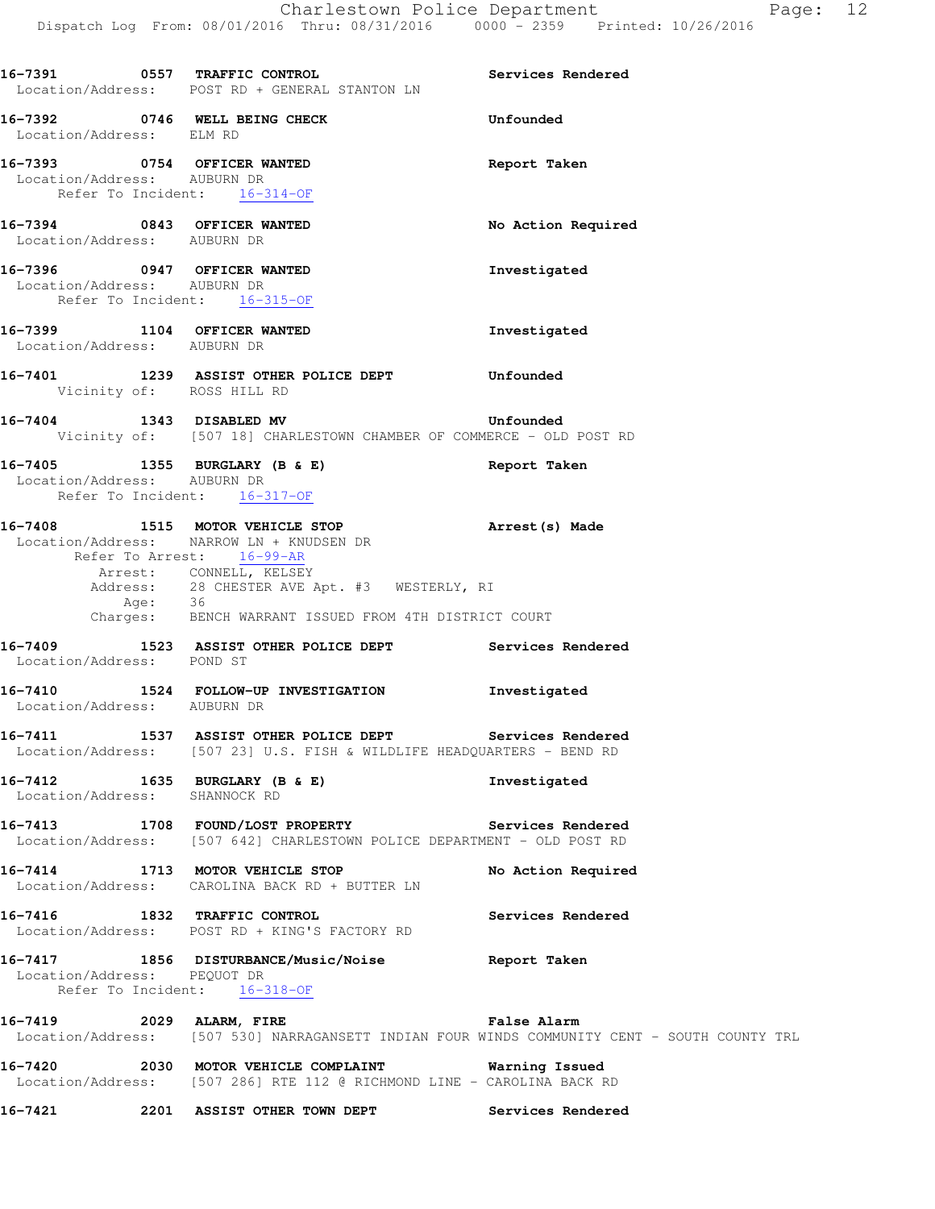| 16-7391 0557 TRAFFIC CONTROL                                | Location/Address: POST RD + GENERAL STANTON LN                                                                                                                                                                                                                            | Services Rendered                                                                                           |
|-------------------------------------------------------------|---------------------------------------------------------------------------------------------------------------------------------------------------------------------------------------------------------------------------------------------------------------------------|-------------------------------------------------------------------------------------------------------------|
| Location/Address: ELM RD                                    | 16-7392 0746 WELL BEING CHECK                                                                                                                                                                                                                                             | Unfounded                                                                                                   |
| Location/Address: AUBURN DR<br>Refer To Incident: 16-314-OF | 16-7393 0754 OFFICER WANTED                                                                                                                                                                                                                                               | Report Taken                                                                                                |
| 16-7394 0843 OFFICER WANTED<br>Location/Address: AUBURN DR  |                                                                                                                                                                                                                                                                           | No Action Required                                                                                          |
| 16-7396 0947 OFFICER WANTED<br>Location/Address: AUBURN DR  | Refer To Incident: 16-315-OF                                                                                                                                                                                                                                              | Investigated                                                                                                |
| 16-7399 1104 OFFICER WANTED<br>Location/Address: AUBURN DR  |                                                                                                                                                                                                                                                                           | Investigated                                                                                                |
| Vicinity of: ROSS HILL RD                                   | 16-7401 1239 ASSIST OTHER POLICE DEPT Unfounded                                                                                                                                                                                                                           |                                                                                                             |
|                                                             | 16-7404 1343 DISABLED MV 16-7404<br>Vicinity of: [507 18] CHARLESTOWN CHAMBER OF COMMERCE - OLD POST RD                                                                                                                                                                   |                                                                                                             |
| Location/Address: AUBURN DR                                 | 16-7405 1355 BURGLARY (B & E)<br>Refer To Incident: 16-317-OF                                                                                                                                                                                                             | Report Taken                                                                                                |
|                                                             | 16-7408 1515 MOTOR VEHICLE STOP 3 Arrest (s) Made<br>Location/Address: NARROW LN + KNUDSEN DR<br>Refer To Arrest: 16-99-AR<br>Arrest: CONNELL, KELSEY<br>Address: 28 CHESTER AVE Apt. #3 WESTERLY, RI<br>Age: 36<br>Charges: BENCH WARRANT ISSUED FROM 4TH DISTRICT COURT |                                                                                                             |
| Location/Address: POND ST                                   | 16-7409 1523 ASSIST OTHER POLICE DEPT Services Rendered                                                                                                                                                                                                                   |                                                                                                             |
| Location/Address: AUBURN DR                                 | 16-7410 1524 FOLLOW-UP INVESTIGATION                                                                                                                                                                                                                                      | Investigated                                                                                                |
|                                                             | 16-7411 1537 ASSIST OTHER POLICE DEPT Services Rendered<br>Location/Address: [507 23] U.S. FISH & WILDLIFE HEADQUARTERS - BEND RD                                                                                                                                         |                                                                                                             |
| Location/Address: SHANNOCK RD                               | 16-7412 1635 BURGLARY (B & E)                                                                                                                                                                                                                                             | Investigated                                                                                                |
|                                                             | 16-7413 1708 FOUND/LOST PROPERTY Services Rendered<br>Location/Address: [507 642] CHARLESTOWN POLICE DEPARTMENT - OLD POST RD                                                                                                                                             |                                                                                                             |
|                                                             | 16-7414 1713 MOTOR VEHICLE STOP<br>Location/Address: CAROLINA BACK RD + BUTTER LN                                                                                                                                                                                         | No Action Required                                                                                          |
|                                                             | 16-7416 1832 TRAFFIC CONTROL<br>Location/Address: POST RD + KING'S FACTORY RD                                                                                                                                                                                             | Services Rendered                                                                                           |
| Location/Address: PEQUOT DR                                 | 16-7417 1856 DISTURBANCE/Music/Noise Report Taken<br>Refer To Incident: 16-318-OF                                                                                                                                                                                         |                                                                                                             |
|                                                             | 16-7419 2029 ALARM, FIRE                                                                                                                                                                                                                                                  | False Alarm<br>Location/Address: [507 530] NARRAGANSETT INDIAN FOUR WINDS COMMUNITY CENT - SOUTH COUNTY TRL |
|                                                             | 16-7420  2030 MOTOR VEHICLE COMPLAINT  Warning Issued<br>Location/Address: [507 286] RTE 112 @ RICHMOND LINE - CAROLINA BACK RD                                                                                                                                           |                                                                                                             |
| 16-7421                                                     | 2201 ASSIST OTHER TOWN DEPT                                                                                                                                                                                                                                               | Services Rendered                                                                                           |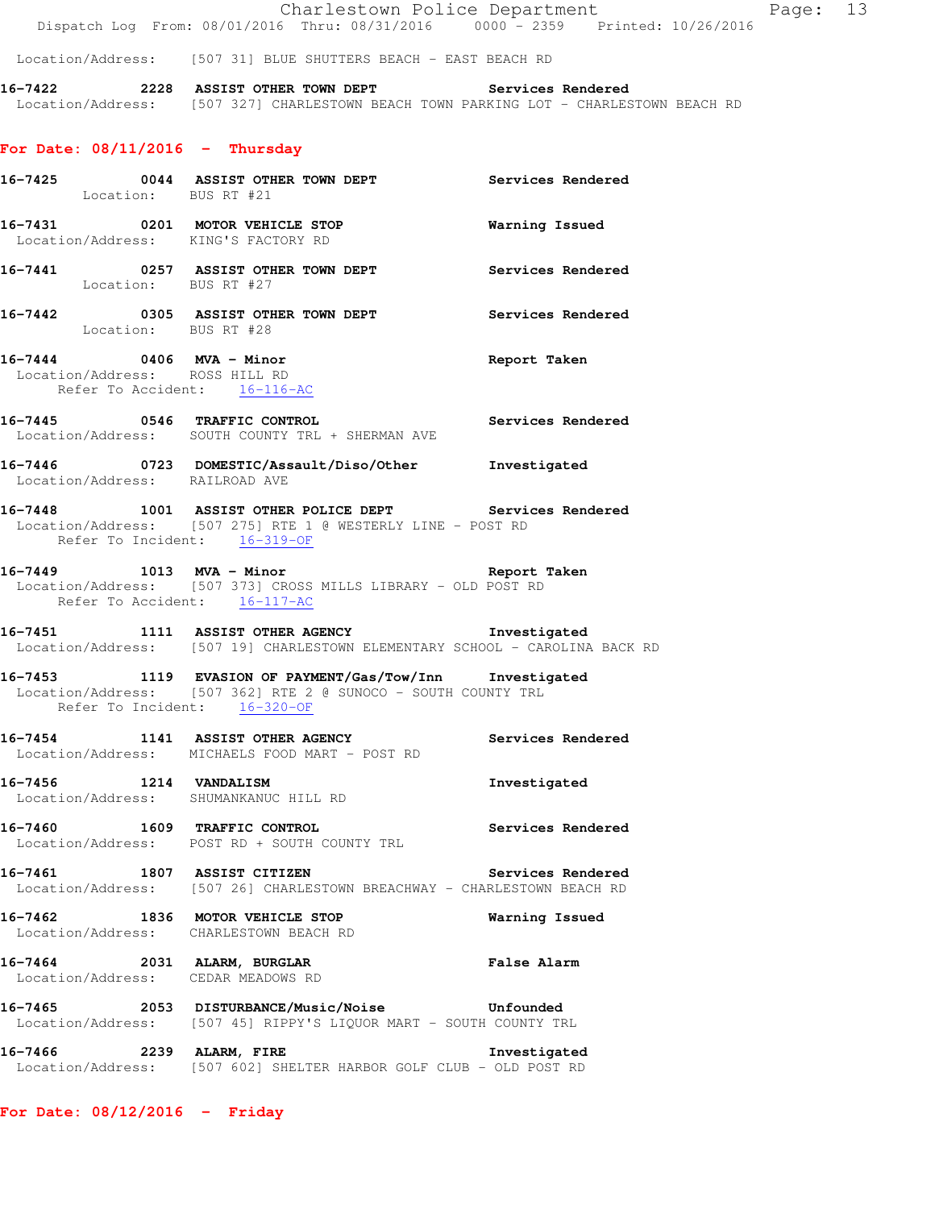Location/Address: [507 31] BLUE SHUTTERS BEACH - EAST BEACH RD

**16-7422 2228 ASSIST OTHER TOWN DEPT Services Rendered**  Location/Address: [507 327] CHARLESTOWN BEACH TOWN PARKING LOT - CHARLESTOWN BEACH RD

# **For Date: 08/11/2016 - Thursday**

| 16-7425 0044 ASSIST OTHE<br>Location: BUS RT #21                  | 0044 ASSIST OTHER TOWN DEPT Services Rendered                                                                                |                       |
|-------------------------------------------------------------------|------------------------------------------------------------------------------------------------------------------------------|-----------------------|
| Location/Address: KING'S FACTORY RD                               | 16-7431 0201 MOTOR VEHICLE STOP                                                                                              | <b>Warning Issued</b> |
|                                                                   | 16-7441 0257 ASSIST OTHER TOWN DEPT Services Rendered Location: BUS RT #27                                                   |                       |
| 16-7442 0305 ASSIST OTH<br>Location: BUS RT #28                   | 0305 ASSIST OTHER TOWN DEPT Services Rendered                                                                                |                       |
| Location/Address: ROSS HILL RD<br>Refer To Accident: 16-116-AC    | 16-7444 0406 MVA - Minor<br>Leastion (Address: Boss HILL PD                                                                  |                       |
|                                                                   | 16-7445 0546 TRAFFIC CONTROL CONTROL Services Rendered<br>Location/Address: SOUTH COUNTY TRL + SHERMAN AVE                   |                       |
| Location/Address: RAILROAD AVE                                    | 16-7446 0723 DOMESTIC/Assault/Diso/Other Investigated                                                                        |                       |
| Refer To Incident: 16-319-OF                                      | 16-7448 1001 ASSIST OTHER POLICE DEPT Services Rendered<br>Location/Address: [507 275] RTE 1 @ WESTERLY LINE - POST RD       |                       |
| Refer To Accident: 16-117-AC                                      | 16-7449 1013 MVA - Minor and the Report Taken<br>Location/Address: [507 373] CROSS MILLS LIBRARY - OLD POST RD               |                       |
|                                                                   | 16-7451 1111 ASSIST OTHER AGENCY 1nvestigated<br>Location/Address: [507 19] CHARLESTOWN ELEMENTARY SCHOOL - CAROLINA BACK RD |                       |
| Refer To Incident: 16-320-OF                                      | 16-7453 1119 EVASION OF PAYMENT/Gas/Tow/Inn Investigated<br>Location/Address: [507 362] RTE 2 @ SUNOCO - SOUTH COUNTY TRL    |                       |
|                                                                   | 16-7454 1141 ASSIST OTHER AGENCY Services Rendered<br>Location/Address: MICHAELS FOOD MART - POST RD                         |                       |
| 16-7456 1214 VANDALISM                                            | Location/Address: SHUMANKANUC HILL RD                                                                                        | Investigated          |
|                                                                   | 16-7460 1609 TRAFFIC CONTROL<br>Location/Address: POST RD + SOUTH COUNTY TRL                                                 | Services Rendered     |
| 16-7461 1807 ASSIST CITIZEN                                       | Location/Address: [507 26] CHARLESTOWN BREACHWAY - CHARLESTOWN BEACH RD                                                      | Services Rendered     |
| 16-7462 1836 MOTOR VEHICLE STOP                                   | Location/Address: CHARLESTOWN BEACH RD                                                                                       | Warning Issued        |
| 16-7464 2031 ALARM, BURGLAR<br>Location/Address: CEDAR MEADOWS RD |                                                                                                                              | <b>False Alarm</b>    |
|                                                                   | 16-7465  2053 DISTURBANCE/Music/Noise  Unfounded<br>Location/Address: [507 45] RIPPY'S LIQUOR MART - SOUTH COUNTY TRL        |                       |
| 16-7466 2239 ALARM, FIRE                                          | Location/Address: [507 602] SHELTER HARBOR GOLF CLUB - OLD POST RD                                                           | Investigated          |

**For Date: 08/12/2016 - Friday**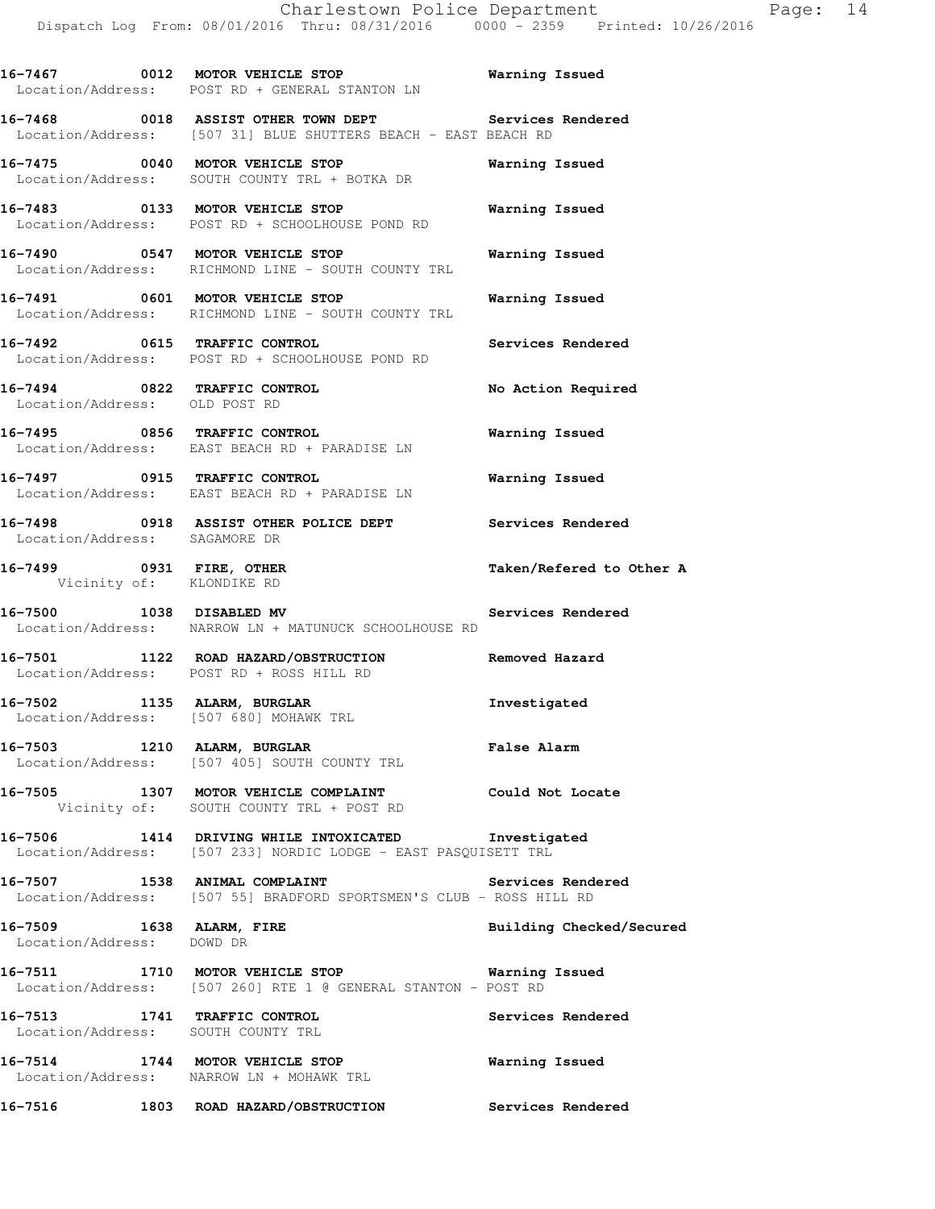**16-7467 0012 MOTOR VEHICLE STOP Warning Issued**  Location/Address: POST RD + GENERAL STANTON LN **16-7468 0018 ASSIST OTHER TOWN DEPT Services Rendered**  Location/Address: [507 31] BLUE SHUTTERS BEACH - EAST BEACH RD **16-7475 0040 MOTOR VEHICLE STOP Warning Issued**  Location/Address: SOUTH COUNTY TRL + BOTKA DR **16-7483 0133 MOTOR VEHICLE STOP Warning Issued**  Location/Address: POST RD + SCHOOLHOUSE POND RD **16-7490 0547 MOTOR VEHICLE STOP Warning Issued**  Location/Address: RICHMOND LINE - SOUTH COUNTY TRL **16-7491 0601 MOTOR VEHICLE STOP Warning Issued**  Location/Address: RICHMOND LINE - SOUTH COUNTY TRL **16-7492 0615 TRAFFIC CONTROL Services Rendered**  Location/Address: POST RD + SCHOOLHOUSE POND RD **16-7494 0822 TRAFFIC CONTROL No Action Required**  Location/Address: OLD POST RD **16-7495 0856 TRAFFIC CONTROL Warning Issued**  Location/Address: EAST BEACH RD + PARADISE LN **16-7497 0915 TRAFFIC CONTROL Warning Issued**  Location/Address: EAST BEACH RD + PARADISE LN **16-7498 0918 ASSIST OTHER POLICE DEPT Services Rendered**  Location/Address: SAGAMORE DR **16-7499 0931 FIRE, OTHER Taken/Refered to Other A**  Vicinity of: KLONDIKE RD **16-7500 1038 DISABLED MV Services Rendered**  Location/Address: NARROW LN + MATUNUCK SCHOOLHOUSE RD **16-7501 1122 ROAD HAZARD/OBSTRUCTION Removed Hazard**  Location/Address: POST RD + ROSS HILL RD **16-7502 1135 ALARM, BURGLAR Investigated**  Location/Address: [507 680] MOHAWK TRL **16-7503 1210 ALARM, BURGLAR False Alarm**  Location/Address: [507 405] SOUTH COUNTY TRL **16-7505 1307 MOTOR VEHICLE COMPLAINT Could Not Locate**  Vicinity of: SOUTH COUNTY TRL + POST RD **16-7506 1414 DRIVING WHILE INTOXICATED Investigated**  Location/Address: [507 233] NORDIC LODGE - EAST PASQUISETT TRL 16-7507 **1538 ANIMAL COMPLAINT Services Rendered**  Location/Address: [507 55] BRADFORD SPORTSMEN'S CLUB - ROSS HILL RD 16-7509 1638 ALARM, FIRE **16-7509 Building Checked/Secured**  Location/Address: DOWD DR **16-7511 1710 MOTOR VEHICLE STOP Warning Issued**  Location/Address: [507 260] RTE 1 @ GENERAL STANTON - POST RD **16-7513 1741 TRAFFIC CONTROL Services Rendered**  Location/Address: SOUTH COUNTY TRL **16-7514 1744 MOTOR VEHICLE STOP Warning Issued**  Location/Address: NARROW LN + MOHAWK TRL **16-7516 1803 ROAD HAZARD/OBSTRUCTION Services Rendered**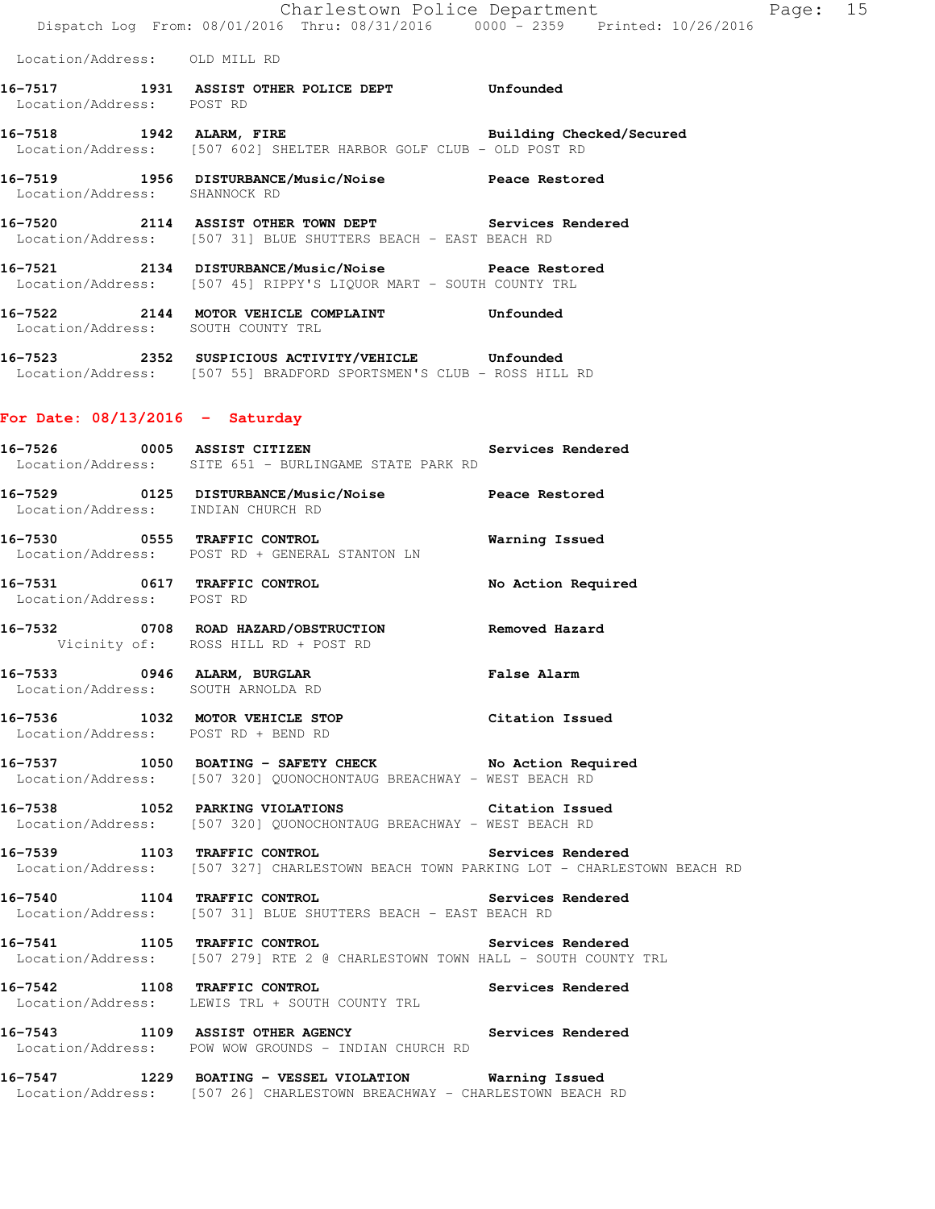Location/Address: OLD MILL RD

- **16-7517 1931 ASSIST OTHER POLICE DEPT Unfounded**  Location/Address: POST RD
- **16-7518 1942 ALARM, FIRE Building Checked/Secured**  Location/Address: [507 602] SHELTER HARBOR GOLF CLUB - OLD POST RD

**16-7519 1956 DISTURBANCE/Music/Noise Peace Restored**  Location/Address: SHANNOCK RD

- **16-7520 2114 ASSIST OTHER TOWN DEPT Services Rendered**  Location/Address: [507 31] BLUE SHUTTERS BEACH - EAST BEACH RD
- **16-7521 2134 DISTURBANCE/Music/Noise Peace Restored**  Location/Address: [507 45] RIPPY'S LIQUOR MART - SOUTH COUNTY TRL
- **16-7522 2144 MOTOR VEHICLE COMPLAINT Unfounded**  Location/Address: SOUTH COUNTY TRL
- **16-7523 2352 SUSPICIOUS ACTIVITY/VEHICLE Unfounded**  Location/Address: [507 55] BRADFORD SPORTSMEN'S CLUB - ROSS HILL RD

#### **For Date: 08/13/2016 - Saturday**

- **16-7526 0005 ASSIST CITIZEN Services Rendered**  Location/Address: SITE 651 - BURLINGAME STATE PARK RD
- **16-7529 0125 DISTURBANCE/Music/Noise Peace Restored**  Location/Address: INDIAN CHURCH RD
- **16-7530 0555 TRAFFIC CONTROL Warning Issued**  Location/Address: POST RD + GENERAL STANTON LN
- **16-7531 0617 TRAFFIC CONTROL No Action Required**  Location/Address: POST RD
- **16-7532 0708 ROAD HAZARD/OBSTRUCTION Removed Hazard**  Vicinity of: ROSS HILL RD + POST RD
- **16-7533 0946 ALARM, BURGLAR False Alarm**  Location/Address: SOUTH ARNOLDA RD
- **16-7536 1032 MOTOR VEHICLE STOP Citation Issued**  Location/Address: POST RD + BEND RD
- **16-7537 1050 BOATING SAFETY CHECK No Action Required**  Location/Address: [507 320] QUONOCHONTAUG BREACHWAY - WEST BEACH RD
- **16-7538 1052 PARKING VIOLATIONS Citation Issued**  Location/Address: [507 320] QUONOCHONTAUG BREACHWAY - WEST BEACH RD
- **16-7539 1103 TRAFFIC CONTROL Services Rendered**  Location/Address: [507 327] CHARLESTOWN BEACH TOWN PARKING LOT - CHARLESTOWN BEACH RD
- **16-7540 1104 TRAFFIC CONTROL Services Rendered**  Location/Address: [507 31] BLUE SHUTTERS BEACH - EAST BEACH RD
- **16-7541 1105 TRAFFIC CONTROL Services Rendered**  Location/Address: [507 279] RTE 2 @ CHARLESTOWN TOWN HALL - SOUTH COUNTY TRL
- **16-7542 1108 TRAFFIC CONTROL Services Rendered**  Location/Address: LEWIS TRL + SOUTH COUNTY TRL
- **16-7543 1109 ASSIST OTHER AGENCY Services Rendered**  Location/Address: POW WOW GROUNDS - INDIAN CHURCH RD
- **16-7547 1229 BOATING VESSEL VIOLATION Warning Issued**  Location/Address: [507 26] CHARLESTOWN BREACHWAY - CHARLESTOWN BEACH RD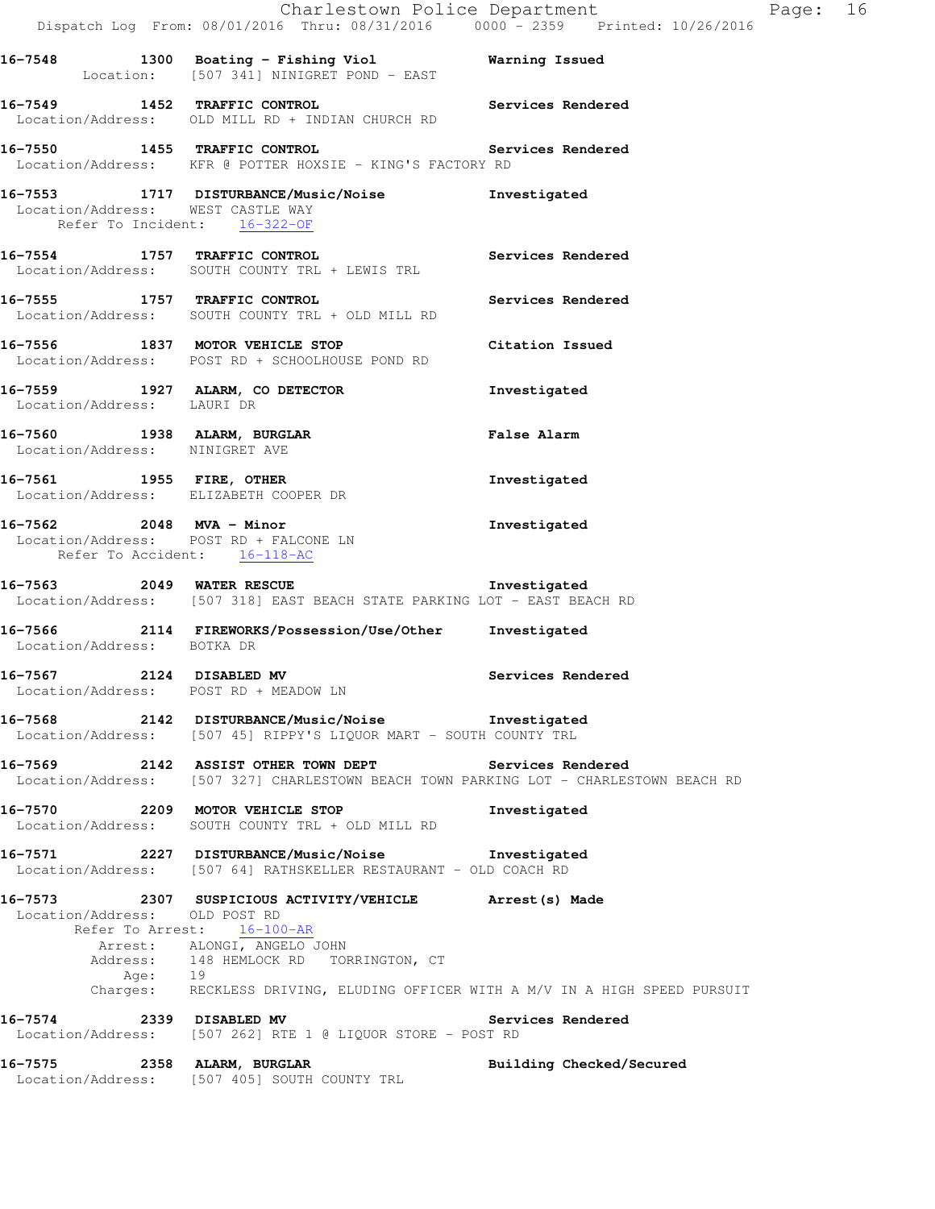|                                                                                                    | Dispatch Log From: 08/01/2016 Thru: 08/31/2016 0000 - 2359 Printed: 10/26/2016                                                                         | Charlestown Police Department<br>16<br>Page: |
|----------------------------------------------------------------------------------------------------|--------------------------------------------------------------------------------------------------------------------------------------------------------|----------------------------------------------|
|                                                                                                    | 16-7548 1300 Boating - Fishing Viol Narning Issued<br>Location: [507 341] NINIGRET POND - EAST                                                         |                                              |
| 16-7549 1452 TRAFFIC CONTROL                                                                       | Location/Address: OLD MILL RD + INDIAN CHURCH RD                                                                                                       | Services Rendered                            |
|                                                                                                    | 16-7550 1455 TRAFFIC CONTROL <b>16-8 Services</b> Rendered<br>Location/Address: KFR @ POTTER HOXSIE - KING'S FACTORY RD                                |                                              |
| Location/Address: WEST CASTLE WAY<br>Refer To Incident: 16-322-OF                                  | 16-7553 1717 DISTURBANCE/Music/Noise                                                                                                                   | Investigated                                 |
|                                                                                                    | 16-7554 1757 TRAFFIC CONTROL<br>Location/Address: SOUTH COUNTY TRL + LEWIS TRL                                                                         | Services Rendered                            |
|                                                                                                    | 16-7555 1757 TRAFFIC CONTROL<br>Location/Address: SOUTH COUNTY TRL + OLD MILL RD                                                                       | Services Rendered                            |
|                                                                                                    | 16-7556 1837 MOTOR VEHICLE STOP<br>Location/Address: POST RD + SCHOOLHOUSE POND RD                                                                     | Citation Issued                              |
| Location/Address: LAURI DR                                                                         | 16-7559 1927 ALARM, CO DETECTOR                                                                                                                        | Investigated                                 |
| 16-7560 1938 ALARM, BURGLAR<br>Location/Address: NINIGRET AVE                                      |                                                                                                                                                        | <b>False Alarm</b>                           |
| 16-7561 1955 FIRE, OTHER<br>Location/Address: ELIZABETH COOPER DR                                  |                                                                                                                                                        | Investigated                                 |
| 16-7562 2048 MVA - Minor<br>Location/Address: POST RD + FALCONE LN<br>Refer To Accident: 16-118-AC |                                                                                                                                                        | Investigated                                 |
|                                                                                                    | 16-7563 2049 WATER RESCUE 2008 Investigated<br>Location/Address: [507 318] EAST BEACH STATE PARKING LOT - EAST BEACH RD                                |                                              |
| Location/Address: BOTKA DR                                                                         | 16-7566 2114 FIREWORKS/Possession/Use/Other                                                                                                            | Investigated                                 |
| 16-7567 2124 DISABLED MV<br>Location/Address: POST RD + MEADOW LN                                  |                                                                                                                                                        | Services Rendered                            |
|                                                                                                    | 16-7568 2142 DISTURBANCE/Music/Noise Investigated<br>Location/Address: [507 45] RIPPY'S LIQUOR MART - SOUTH COUNTY TRL                                 |                                              |
|                                                                                                    | 16-7569 2142 ASSIST OTHER TOWN DEPT Services Rendered<br>Location/Address: [507 327] CHARLESTOWN BEACH TOWN PARKING LOT - CHARLESTOWN BEACH RD         |                                              |
| 16-7570                                                                                            | 2209 MOTOR VEHICLE STOP<br>Location/Address: SOUTH COUNTY TRL + OLD MILL RD                                                                            | Investigated                                 |
|                                                                                                    | 16-7571 2227 DISTURBANCE/Music/Noise Investigated<br>Location/Address: [507 64] RATHSKELLER RESTAURANT - OLD COACH RD                                  |                                              |
| Location/Address: OLD POST RD                                                                      | Refer To Arrest: 16-100-AR                                                                                                                             |                                              |
| Age: 19                                                                                            | Arrest: ALONGI, ANGELO JOHN<br>Address: 148 HEMLOCK RD TORRINGTON, CT<br>Charges: RECKLESS DRIVING, ELUDING OFFICER WITH A M/V IN A HIGH SPEED PURSUIT |                                              |
|                                                                                                    | 16-7574 2339 DISABLED MV<br>Location/Address: [507 262] RTE 1 @ LIQUOR STORE - POST RD                                                                 | Services Rendered                            |
| 16-7575                                                                                            | 2358 ALARM, BURGLAR<br>Location/Address: [507 405] SOUTH COUNTY TRL                                                                                    | Building Checked/Secured                     |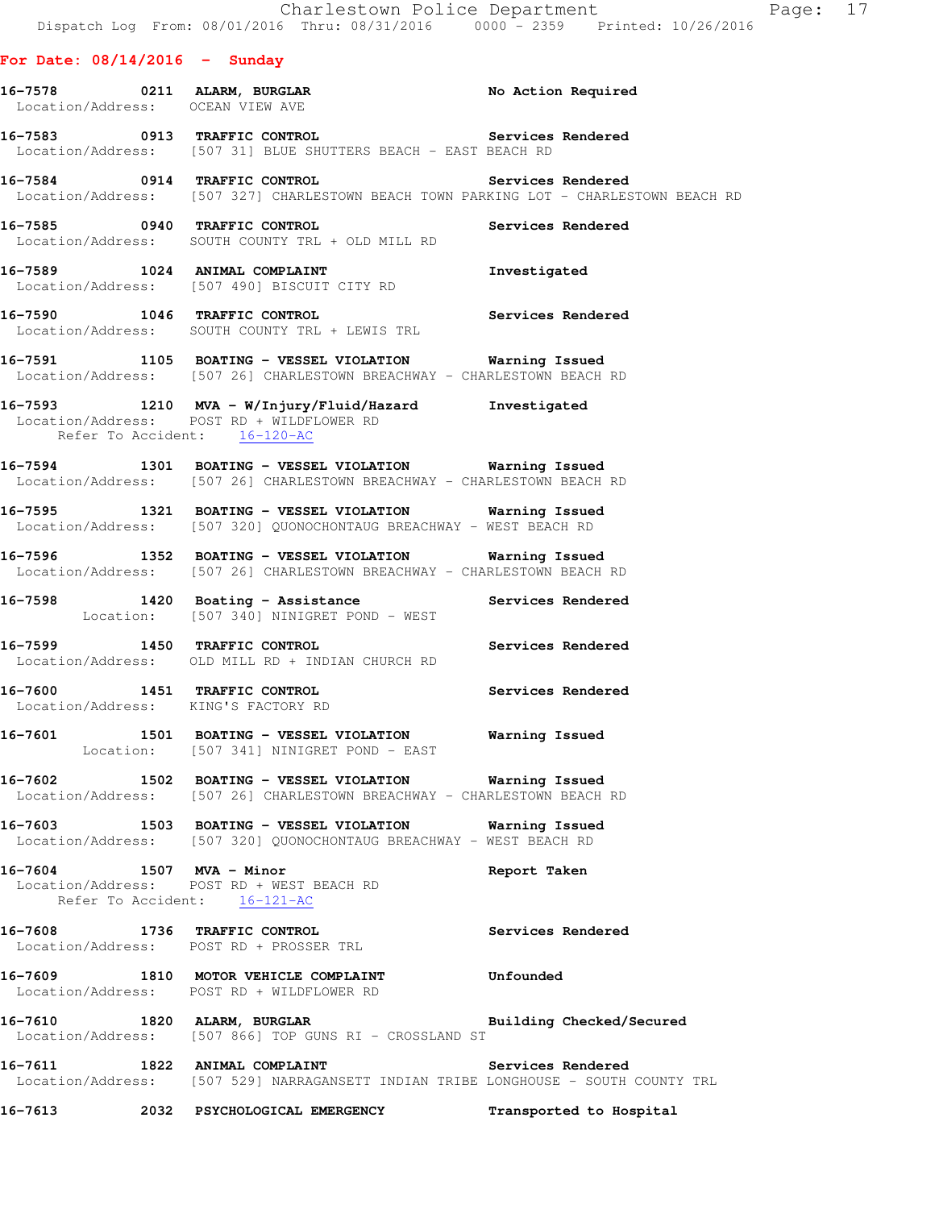#### **For Date: 08/14/2016 - Sunday**

| No Action Required<br>0211 ALARM, BURGLAR |  |
|-------------------------------------------|--|
| OCEAN VIEW AVE                            |  |
|                                           |  |

- **16-7583 0913 TRAFFIC CONTROL Services Rendered**  Location/Address: [507 31] BLUE SHUTTERS BEACH - EAST BEACH RD
- **16-7584 0914 TRAFFIC CONTROL Services Rendered**  Location/Address: [507 327] CHARLESTOWN BEACH TOWN PARKING LOT - CHARLESTOWN BEACH RD
- **16-7585 0940 TRAFFIC CONTROL Services Rendered**  Location/Address: SOUTH COUNTY TRL + OLD MILL RD
- **16-7589 1024 ANIMAL COMPLAINT Investigated**  Location/Address: [507 490] BISCUIT CITY RD
- **16-7590 1046 TRAFFIC CONTROL Services Rendered**  Location/Address: SOUTH COUNTY TRL + LEWIS TRL
- **16-7591 1105 BOATING VESSEL VIOLATION Warning Issued**  Location/Address: [507 26] CHARLESTOWN BREACHWAY - CHARLESTOWN BEACH RD
- **16-7593 1210 MVA W/Injury/Fluid/Hazard Investigated**  Location/Address: POST RD + WILDFLOWER RD Refer To Accident: 16-120-AC
- **16-7594 1301 BOATING VESSEL VIOLATION Warning Issued**  Location/Address: [507 26] CHARLESTOWN BREACHWAY - CHARLESTOWN BEACH RD
- **16-7595 1321 BOATING VESSEL VIOLATION Warning Issued**  Location/Address: [507 320] QUONOCHONTAUG BREACHWAY - WEST BEACH RD
- **16-7596 1352 BOATING VESSEL VIOLATION Warning Issued**  Location/Address: [507 26] CHARLESTOWN BREACHWAY - CHARLESTOWN BEACH RD
- **16-7598 1420 Boating Assistance Services Rendered**  Location: [507 340] NINIGRET POND - WEST
- **16-7599 1450 TRAFFIC CONTROL Services Rendered**  Location/Address: OLD MILL RD + INDIAN CHURCH RD
- **16-7600 1451 TRAFFIC CONTROL Services Rendered**  Location/Address: KING'S FACTORY RD
- **16-7601 1501 BOATING VESSEL VIOLATION Warning Issued**  Location: [507 341] NINIGRET POND - EAST
- **16-7602 1502 BOATING VESSEL VIOLATION Warning Issued**  Location/Address: [507 26] CHARLESTOWN BREACHWAY - CHARLESTOWN BEACH RD
- **16-7603 1503 BOATING VESSEL VIOLATION Warning Issued**  Location/Address: [507 320] QUONOCHONTAUG BREACHWAY - WEST BEACH RD
- **16-7604 1507 MVA Minor Report Taken**  Location/Address: POST RD + WEST BEACH RD Refer To Accident: 16-121-AC
- **16-7608 1736 TRAFFIC CONTROL Services Rendered**  Location/Address: POST RD + PROSSER TRL
- **16-7609 1810 MOTOR VEHICLE COMPLAINT Unfounded**  Location/Address: POST RD + WILDFLOWER RD
- **16-7610 1820 ALARM, BURGLAR Building Checked/Secured**  Location/Address: [507 866] TOP GUNS RI - CROSSLAND ST
- **16-7611 1822 ANIMAL COMPLAINT Services Rendered**  Location/Address: [507 529] NARRAGANSETT INDIAN TRIBE LONGHOUSE - SOUTH COUNTY TRL
- **16-7613 2032 PSYCHOLOGICAL EMERGENCY Transported to Hospital**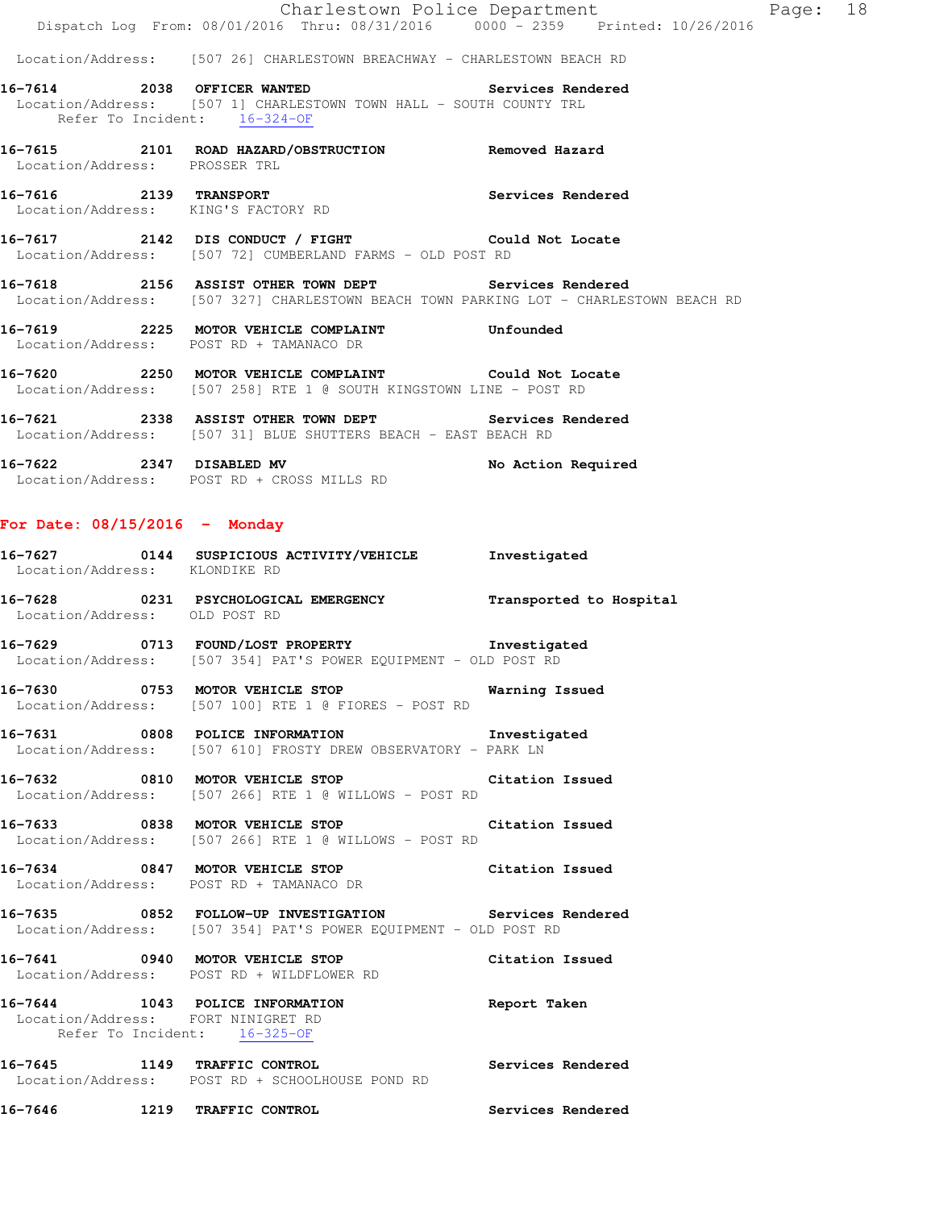Charlestown Police Department Fage: 18 Dispatch Log From: 08/01/2016 Thru: 08/31/2016 0000 - 2359 Printed: 10/26/2016 Location/Address: [507 26] CHARLESTOWN BREACHWAY - CHARLESTOWN BEACH RD **16-7614 2038 OFFICER WANTED Services Rendered**  Location/Address: [507 1] CHARLESTOWN TOWN HALL - SOUTH COUNTY TRL Refer To Incident:  $\frac{16-324-OF}{16}$ **16-7615 2101 ROAD HAZARD/OBSTRUCTION Removed Hazard**  Location/Address: PROSSER TRL **16-7616 2139 TRANSPORT Services Rendered**  Location/Address: KING'S FACTORY RD **16-7617 2142 DIS CONDUCT / FIGHT Could Not Locate**  Location/Address: [507 72] CUMBERLAND FARMS - OLD POST RD **16-7618 2156 ASSIST OTHER TOWN DEPT Services Rendered**  Location/Address: [507 327] CHARLESTOWN BEACH TOWN PARKING LOT - CHARLESTOWN BEACH RD **16-7619 2225 MOTOR VEHICLE COMPLAINT Unfounded**  Location/Address: POST RD + TAMANACO DR **16-7620 2250 MOTOR VEHICLE COMPLAINT Could Not Locate**  Location/Address: [507 258] RTE 1 @ SOUTH KINGSTOWN LINE - POST RD **16-7621 2338 ASSIST OTHER TOWN DEPT Services Rendered**  Location/Address: [507 31] BLUE SHUTTERS BEACH - EAST BEACH RD **16-7622 2347 DISABLED MV No Action Required**  Location/Address: POST RD + CROSS MILLS RD **For Date: 08/15/2016 - Monday 16-7627 0144 SUSPICIOUS ACTIVITY/VEHICLE Investigated**  Location/Address: KLONDIKE RD **16-7628 0231 PSYCHOLOGICAL EMERGENCY Transported to Hospital**  Location/Address: OLD POST RD **16-7629 0713 FOUND/LOST PROPERTY Investigated**  Location/Address: [507 354] PAT'S POWER EQUIPMENT - OLD POST RD **16-7630 0753 MOTOR VEHICLE STOP Warning Issued**  Location/Address: [507 100] RTE 1 @ FIORES - POST RD **16-7631 0808 POLICE INFORMATION Investigated**  Location/Address: [507 610] FROSTY DREW OBSERVATORY - PARK LN **16-7632 0810 MOTOR VEHICLE STOP Citation Issued**  Location/Address: [507 266] RTE 1 @ WILLOWS - POST RD **16-7633 0838 MOTOR VEHICLE STOP Citation Issued**  Location/Address: [507 266] RTE 1 @ WILLOWS - POST RD **16-7634 0847 MOTOR VEHICLE STOP Citation Issued**  Location/Address: POST RD + TAMANACO DR **16-7635 0852 FOLLOW-UP INVESTIGATION Services Rendered**  Location/Address: [507 354] PAT'S POWER EQUIPMENT - OLD POST RD **16-7641 0940 MOTOR VEHICLE STOP Citation Issued**  Location/Address: POST RD + WILDFLOWER RD **16-7644 1043 POLICE INFORMATION Report Taken**  Location/Address: FORT NINIGRET RD Refer To Incident: 16-325-OF

**16-7645 1149 TRAFFIC CONTROL Services Rendered**  Location/Address: POST RD + SCHOOLHOUSE POND RD

**16-7646 1219 TRAFFIC CONTROL Services Rendered**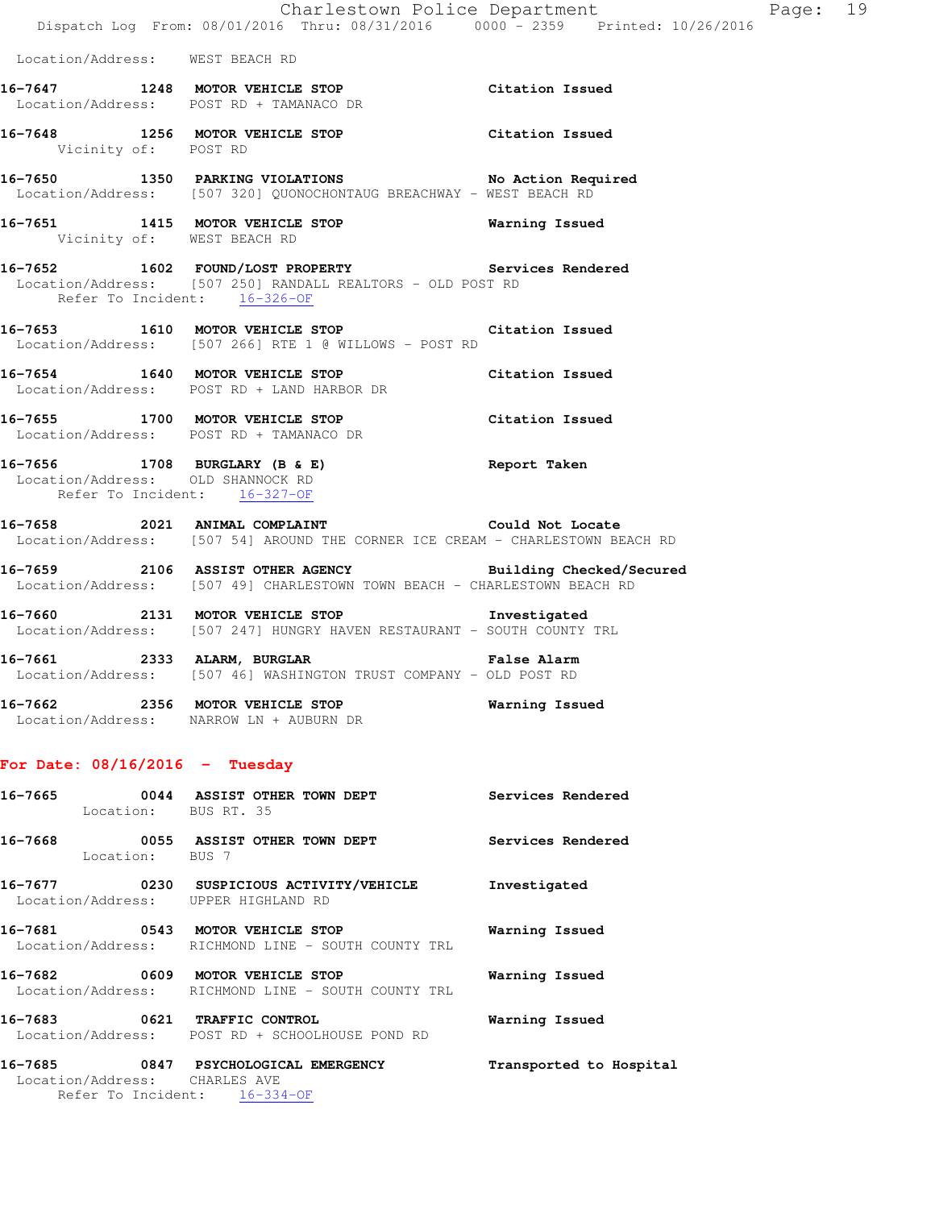|                                  | Charlestown Police Department<br>Dispatch Log From: 08/01/2016 Thru: 08/31/2016 0000 - 2359 Printed: 10/26/2016                                                     |                          |
|----------------------------------|---------------------------------------------------------------------------------------------------------------------------------------------------------------------|--------------------------|
| Location/Address: WEST BEACH RD  |                                                                                                                                                                     |                          |
|                                  | 16-7647 1248 MOTOR VEHICLE STOP Citation Issued<br>Location/Address: POST RD + TAMANACO DR                                                                          |                          |
| Vicinity of: POST RD             | 16-7648 1256 MOTOR VEHICLE STOP Citation Issued                                                                                                                     |                          |
|                                  | <br> 16-7650            1350   PARKING VIOLATIONS                         No Action Required<br>Location/Address: [507 320] QUONOCHONTAUG BREACHWAY - WEST BEACH RD |                          |
|                                  | 16-7651 1415 MOTOR VEHICLE STOP Warning Issued<br>Vicinity of: WEST BEACH RD                                                                                        |                          |
| Refer To Incident: 16-326-OF     | 16-7652 1602 FOUND/LOST PROPERTY Services Rendered<br>Location/Address: [507 250] RANDALL REALTORS - OLD POST RD                                                    |                          |
|                                  | 16-7653 1610 MOTOR VEHICLE STOP Citation Issued<br>Location/Address: [507 266] RTE 1 @ WILLOWS - POST RD                                                            |                          |
|                                  | 16-7654 1640 MOTOR VEHICLE STOP Citation Issued<br>Location/Address: POST RD + LAND HARBOR DR                                                                       |                          |
|                                  | 16-7655 1700 MOTOR VEHICLE STOP Citation Issued<br>Location/Address: POST RD + TAMANACO DR                                                                          |                          |
|                                  | 16-7656 1708 BURGLARY (B & E) Report Taken<br>Location/Address: OLD SHANNOCK RD<br>Refer To Incident: 16-327-OF                                                     |                          |
|                                  | 16-7658 2021 ANIMAL COMPLAINT<br>Location/Address: [507 54] AROUND THE CORNER ICE CREAM - CHARLESTOWN BEACH RD                                                      | Could Not Locate         |
|                                  | 16-7659 2106 ASSIST OTHER AGENCY Building Checked/Secured<br>Location/Address: [507 49] CHARLESTOWN TOWN BEACH - CHARLESTOWN BEACH RD                               |                          |
|                                  | 16-7660 2131 MOTOR VEHICLE STOP Threstigated<br>Location/Address: [507 247] HUNGRY HAVEN RESTAURANT - SOUTH COUNTY TRL                                              |                          |
|                                  | 16-7661 2333 ALARM, BURGLAR 2008 False Alarm<br>Location/Address: [507 46] WASHINGTON TRUST COMPANY - OLD POST RD                                                   |                          |
|                                  | 16-7662 2356 MOTOR VEHICLE STOP<br>Location/Address: NARROW LN + AUBURN DR                                                                                          | Warning Issued           |
| For Date: $08/16/2016$ - Tuesday |                                                                                                                                                                     |                          |
| Location: BUS RT. 35             | 16-7665 0044 ASSIST OTHER TOWN DEPT Services Rendered                                                                                                               |                          |
| Location: BUS 7                  | 16-7668 0055 ASSIST OTHER TOWN DEPT                                                                                                                                 | <b>Services Rendered</b> |
|                                  | 16-7677 0230 SUSPICIOUS ACTIVITY/VEHICLE Investigated<br>Location/Address: UPPER HIGHLAND RD                                                                        |                          |
|                                  | 16-7681 0543 MOTOR VEHICLE STOP<br>Location/Address: RICHMOND LINE - SOUTH COUNTY TRL                                                                               | Warning Issued           |
|                                  | 16-7682 0609 MOTOR VEHICLE STOP                                                                                                                                     | <b>Warning Issued</b>    |

Page: 19

 Location/Address: RICHMOND LINE - SOUTH COUNTY TRL **16-7683 0621 TRAFFIC CONTROL Warning Issued** 

Location/Address: POST RD + SCHOOLHOUSE POND RD

**16-7685 0847 PSYCHOLOGICAL EMERGENCY Transported to Hospital**  Location/Address: CHARLES AVE Refer To Incident:  $\frac{16-334}{-}$ OF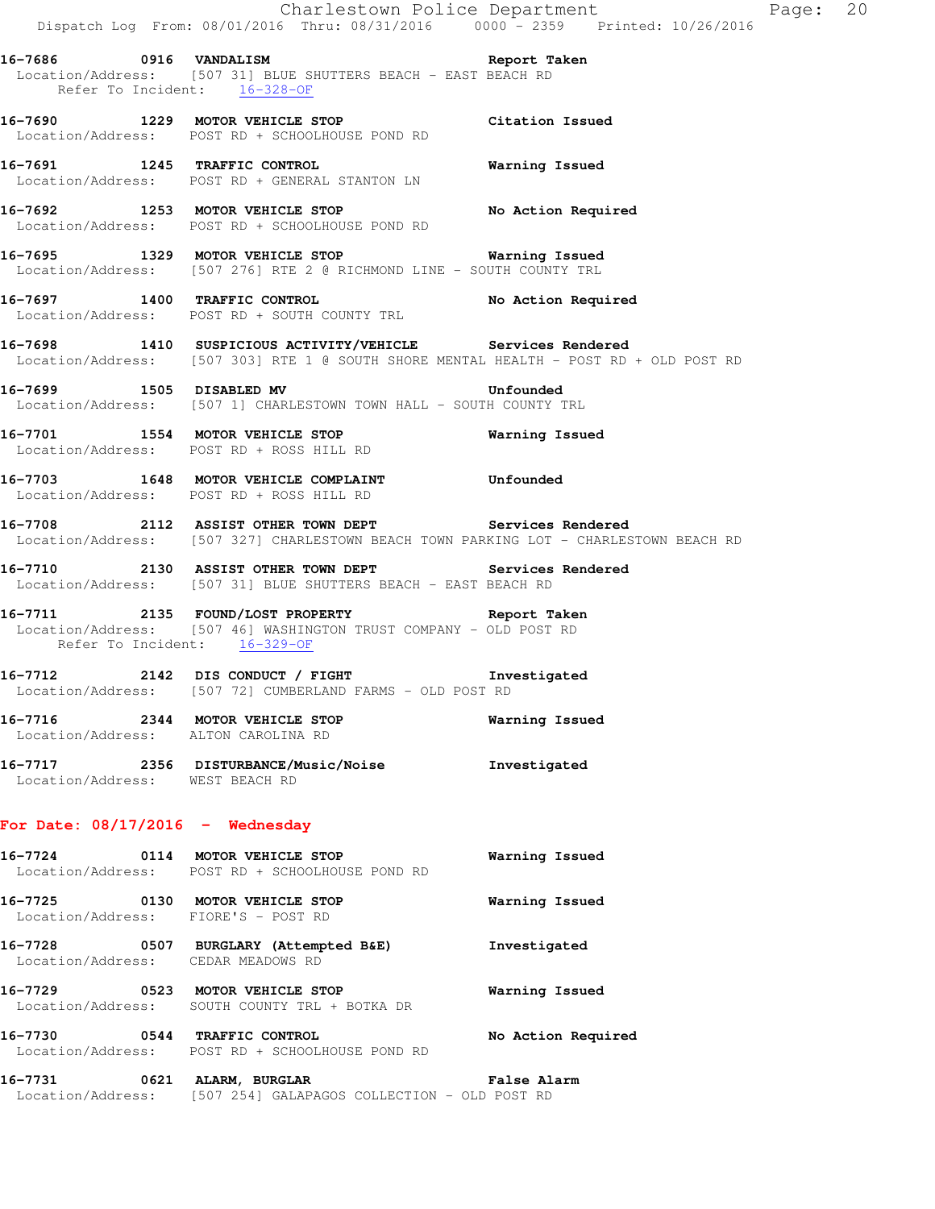**16-7686 0916 VANDALISM Report Taken**  Location/Address: [507 31] BLUE SHUTTERS BEACH - EAST BEACH RD Refer To Incident: 16-328-OF

**16-7690 1229 MOTOR VEHICLE STOP Citation Issued**  Location/Address: POST RD + SCHOOLHOUSE POND RD

**16-7691 1245 TRAFFIC CONTROL Warning Issued**  Location/Address: POST RD + GENERAL STANTON LN

16-7692 1253 MOTOR VEHICLE STOP No Action Required Location/Address: POST RD + SCHOOLHOUSE POND RD

**16-7695 1329 MOTOR VEHICLE STOP Warning Issued**  Location/Address: [507 276] RTE 2 @ RICHMOND LINE - SOUTH COUNTY TRL

**16-7697 1400 TRAFFIC CONTROL No Action Required**  Location/Address: POST RD + SOUTH COUNTY TRL

**16-7698 1410 SUSPICIOUS ACTIVITY/VEHICLE Services Rendered**  Location/Address: [507 303] RTE 1 @ SOUTH SHORE MENTAL HEALTH - POST RD + OLD POST RD

**16-7699 1505 DISABLED MV Unfounded**  Location/Address: [507 1] CHARLESTOWN TOWN HALL - SOUTH COUNTY TRL

**16-7701 1554 MOTOR VEHICLE STOP Warning Issued**  Location/Address: POST RD + ROSS HILL RD

**16-7703 1648 MOTOR VEHICLE COMPLAINT Unfounded**  Location/Address: POST RD + ROSS HILL RD

**16-7708 2112 ASSIST OTHER TOWN DEPT Services Rendered**  Location/Address: [507 327] CHARLESTOWN BEACH TOWN PARKING LOT - CHARLESTOWN BEACH RD

**16-7710 2130 ASSIST OTHER TOWN DEPT Services Rendered**  Location/Address: [507 31] BLUE SHUTTERS BEACH - EAST BEACH RD

**16-7711 2135 FOUND/LOST PROPERTY Report Taken**  Location/Address: [507 46] WASHINGTON TRUST COMPANY - OLD POST RD Refer To Incident: 16-329-OF

**16-7712 2142 DIS CONDUCT / FIGHT Investigated**  Location/Address: [507 72] CUMBERLAND FARMS - OLD POST RD

**16-7716 2344 MOTOR VEHICLE STOP Warning Issued**  Location/Address: ALTON CAROLINA RD

**16-7717 2356 DISTURBANCE/Music/Noise Investigated**  Location/Address: WEST BEACH RD

#### **For Date: 08/17/2016 - Wednesday**

**16-7724 0114 MOTOR VEHICLE STOP Warning Issued**  Location/Address: POST RD + SCHOOLHOUSE POND RD **16-7725 0130 MOTOR VEHICLE STOP Warning Issued** 

Location/Address: FIORE'S - POST RD

**16-7728 0507 BURGLARY (Attempted B&E) Investigated**  Location/Address: CEDAR MEADOWS RD

**16-7729 0523 MOTOR VEHICLE STOP Warning Issued**  Location/Address: SOUTH COUNTY TRL + BOTKA DR

**16-7730 0544 TRAFFIC CONTROL No Action Required**  Location/Address: POST RD + SCHOOLHOUSE POND RD

**16-7731 0621 ALARM, BURGLAR False Alarm**  Location/Address: [507 254] GALAPAGOS COLLECTION - OLD POST RD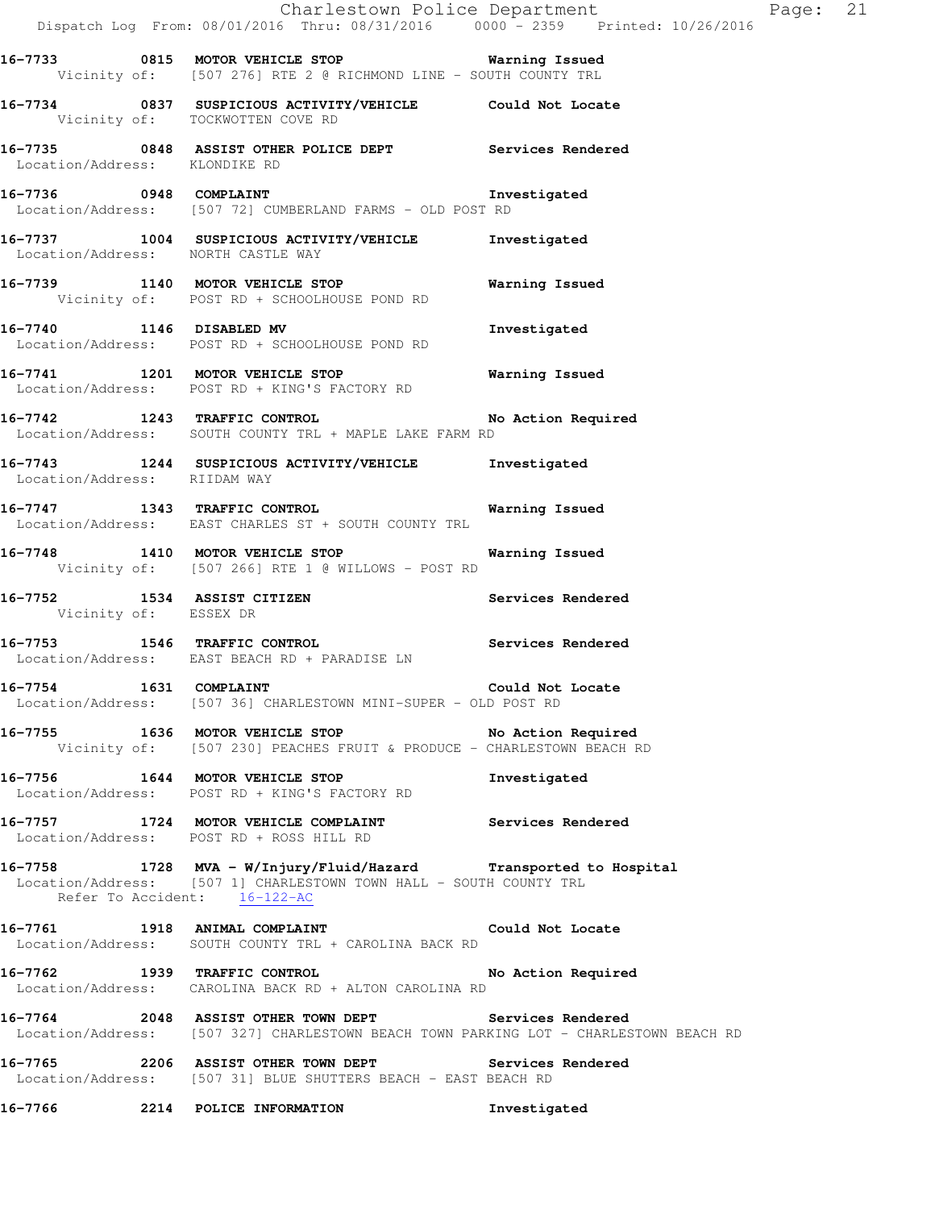|                                    | Dispatch Log From: 08/01/2016 Thru: 08/31/2016 0000 - 2359 Printed: 10/26/2016                                                                                         | Charlestown Police Department Page: 21 |  |
|------------------------------------|------------------------------------------------------------------------------------------------------------------------------------------------------------------------|----------------------------------------|--|
|                                    | 16-7733 0815 MOTOR VEHICLE STOP 6 Warning Issued<br>Vicinity of: [507 276] RTE 2 @ RICHMOND LINE - SOUTH COUNTY TRL                                                    |                                        |  |
| Vicinity of: TOCKWOTTEN COVE RD    | 16-7734 0837 SUSPICIOUS ACTIVITY/VEHICLE Could Not Locate                                                                                                              |                                        |  |
| Location/Address: KLONDIKE RD      | 16-7735 0848 ASSIST OTHER POLICE DEPT Services Rendered                                                                                                                |                                        |  |
|                                    | 16-7736 0948 COMPLAINT Investigated<br>Location/Address: [507 72] CUMBERLAND FARMS - OLD POST RD                                                                       |                                        |  |
| Location/Address: NORTH CASTLE WAY | 16-7737 1004 SUSPICIOUS ACTIVITY/VEHICLE Investigated                                                                                                                  |                                        |  |
|                                    | 16-7739 1140 MOTOR VEHICLE STOP 6 Warning Issued<br>Vicinity of: POST RD + SCHOOLHOUSE POND RD                                                                         |                                        |  |
|                                    | 16-7740 1146 DISABLED MV<br>Location/Address: POST RD + SCHOOLHOUSE POND RD                                                                                            | Investigated                           |  |
|                                    | 16-7741 1201 MOTOR VEHICLE STOP 6 Warning Issued<br>Location/Address: POST RD + KING'S FACTORY RD                                                                      |                                        |  |
|                                    | 16-7742 1243 TRAFFIC CONTROL No Action Required<br>Location/Address: SOUTH COUNTY TRL + MAPLE LAKE FARM RD                                                             |                                        |  |
| Location/Address: RIIDAM WAY       | 16-7743 1244 SUSPICIOUS ACTIVITY/VEHICLE Investigated                                                                                                                  |                                        |  |
|                                    | 16-7747 1343 TRAFFIC CONTROL<br>Location/Address: EAST CHARLES ST + SOUTH COUNTY TRL                                                                                   | Warning Issued                         |  |
|                                    | 16-7748 1410 MOTOR VEHICLE STOP 6 Warning Issued<br>Vicinity of: [507 266] RTE 1 @ WILLOWS - POST RD                                                                   |                                        |  |
| Vicinity of: ESSEX DR              | 16-7752 1534 ASSIST CITIZEN                                                                                                                                            | Services Rendered                      |  |
|                                    | $16-7753$ 1546 TRAFFIC CONTROL<br>Location/Address: EAST BEACH RD + PARADISE LN                                                                                        | Services Rendered                      |  |
|                                    | 16-7754 1631 COMPLAINT COMPRESSES Could Not Locate<br>Location/Address: [507 36] CHARLESTOWN MINI-SUPER - OLD POST RD                                                  |                                        |  |
|                                    | 16-7755 1636 MOTOR VEHICLE STOP No Action Required<br>Vicinity of: [507 230] PEACHES FRUIT & PRODUCE - CHARLESTOWN BEACH RD                                            |                                        |  |
|                                    | 16-7756 1644 MOTOR VEHICLE STOP<br>Location/Address: POST RD + KING'S FACTORY RD                                                                                       | Investigated                           |  |
|                                    | 16-7757 1724 MOTOR VEHICLE COMPLAINT Services Rendered<br>Location/Address: POST RD + ROSS HILL RD                                                                     |                                        |  |
|                                    | 16-7758 1728 MVA - W/Injury/Fluid/Hazard Transported to Hospital<br>Location/Address: [507 1] CHARLESTOWN TOWN HALL - SOUTH COUNTY TRL<br>Refer To Accident: 16-122-AC |                                        |  |
|                                    | 16-7761 1918 ANIMAL COMPLAINT COULD Could Not Locate<br>Location/Address: SOUTH COUNTY TRL + CAROLINA BACK RD                                                          |                                        |  |
|                                    | 16-7762 1939 TRAFFIC CONTROL No Action Required<br>Location/Address: CAROLINA BACK RD + ALTON CAROLINA RD                                                              |                                        |  |
|                                    | 16-7764 2048 ASSIST OTHER TOWN DEPT Services Rendered<br>Location/Address: [507 327] CHARLESTOWN BEACH TOWN PARKING LOT - CHARLESTOWN BEACH RD                         |                                        |  |
|                                    | 16-7765 2206 ASSIST OTHER TOWN DEPT Services Rendered<br>Location/Address: [507 31] BLUE SHUTTERS BEACH - EAST BEACH RD                                                |                                        |  |
|                                    | 16-7766 2214 POLICE INFORMATION                                                                                                                                        | Investigated                           |  |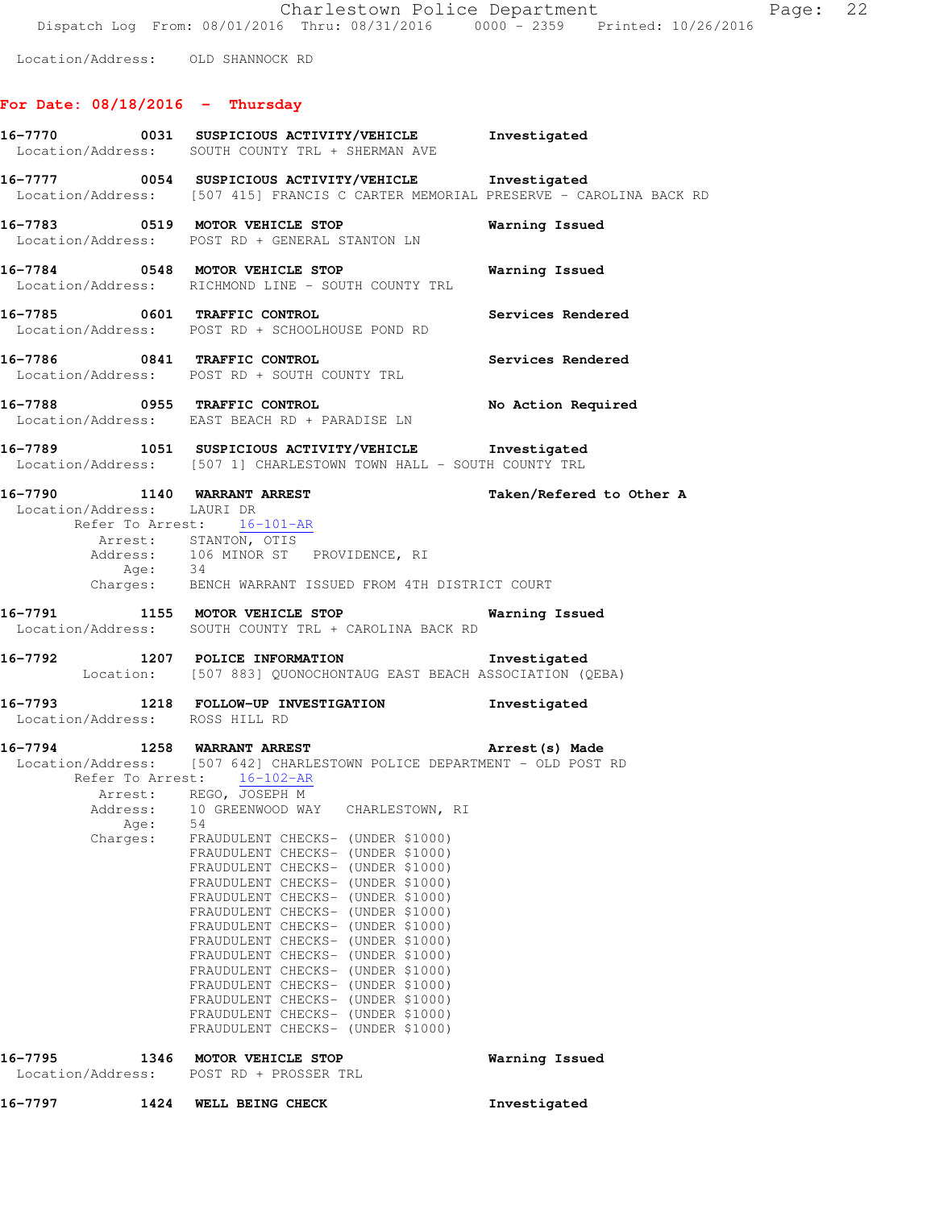Location/Address: OLD SHANNOCK RD

# **For Date: 08/18/2016 - Thursday**

|                                                           | 16-7770 0031 SUSPICIOUS ACTIVITY/VEHICLE Investigated<br>Location/Address: SOUTH COUNTY TRL + SHERMAN AVE                                                                                                                                                                                                                                                                                                                                                                                                                                                                                                                                                                                                                                                                    |                          |
|-----------------------------------------------------------|------------------------------------------------------------------------------------------------------------------------------------------------------------------------------------------------------------------------------------------------------------------------------------------------------------------------------------------------------------------------------------------------------------------------------------------------------------------------------------------------------------------------------------------------------------------------------------------------------------------------------------------------------------------------------------------------------------------------------------------------------------------------------|--------------------------|
|                                                           | 16-7777 0054 SUSPICIOUS ACTIVITY/VEHICLE Investigated<br>Location/Address: [507 415] FRANCIS C CARTER MEMORIAL PRESERVE - CAROLINA BACK RD                                                                                                                                                                                                                                                                                                                                                                                                                                                                                                                                                                                                                                   |                          |
|                                                           | 16-7783 0519 MOTOR VEHICLE STOP<br>Location/Address: POST RD + GENERAL STANTON LN                                                                                                                                                                                                                                                                                                                                                                                                                                                                                                                                                                                                                                                                                            | Warning Issued           |
|                                                           | 16-7784 0548 MOTOR VEHICLE STOP<br>Location/Address: RICHMOND LINE - SOUTH COUNTY TRL                                                                                                                                                                                                                                                                                                                                                                                                                                                                                                                                                                                                                                                                                        | Warning Issued           |
|                                                           | 16-7785 0601 TRAFFIC CONTROL<br>Location/Address: POST RD + SCHOOLHOUSE POND RD                                                                                                                                                                                                                                                                                                                                                                                                                                                                                                                                                                                                                                                                                              | Services Rendered        |
|                                                           | 16-7786 0841 TRAFFIC CONTROL<br>Location/Address: POST RD + SOUTH COUNTY TRL                                                                                                                                                                                                                                                                                                                                                                                                                                                                                                                                                                                                                                                                                                 | Services Rendered        |
|                                                           | 16-7788 0955 TRAFFIC CONTROL<br>Location/Address: EAST BEACH RD + PARADISE LN                                                                                                                                                                                                                                                                                                                                                                                                                                                                                                                                                                                                                                                                                                | No Action Required       |
|                                                           | 16-7789 1051 SUSPICIOUS ACTIVITY/VEHICLE Investigated<br>Location/Address: [507 1] CHARLESTOWN TOWN HALL - SOUTH COUNTY TRL                                                                                                                                                                                                                                                                                                                                                                                                                                                                                                                                                                                                                                                  |                          |
| 16-7790 1140 WARRANT ARREST<br>Location/Address: LAURI DR | Refer To Arrest: 16-101-AR<br>Arrest: STANTON, OTIS<br>Address: 106 MINOR ST PROVIDENCE, RI<br>Age: 34<br>Charges: BENCH WARRANT ISSUED FROM 4TH DISTRICT COURT                                                                                                                                                                                                                                                                                                                                                                                                                                                                                                                                                                                                              | Taken/Refered to Other A |
|                                                           | 16-7791 1155 MOTOR VEHICLE STOP<br>Location/Address: SOUTH COUNTY TRL + CAROLINA BACK RD                                                                                                                                                                                                                                                                                                                                                                                                                                                                                                                                                                                                                                                                                     | Warning Issued           |
|                                                           | 16-7792 1207 POLICE INFORMATION<br>Location: [507 883] QUONOCHONTAUG EAST BEACH ASSOCIATION (QEBA)                                                                                                                                                                                                                                                                                                                                                                                                                                                                                                                                                                                                                                                                           | Investigated             |
| Location/Address: ROSS HILL RD                            | 16-7793 1218 FOLLOW-UP INVESTIGATION                                                                                                                                                                                                                                                                                                                                                                                                                                                                                                                                                                                                                                                                                                                                         | Investigated             |
| Age:<br>Charges:                                          | 16-7794 1258 WARRANT ARREST 2008 Arrest (s) Made<br>Location/Address: [507 642] CHARLESTOWN POLICE DEPARTMENT - OLD POST RD<br>Refer To Arrest: 16-102-AR<br>Arrest: REGO, JOSEPH M<br>Address: 10 GREENWOOD WAY CHARLESTOWN, RI<br>54<br>FRAUDULENT CHECKS- (UNDER \$1000)<br>FRAUDULENT CHECKS- (UNDER \$1000)<br>FRAUDULENT CHECKS- (UNDER \$1000)<br>FRAUDULENT CHECKS- (UNDER \$1000)<br>FRAUDULENT CHECKS- (UNDER \$1000)<br>FRAUDULENT CHECKS- (UNDER \$1000)<br>FRAUDULENT CHECKS- (UNDER \$1000)<br>FRAUDULENT CHECKS- (UNDER \$1000)<br>FRAUDULENT CHECKS- (UNDER \$1000)<br>FRAUDULENT CHECKS- (UNDER \$1000)<br>FRAUDULENT CHECKS- (UNDER \$1000)<br>FRAUDULENT CHECKS- (UNDER \$1000)<br>FRAUDULENT CHECKS- (UNDER \$1000)<br>FRAUDULENT CHECKS- (UNDER \$1000) |                          |
| 16-7795<br>Location/Address:                              | 1346 MOTOR VEHICLE STOP<br>POST RD + PROSSER TRL                                                                                                                                                                                                                                                                                                                                                                                                                                                                                                                                                                                                                                                                                                                             | Warning Issued           |
| 16–7797                                                   | 1424 WELL BEING CHECK                                                                                                                                                                                                                                                                                                                                                                                                                                                                                                                                                                                                                                                                                                                                                        | Investigated             |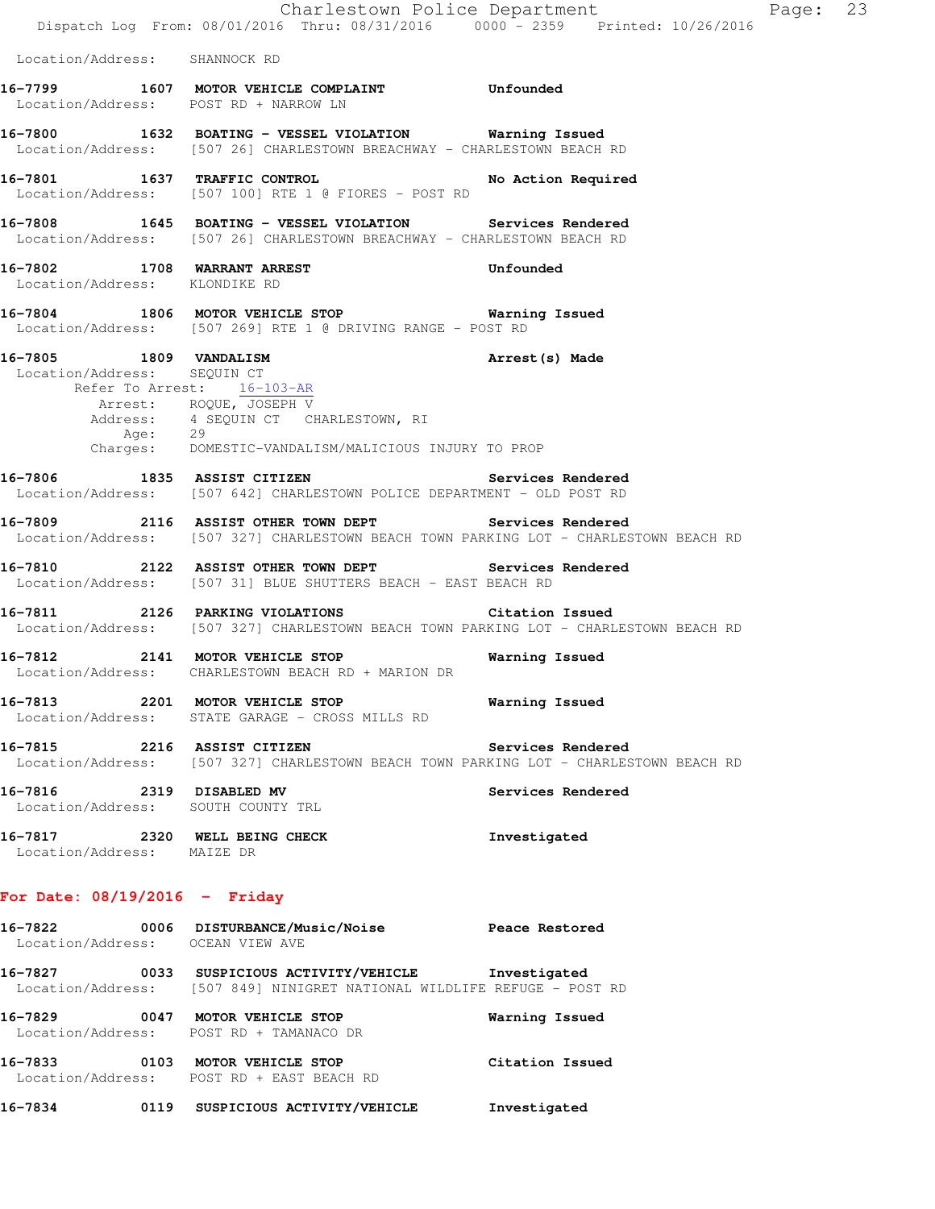|                                                                  | Dispatch Log From: 08/01/2016 Thru: 08/31/2016 0000 - 2359 Printed: 10/26/2016                                                                        | Charlestown Police Department | Page: 23 |  |
|------------------------------------------------------------------|-------------------------------------------------------------------------------------------------------------------------------------------------------|-------------------------------|----------|--|
| Location/Address: SHANNOCK RD                                    |                                                                                                                                                       |                               |          |  |
|                                                                  | 16-7799 1607 MOTOR VEHICLE COMPLAINT Unfounded<br>Location/Address: POST RD + NARROW LN                                                               |                               |          |  |
|                                                                  | 16-7800 1632 BOATING - VESSEL VIOLATION Warning Issued<br>Location/Address: [507 26] CHARLESTOWN BREACHWAY - CHARLESTOWN BEACH RD                     |                               |          |  |
|                                                                  | 16-7801 1637 TRAFFIC CONTROL<br>Location/Address: [507 100] RTE 1 @ FIORES - POST RD                                                                  | No Action Required            |          |  |
|                                                                  | 16-7808 1645 BOATING - VESSEL VIOLATION Services Rendered<br>Location/Address: [507 26] CHARLESTOWN BREACHWAY - CHARLESTOWN BEACH RD                  |                               |          |  |
| 16-7802 1708 WARRANT ARREST<br>Location/Address: KLONDIKE RD     |                                                                                                                                                       | Unfounded                     |          |  |
|                                                                  | 16-7804 1806 MOTOR VEHICLE STOP 16 Warning Issued<br>Location/Address: [507 269] RTE 1 @ DRIVING RANGE - POST RD                                      |                               |          |  |
| 16-7805 1809 VANDALISM<br>Location/Address: SEQUIN CT<br>Age: 29 | Refer To Arrest: 16-103-AR<br>Arrest: ROQUE, JOSEPH V<br>Address: 4 SEQUIN CT CHARLESTOWN, RI<br>Charges: DOMESTIC-VANDALISM/MALICIOUS INJURY TO PROP | Arrest (s) Made               |          |  |
|                                                                  | 16-7806 1835 ASSIST CITIZEN Services Rendered<br>Location/Address: [507 642] CHARLESTOWN POLICE DEPARTMENT - OLD POST RD                              |                               |          |  |
|                                                                  | 16-7809 2116 ASSIST OTHER TOWN DEPT Services Rendered<br>Location/Address: [507 327] CHARLESTOWN BEACH TOWN PARKING LOT - CHARLESTOWN BEACH RD        |                               |          |  |
|                                                                  | 16-7810 2122 ASSIST OTHER TOWN DEPT Services Rendered<br>Location/Address: [507 31] BLUE SHUTTERS BEACH - EAST BEACH RD                               |                               |          |  |
|                                                                  | 16-7811 2126 PARKING VIOLATIONS Citation Issued<br>Location/Address: [507 327] CHARLESTOWN BEACH TOWN PARKING LOT - CHARLESTOWN BEACH RD              |                               |          |  |
|                                                                  | 16-7812 2141 MOTOR VEHICLE STOP<br>Location/Address: CHARLESTOWN BEACH RD + MARION DR                                                                 | Warning Issued                |          |  |
|                                                                  | 16-7813 2201 MOTOR VEHICLE STOP 6 Warning Issued<br>Location/Address: STATE GARAGE - CROSS MILLS RD                                                   |                               |          |  |
|                                                                  | 16-7815 2216 ASSIST CITIZEN<br>Location/Address: [507 327] CHARLESTOWN BEACH TOWN PARKING LOT - CHARLESTOWN BEACH RD                                  | Services Rendered             |          |  |
| 16-7816 2319 DISABLED MV<br>Location/Address: SOUTH COUNTY TRL   |                                                                                                                                                       | Services Rendered             |          |  |
| Location/Address: MAIZE DR                                       | 16-7817 2320 WELL BEING CHECK                                                                                                                         | Investigated                  |          |  |
| For Date: $08/19/2016$ - Friday                                  |                                                                                                                                                       |                               |          |  |
| Location/Address: OCEAN VIEW AVE                                 | 16-7822  0006 DISTURBANCE/Music/Noise  Peace Restored                                                                                                 |                               |          |  |
|                                                                  | 16-7827 0033 SUSPICIOUS ACTIVITY/VEHICLE Investigated<br>Location/Address: [507 849] NINIGRET NATIONAL WILDLIFE REFUGE - POST RD                      |                               |          |  |
|                                                                  | 16-7829 0047 MOTOR VEHICLE STOP<br>Location/Address: POST RD + TAMANACO DR                                                                            | Warning Issued                |          |  |
|                                                                  | 16-7833 0103 MOTOR VEHICLE STOP<br>Location/Address: POST RD + EAST BEACH RD                                                                          | Citation Issued               |          |  |
|                                                                  |                                                                                                                                                       |                               |          |  |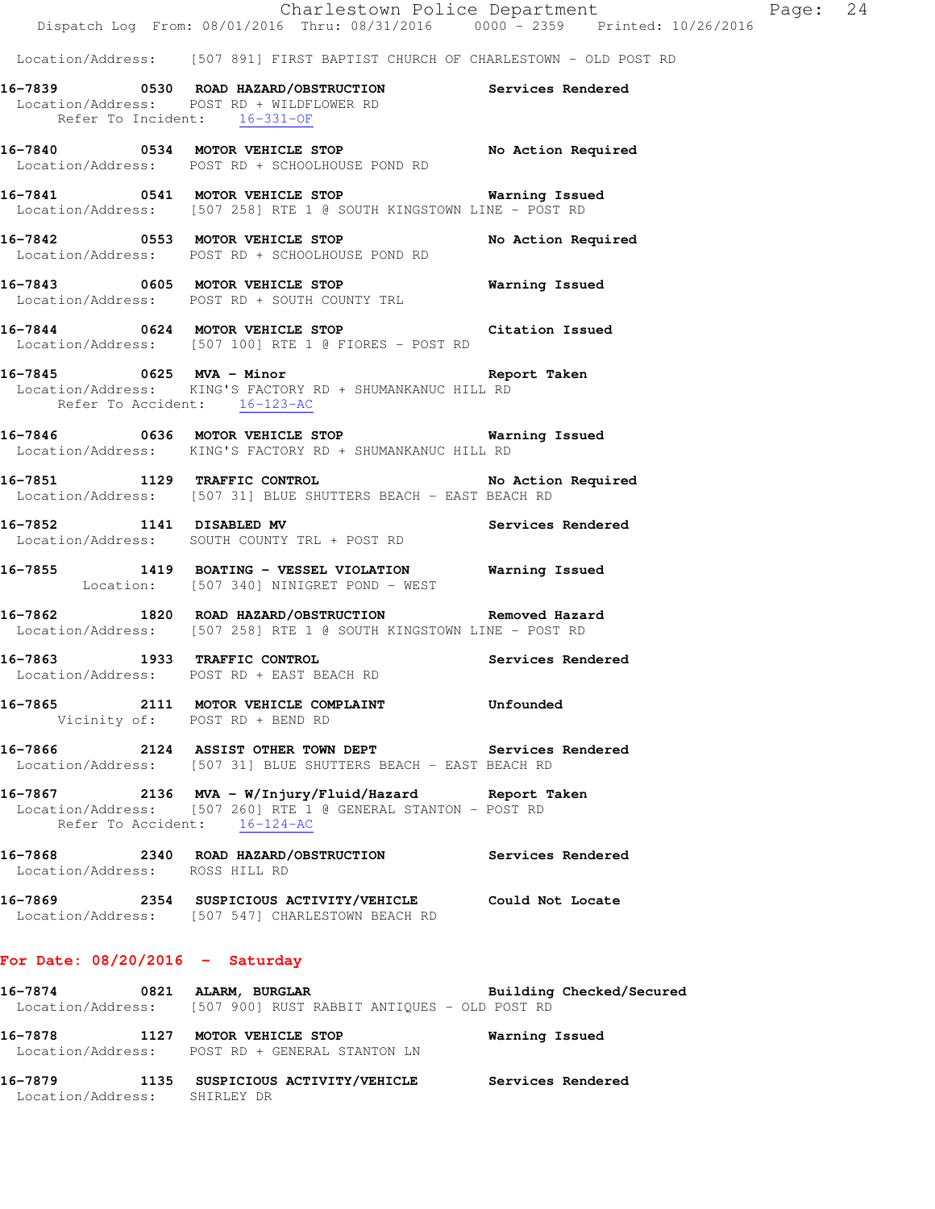|                                | Dispatch Log From: 08/01/2016 Thru: 08/31/2016 0000 - 2359 Printed: 10/26/2016                                                        |                   |
|--------------------------------|---------------------------------------------------------------------------------------------------------------------------------------|-------------------|
|                                | Location/Address: [507 891] FIRST BAPTIST CHURCH OF CHARLESTOWN - OLD POST RD                                                         |                   |
|                                | 16-7839 0530 ROAD HAZARD/OBSTRUCTION Services Rendered<br>Location/Address: POST RD + WILDFLOWER RD<br>Refer To Incident: $16-331-OF$ |                   |
|                                | 16-7840 0534 MOTOR VEHICLE STOP No Action Required<br>Location/Address: POST RD + SCHOOLHOUSE POND RD                                 |                   |
|                                | 16-7841 0541 MOTOR VEHICLE STOP 6 Warning Issued<br>Location/Address: [507 258] RTE 1 @ SOUTH KINGSTOWN LINE - POST RD                |                   |
|                                | 16-7842 0553 MOTOR VEHICLE STOP No Action Required<br>Location/Address: POST RD + SCHOOLHOUSE POND RD                                 |                   |
|                                | Location/Address: POST RD + SOUTH COUNTY TRL                                                                                          |                   |
|                                | 16-7844 0624 MOTOR VEHICLE STOP Citation Issued<br>Location/Address: [507 100] RTE 1 @ FIORES - POST RD                               |                   |
| Refer To Accident: 16-123-AC   | Location/Address: KING'S FACTORY RD + SHUMANKANUC HILL RD                                                                             |                   |
|                                | 16-7846 0636 MOTOR VEHICLE STOP 6 Warning Issued<br>Location/Address: KING'S FACTORY RD + SHUMANKANUC HILL RD                         |                   |
|                                | 16-7851 1129 TRAFFIC CONTROL No Action Required<br>Location/Address: [507 31] BLUE SHUTTERS BEACH - EAST BEACH RD                     |                   |
| 16-7852 1141 DISABLED MV       | Services Rendered<br>Location/Address: SOUTH COUNTY TRL + POST RD                                                                     |                   |
|                                | 16-7855 1419 BOATING - VESSEL VIOLATION Warning Issued<br>Location: [507 340] NINIGRET POND - WEST                                    |                   |
|                                | 16-7862 1820 ROAD HAZARD/OBSTRUCTION Removed Hazard<br>Location/Address: [507 258] RTE 1 @ SOUTH KINGSTOWN LINE - POST RD             |                   |
|                                | 16-7863 1933 TRAFFIC CONTROL<br>Location/Address: POST RD + EAST BEACH RD                                                             | Services Rendered |
|                                | 16-7865 2111 MOTOR VEHICLE COMPLAINT Unfounded<br>Vicinity of: POST RD + BEND RD                                                      |                   |
|                                | 16-7866 2124 ASSIST OTHER TOWN DEPT Services Rendered<br>Location/Address: [507 31] BLUE SHUTTERS BEACH - EAST BEACH RD               |                   |
|                                | 16-7867 		 2136 MVA - W/Injury/Fluid/Hazard Report Taken                                                                              |                   |
|                                | Location/Address: [507 260] RTE 1 @ GENERAL STANTON - POST RD<br>Refer To Accident: 16-124-AC                                         |                   |
| Location/Address: ROSS HILL RD | 16-7868 2340 ROAD HAZARD/OBSTRUCTION Services Rendered                                                                                |                   |

# **16-7874 0821 ALARM, BURGLAR Building Checked/Secured**  Location/Address: [507 900] RUST RABBIT ANTIQUES - OLD POST RD **16-7878 1127 MOTOR VEHICLE STOP Warning Issued**

 Location/Address: POST RD + GENERAL STANTON LN **16-7879 1135 SUSPICIOUS ACTIVITY/VEHICLE Services Rendered**  Location/Address: SHIRLEY DR

Charlestown Police Department Page: 24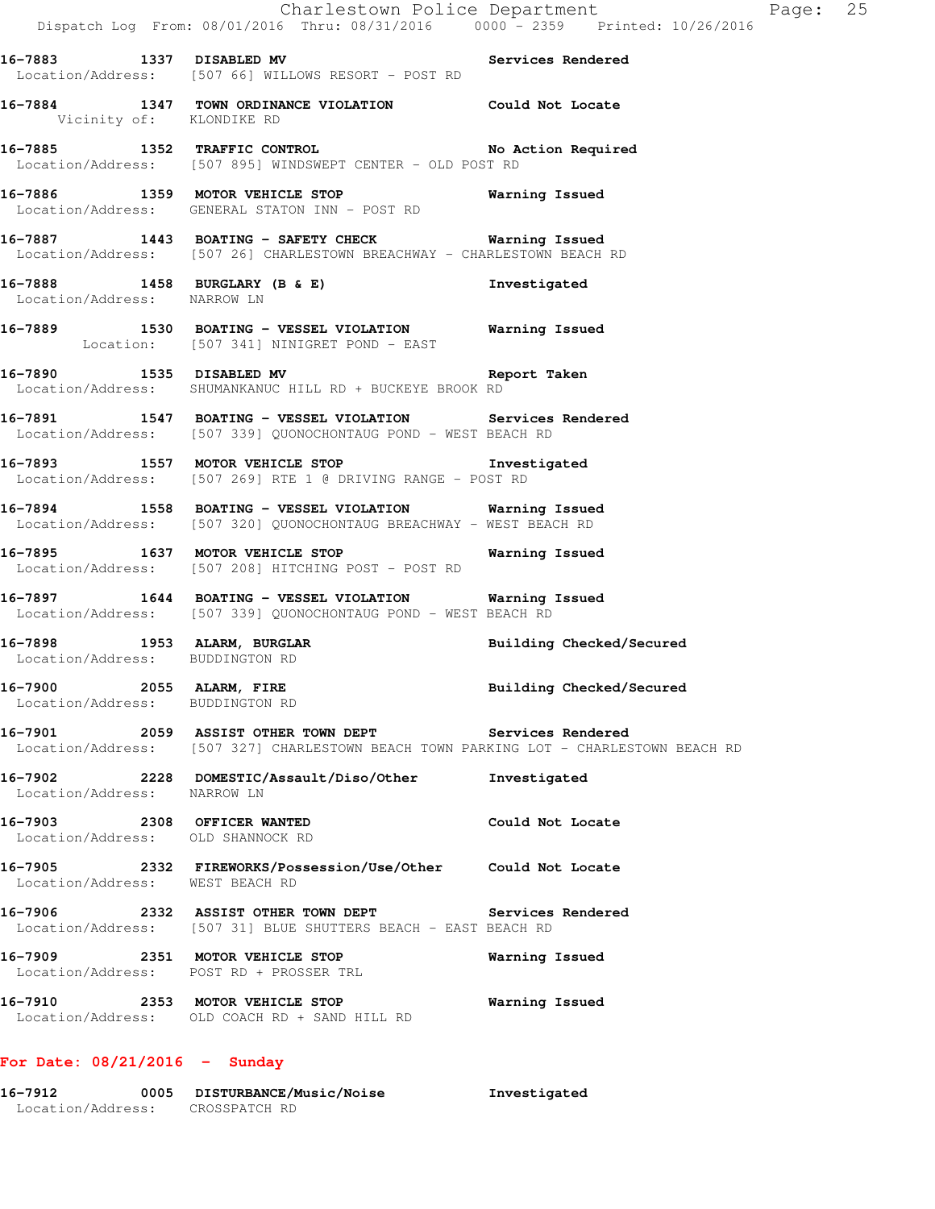|                                                                  | Charlestown Police Department<br>Dispatch Log From: 08/01/2016 Thru: 08/31/2016  0000 - 2359  Printed: 10/26/2016                              | Page: 25                 |  |
|------------------------------------------------------------------|------------------------------------------------------------------------------------------------------------------------------------------------|--------------------------|--|
|                                                                  | 16-7883 1337 DISABLED MV 16-7883 Services Rendered<br>Location/Address: [507 66] WILLOWS RESORT - POST RD                                      |                          |  |
| Vicinity of: KLONDIKE RD                                         | 16-7884 1347 TOWN ORDINANCE VIOLATION Could Not Locate                                                                                         |                          |  |
|                                                                  | 16-7885 1352 TRAFFIC CONTROL No Action Required<br>Location/Address: [507 895] WINDSWEPT CENTER - OLD POST RD                                  |                          |  |
|                                                                  | 16-7886 1359 MOTOR VEHICLE STOP<br>Location/Address: GENERAL STATON INN - POST RD                                                              | <b>Warning Issued</b>    |  |
|                                                                  | 16-7887 1443 BOATING - SAFETY CHECK Warning Issued<br>Location/Address: [507 26] CHARLESTOWN BREACHWAY - CHARLESTOWN BEACH RD                  |                          |  |
| Location/Address: NARROW LN                                      | 16-7888 1458 BURGLARY (B & E)                                                                                                                  | Investigated             |  |
|                                                                  | 16-7889 1530 BOATING - VESSEL VIOLATION Narning Issued<br>Location: [507 341] NINIGRET POND - EAST                                             |                          |  |
|                                                                  | 16-7890 1535 DISABLED MV 16-7890 Report Taken<br>Location/Address: SHUMANKANUC HILL RD + BUCKEYE BROOK RD                                      |                          |  |
|                                                                  | 16-7891 1547 BOATING - VESSEL VIOLATION Services Rendered<br>Location/Address: [507 339] QUONOCHONTAUG POND - WEST BEACH RD                    |                          |  |
|                                                                  | 16-7893 1557 MOTOR VEHICLE STOP 1nvestigated<br>Location/Address: [507 269] RTE 1 @ DRIVING RANGE - POST RD                                    |                          |  |
|                                                                  | 16-7894 1558 BOATING - VESSEL VIOLATION Warning Issued<br>Location/Address: [507 320] QUONOCHONTAUG BREACHWAY - WEST BEACH RD                  |                          |  |
|                                                                  | 16-7895 1637 MOTOR VEHICLE STOP 167 Warning Issued<br>Location/Address: [507 208] HITCHING POST - POST RD                                      |                          |  |
|                                                                  | 16-7897 1644 BOATING - VESSEL VIOLATION Warning Issued<br>Location/Address: [507 339] QUONOCHONTAUG POND - WEST BEACH RD                       |                          |  |
| Location/Address: BUDDINGTON RD                                  | 16-7898 1953 ALARM, BURGLAR                                                                                                                    | Building Checked/Secured |  |
| 16-7900 2055 ALARM, FIRE<br>Location/Address: BUDDINGTON RD      |                                                                                                                                                | Building Checked/Secured |  |
|                                                                  | 16-7901 2059 ASSIST OTHER TOWN DEPT Services Rendered<br>Location/Address: [507 327] CHARLESTOWN BEACH TOWN PARKING LOT - CHARLESTOWN BEACH RD |                          |  |
| Location/Address: NARROW LN                                      | 16-7902 2228 DOMESTIC/Assault/Diso/Other                                                                                                       | Investigated             |  |
| 16-7903 2308 OFFICER WANTED<br>Location/Address: OLD SHANNOCK RD |                                                                                                                                                | Could Not Locate         |  |
| Location/Address: WEST BEACH RD                                  | 16-7905 2332 FIREWORKS/Possession/Use/Other Could Not Locate                                                                                   |                          |  |
|                                                                  | 16-7906 2332 ASSIST OTHER TOWN DEPT Services Rendered<br>Location/Address: [507 31] BLUE SHUTTERS BEACH - EAST BEACH RD                        |                          |  |
|                                                                  | 16-7909 2351 MOTOR VEHICLE STOP<br>Location/Address: POST RD + PROSSER TRL                                                                     | Warning Issued           |  |
|                                                                  | 16-7910 2353 MOTOR VEHICLE STOP<br>Location/Address: OLD COACH RD + SAND HILL RD                                                               | Warning Issued           |  |
|                                                                  |                                                                                                                                                |                          |  |

# **For Date: 08/21/2016 - Sunday**

| 16-7912           | 0005 | <b>DISTURBANCE/Music/Noise</b> | Investigated |
|-------------------|------|--------------------------------|--------------|
| Location/Address: |      | CROSSPATCH RD                  |              |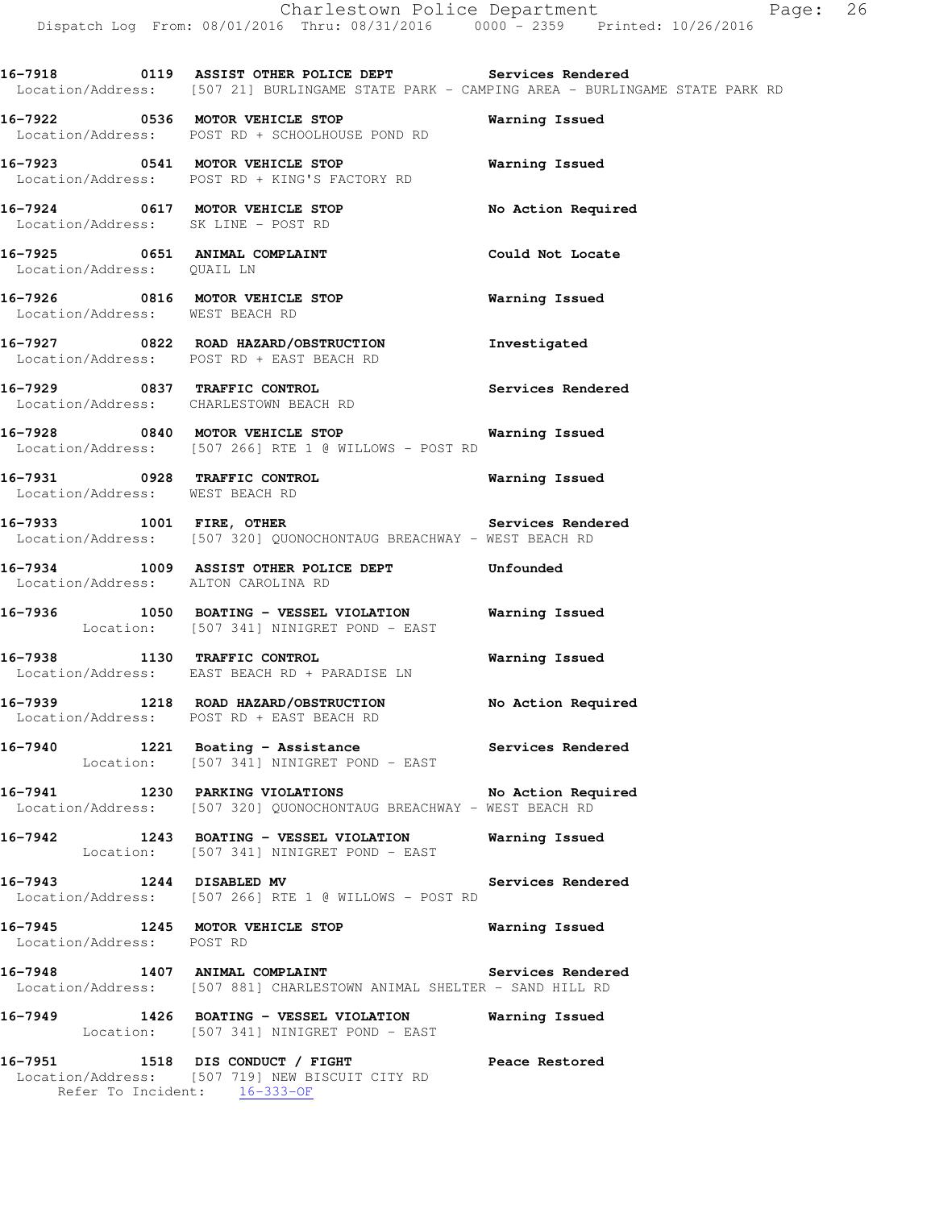**16-7918 0119 ASSIST OTHER POLICE DEPT Services Rendered**  Location/Address: [507 21] BURLINGAME STATE PARK - CAMPING AREA - BURLINGAME STATE PARK RD

**16-7922 0536 MOTOR VEHICLE STOP Warning Issued**  Location/Address: POST RD + SCHOOLHOUSE POND RD

**16-7923 0541 MOTOR VEHICLE STOP Warning Issued**  Location/Address: POST RD + KING'S FACTORY RD

**16-7924 0617 MOTOR VEHICLE STOP No Action Required**  Location/Address: SK LINE - POST RD

**16-7925 0651 ANIMAL COMPLAINT Could Not Locate**  Location/Address: QUAIL LN

**16-7926 0816 MOTOR VEHICLE STOP Warning Issued**  Location/Address: WEST BEACH RD

**16-7927 0822 ROAD HAZARD/OBSTRUCTION Investigated**  Location/Address: POST RD + EAST BEACH RD

**16-7929 0837 TRAFFIC CONTROL Services Rendered**  Location/Address: CHARLESTOWN BEACH RD

**16-7928 0840 MOTOR VEHICLE STOP Warning Issued**  Location/Address: [507 266] RTE 1 @ WILLOWS - POST RD

**16-7931 0928 TRAFFIC CONTROL Warning Issued**  Location/Address: WEST BEACH RD

**16-7933 1001 FIRE, OTHER Services Rendered**  Location/Address: [507 320] QUONOCHONTAUG BREACHWAY - WEST BEACH RD

**16-7934 1009 ASSIST OTHER POLICE DEPT Unfounded**  Location/Address: ALTON CAROLINA RD

**16-7936 1050 BOATING - VESSEL VIOLATION Warning Issued**  Location: [507 341] NINIGRET POND - EAST

**16-7938 1130 TRAFFIC CONTROL Warning Issued**  Location/Address: EAST BEACH RD + PARADISE LN

**16-7939 1218 ROAD HAZARD/OBSTRUCTION No Action Required**  Location/Address: POST RD + EAST BEACH RD

**16-7940 1221 Boating - Assistance Services Rendered**  Location: [507 341] NINIGRET POND - EAST

**16-7941 1230 PARKING VIOLATIONS No Action Required**  Location/Address: [507 320] QUONOCHONTAUG BREACHWAY - WEST BEACH RD

**16-7942 1243 BOATING - VESSEL VIOLATION Warning Issued**  Location: [507 341] NINIGRET POND - EAST

**16-7943 1244 DISABLED MV Services Rendered**  Location/Address: [507 266] RTE 1 @ WILLOWS - POST RD

**16-7945 1245 MOTOR VEHICLE STOP Warning Issued**  Location/Address: POST RD

**16-7948 1407 ANIMAL COMPLAINT Services Rendered**  Location/Address: [507 881] CHARLESTOWN ANIMAL SHELTER - SAND HILL RD

**16-7949 1426 BOATING - VESSEL VIOLATION Warning Issued**  Location: [507 341] NINIGRET POND - EAST

**16-7951 1518 DIS CONDUCT / FIGHT Peace Restored**  Location/Address: [507 719] NEW BISCUIT CITY RD Refer To Incident: 16-333-OF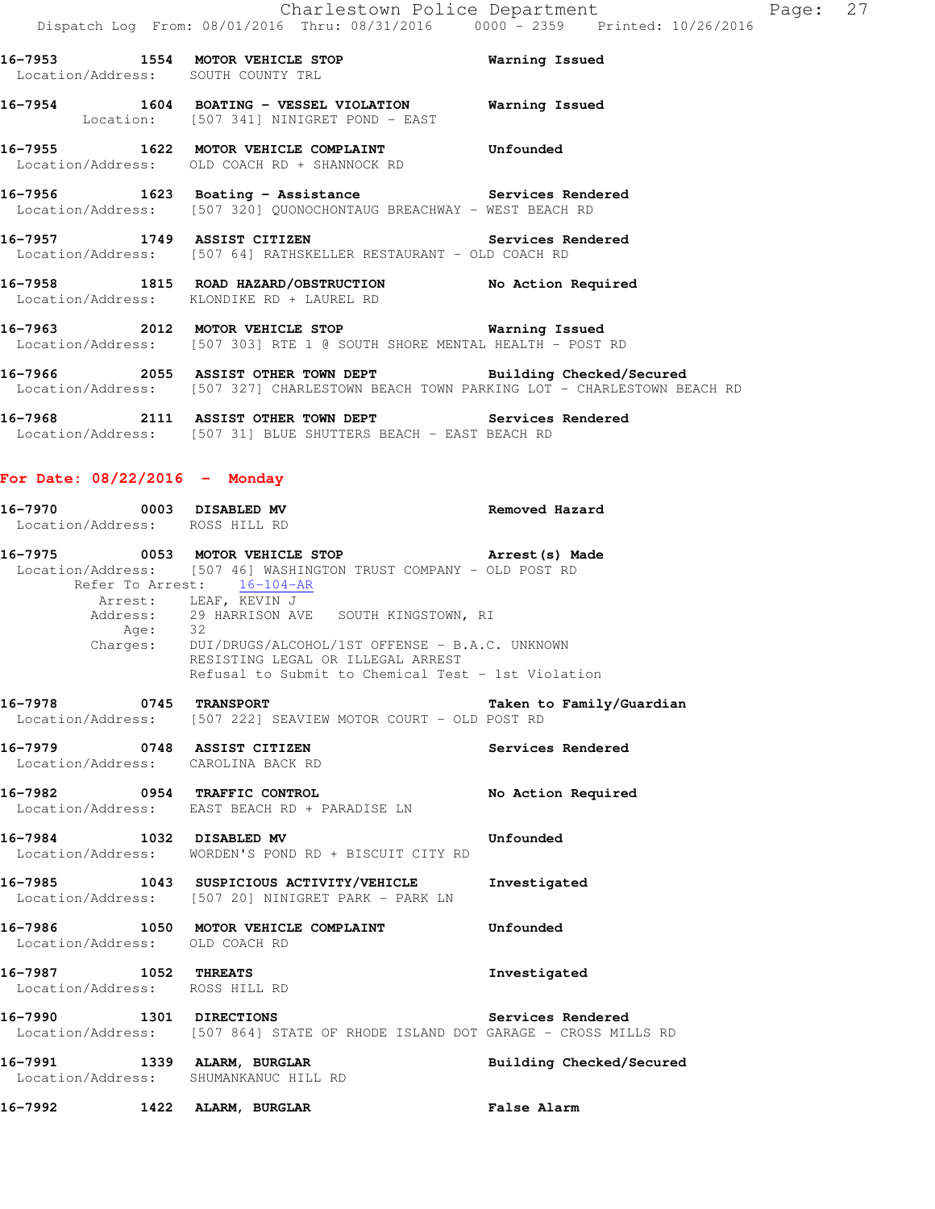|             |        | 16-7953 1554 MOTOR VEHICLE STOP<br>Location/Address: SOUTH COUNTY TRL                                                       | Warning Issued        |
|-------------|--------|-----------------------------------------------------------------------------------------------------------------------------|-----------------------|
|             |        | Location: [507 341] NINIGRET POND - EAST                                                                                    | Warning Issued        |
|             |        | 16-7955 1622 MOTOR VEHICLE COMPLAINT<br>Location/Address: OLD COACH RD + SHANNOCK RD                                        | Unfounded             |
|             |        | 16-7956 1623 Boating - Assistance Services Rendered<br>Location/Address: [507 320] OUONOCHONTAUG BREACHWAY - WEST BEACH RD  |                       |
|             |        | Services Rendered<br>16-7957 1749 ASSIST CITIZEN<br>Location/Address: [507 64] RATHSKELLER RESTAURANT - OLD COACH RD        |                       |
|             |        | 16-7958 1815 ROAD HAZARD/OBSTRUCTION<br>Location/Address: KLONDIKE RD + LAUREL RD                                           | No Action Required    |
|             |        | 16-7963 2012 MOTOR VEHICLE STOP 6 Warning Issued<br>Location/Address: [507 303] RTE 1 @ SOUTH SHORE MENTAL HEALTH - POST RD |                       |
| $16 - 7066$ | $205E$ | ACCTOM AMURD MAWN DRDM                                                                                                      | Duilding Chackad/Cacu |

**16-7966 2055 ASSIST OTHER TOWN DEPT Building Checked/Secured**  Location/Address: [507 327] CHARLESTOWN BEACH TOWN PARKING LOT - CHARLESTOWN BEACH RD

**16-7968 2111 ASSIST OTHER TOWN DEPT Services Rendered**  Location/Address: [507 31] BLUE SHUTTERS BEACH - EAST BEACH RD

# **For Date: 08/22/2016 - Monday**

| 16-7970 0003 DISABLED MV<br>Location/Address: ROSS HILL RD        | <b>Removed Hazard</b>                                                                                                                                                                                                                  |                          |
|-------------------------------------------------------------------|----------------------------------------------------------------------------------------------------------------------------------------------------------------------------------------------------------------------------------------|--------------------------|
| Refer To Arrest: 16-104-AR                                        | 16-7975 		 0053 MOTOR VEHICLE STOP 		 Arrest(s) Made<br>Location/Address: [507 46] WASHINGTON TRUST COMPANY - OLD POST RD                                                                                                              |                          |
|                                                                   | Arrest: LEAF, KEVIN J<br>Address: 29 HARRISON AVE SOUTH KINGSTOWN, RI<br>Age: 32<br>Charges: DUI/DRUGS/ALCOHOL/1ST OFFENSE - B.A.C. UNKNOWN<br>RESISTING LEGAL OR ILLEGAL ARREST<br>Refusal to Submit to Chemical Test - 1st Violation |                          |
| 16-7978 0745 TRANSPORT                                            | Location/Address: [507 222] SEAVIEW MOTOR COURT - OLD POST RD                                                                                                                                                                          | Taken to Family/Guardian |
| 16-7979 0748 ASSIST CITIZEN<br>Location/Address: CAROLINA BACK RD |                                                                                                                                                                                                                                        | Services Rendered        |
|                                                                   | 16-7982 0954 TRAFFIC CONTROL No Action Required<br>Location/Address: EAST BEACH RD + PARADISE LN                                                                                                                                       |                          |
|                                                                   | 16-7984 1032 DISABLED MV<br>Location/Address: WORDEN'S POND RD + BISCUIT CITY RD                                                                                                                                                       | Unfounded                |
|                                                                   | 16-7985 1043 SUSPICIOUS ACTIVITY/VEHICLE Investigated<br>Location/Address: [507 20] NINIGRET PARK - PARK LN                                                                                                                            |                          |
|                                                                   | 16-7986 1050 MOTOR VEHICLE COMPLAINT Unfounded<br>Location/Address: OLD COACH RD                                                                                                                                                       |                          |
| 16-7987 1052 THREATS<br>Location/Address: ROSS HILL RD            |                                                                                                                                                                                                                                        | Investigated             |
| 16-7990 1301 DIRECTIONS                                           | Location/Address: [507 864] STATE OF RHODE ISLAND DOT GARAGE - CROSS MILLS RD                                                                                                                                                          | Services Rendered        |
| Location/Address: SHUMANKANUC HILL RD                             | 16-7991 1339 ALARM, BURGLAR                                                                                                                                                                                                            | Building Checked/Secured |
| 16-7992 1422                                                      | ALARM, BURGLAR                                                                                                                                                                                                                         | <b>False Alarm</b>       |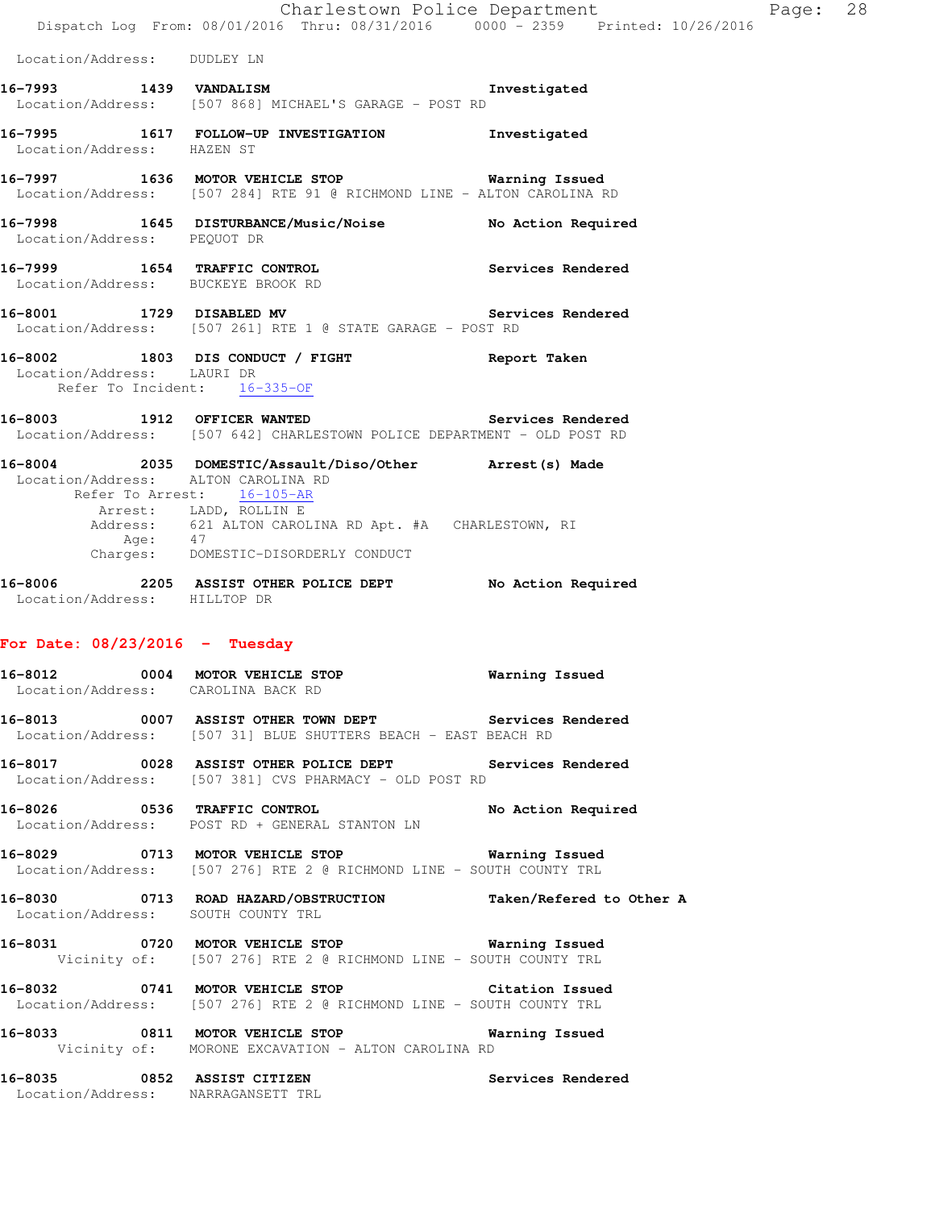|                                                            | Dispatch Log From: 08/01/2016 Thru: 08/31/2016 0000 - 2359 Printed: 10/26/2016                                                      | Charlestown Police Department | Page: 28 |  |
|------------------------------------------------------------|-------------------------------------------------------------------------------------------------------------------------------------|-------------------------------|----------|--|
| Location/Address: DUDLEY LN                                |                                                                                                                                     |                               |          |  |
|                                                            | 16-7993 1439 VANDALISM 2001 1993 Investigated<br>Location/Address: [507 868] MICHAEL'S GARAGE - POST RD                             |                               |          |  |
| Location/Address: HAZEN ST                                 | 16-7995 1617 FOLLOW-UP INVESTIGATION 1nvestigated                                                                                   |                               |          |  |
|                                                            | 16-7997 1636 MOTOR VEHICLE STOP 6 Warning Issued<br>Location/Address: [507 284] RTE 91 @ RICHMOND LINE - ALTON CAROLINA RD          |                               |          |  |
| Location/Address: PEQUOT DR                                | 16-7998 1645 DISTURBANCE/Music/Noise No Action Required                                                                             |                               |          |  |
| Location/Address: BUCKEYE BROOK RD                         | 16-7999 1654 TRAFFIC CONTROL 16-7999 Services Rendered                                                                              |                               |          |  |
|                                                            | 16-8001 1729 DISABLED MV 3ervices Rendered<br>Location/Address: [507 261] RTE 1 @ STATE GARAGE - POST RD                            |                               |          |  |
| Location/Address: LAURI DR<br>Refer To Incident: 16-335-OF | 16-8002 1803 DIS CONDUCT / FIGHT Report Taken                                                                                       |                               |          |  |
|                                                            | 16-8003 1912 OFFICER WANTED Services Rendered<br>Location/Address: [507 642] CHARLESTOWN POLICE DEPARTMENT - OLD POST RD            |                               |          |  |
| Location/Address: ALTON CAROLINA RD                        | 16-8004 2035 DOMESTIC/Assault/Diso/Other Arrest(s) Made<br>Refer To Arrest: 16-105-AR                                               |                               |          |  |
|                                                            | Arrest: LADD, ROLLIN E<br>Address: 621 ALTON CAROLINA RD Apt. #A CHARLESTOWN, RI<br>Age: 47<br>Charges: DOMESTIC-DISORDERLY CONDUCT |                               |          |  |
|                                                            |                                                                                                                                     |                               |          |  |
| Location/Address: HILLTOP DR                               | 16-8006 2205 ASSIST OTHER POLICE DEPT No Action Required                                                                            |                               |          |  |
| For Date: $08/23/2016$ - Tuesday                           |                                                                                                                                     |                               |          |  |
| 16-8012<br>Location/Address: CAROLINA BACK RD              | 0004 MOTOR VEHICLE STOP                                                                                                             | <b>Warning Issued</b>         |          |  |
|                                                            | 16-8013 0007 ASSIST OTHER TOWN DEPT Services Rendered<br>Location/Address: [507 31] BLUE SHUTTERS BEACH - EAST BEACH RD             |                               |          |  |
|                                                            | 16-8017 0028 ASSIST OTHER POLICE DEPT Services Rendered<br>Location/Address: [507 381] CVS PHARMACY - OLD POST RD                   |                               |          |  |
|                                                            | 16-8026 0536 TRAFFIC CONTROL No Action Required<br>Location/Address: POST RD + GENERAL STANTON LN                                   |                               |          |  |
|                                                            | 16-8029 0713 MOTOR VEHICLE STOP 6 Warning Issued<br>Location/Address: [507 276] RTE 2 @ RICHMOND LINE - SOUTH COUNTY TRL            |                               |          |  |
| Location/Address: SOUTH COUNTY TRL                         | 16-8030 0713 ROAD HAZARD/OBSTRUCTION Taken/Refered to Other A                                                                       |                               |          |  |
|                                                            | 16-8031 0720 MOTOR VEHICLE STOP 6 Warning Issued<br>Vicinity of: [507 276] RTE 2 @ RICHMOND LINE - SOUTH COUNTY TRL                 |                               |          |  |
|                                                            | 16-8032 0741 MOTOR VEHICLE STOP Citation Issued<br>Location/Address: [507 276] RTE 2 @ RICHMOND LINE - SOUTH COUNTY TRL             |                               |          |  |
|                                                            | 16-8033 0811 MOTOR VEHICLE STOP 6 Warning Issued<br>Vicinity of: MORONE EXCAVATION - ALTON CAROLINA RD                              |                               |          |  |
|                                                            | 16-8035 0852 ASSIST CITIZEN                                                                                                         | <b>Services Rendered</b>      |          |  |

Location/Address: NARRAGANSETT TRL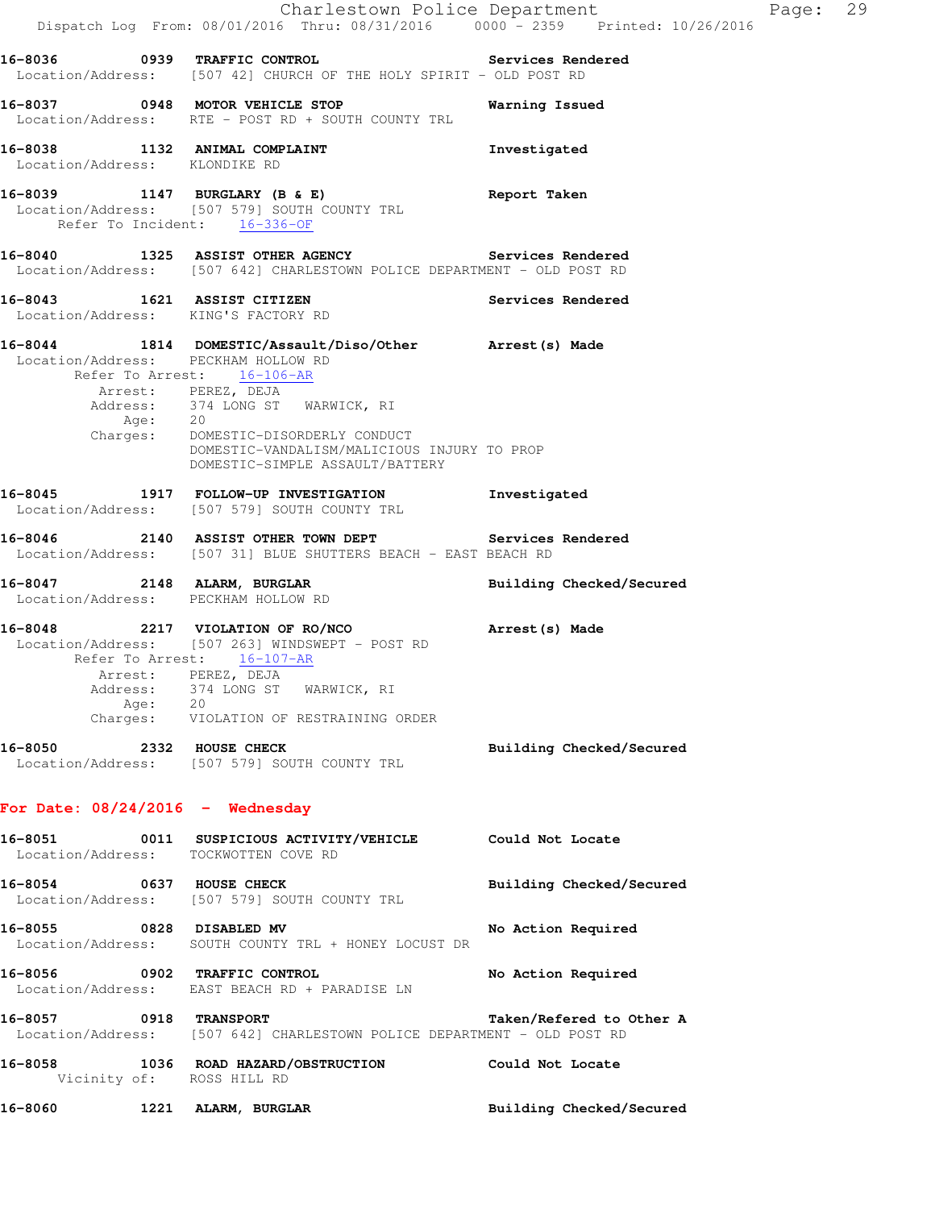|                                                                    | Dispatch Log From: 08/01/2016 Thru: 08/31/2016 0000 - 2359 Printed: 10/26/2016                                                                                                                                                                                             | Charlestown Police Department<br>Page: 29 |  |
|--------------------------------------------------------------------|----------------------------------------------------------------------------------------------------------------------------------------------------------------------------------------------------------------------------------------------------------------------------|-------------------------------------------|--|
|                                                                    | 16-8036 0939 TRAFFIC CONTROL Services Rendered<br>Location/Address: [507 42] CHURCH OF THE HOLY SPIRIT - OLD POST RD                                                                                                                                                       |                                           |  |
|                                                                    | 16-8037 0948 MOTOR VEHICLE STOP<br>Location/Address: RTE - POST RD + SOUTH COUNTY TRL                                                                                                                                                                                      | Warning Issued                            |  |
| Location/Address: KLONDIKE RD                                      | 16-8038 1132 ANIMAL COMPLAINT                                                                                                                                                                                                                                              | Investigated                              |  |
|                                                                    | 16-8039 1147 BURGLARY (B & E)<br>Location/Address: [507 579] SOUTH COUNTY TRL<br>Refer To Incident: 16-336-OF                                                                                                                                                              | Report Taken                              |  |
|                                                                    | 16-8040 1325 ASSIST OTHER AGENCY Services Rendered<br>Location/Address: [507 642] CHARLESTOWN POLICE DEPARTMENT - OLD POST RD                                                                                                                                              |                                           |  |
| 16-8043 1621 ASSIST CITIZEN<br>Location/Address: KING'S FACTORY RD |                                                                                                                                                                                                                                                                            | Services Rendered                         |  |
| Location/Address: PECKHAM HOLLOW RD<br>Age: 20                     | 16-8044 1814 DOMESTIC/Assault/Diso/Other Arrest(s) Made<br>Refer To Arrest: 16-106-AR<br>Arrest: PEREZ, DEJA<br>Address: 374 LONG ST WARWICK, RI<br>Charges: DOMESTIC-DISORDERLY CONDUCT<br>DOMESTIC-VANDALISM/MALICIOUS INJURY TO PROP<br>DOMESTIC-SIMPLE ASSAULT/BATTERY |                                           |  |
|                                                                    | 16-8045 1917 FOLLOW-UP INVESTIGATION<br>Location/Address: [507 579] SOUTH COUNTY TRL                                                                                                                                                                                       | Investigated                              |  |
|                                                                    | 16-8046 2140 ASSIST OTHER TOWN DEPT Services Rendered<br>Location/Address: [507 31] BLUE SHUTTERS BEACH - EAST BEACH RD                                                                                                                                                    |                                           |  |
| Location/Address: PECKHAM HOLLOW RD                                | 16-8047 2148 ALARM, BURGLAR                                                                                                                                                                                                                                                | Building Checked/Secured                  |  |
| Age:                                                               | 16-8048 2217 VIOLATION OF RO/NCO Arrest (s) Made<br>Location/Address: [507 263] WINDSWEPT - POST RD<br>Refer To Arrest: 16-107-AR<br>Arrest: PEREZ, DEJA<br>Address: 374 LONG ST WARWICK, RI<br>20<br>Charges: VIOLATION OF RESTRAINING ORDER                              |                                           |  |
| 16-8050 2332 HOUSE CHECK                                           | Location/Address: [507 579] SOUTH COUNTY TRL                                                                                                                                                                                                                               | Building Checked/Secured                  |  |
| For Date: $08/24/2016$ - Wednesday                                 |                                                                                                                                                                                                                                                                            |                                           |  |
| Location/Address: TOCKWOTTEN COVE RD                               | 16-8051 0011 SUSPICIOUS ACTIVITY/VEHICLE Could Not Locate                                                                                                                                                                                                                  |                                           |  |
| 16-8054 0637 HOUSE CHECK                                           | Location/Address: [507 579] SOUTH COUNTY TRL                                                                                                                                                                                                                               | Building Checked/Secured                  |  |
| 16-8055 0828 DISABLED MV                                           | Location/Address: SOUTH COUNTY TRL + HONEY LOCUST DR                                                                                                                                                                                                                       | No Action Required                        |  |
| 16-8056 0902 TRAFFIC CONTROL                                       | Location/Address: EAST BEACH RD + PARADISE LN                                                                                                                                                                                                                              | No Action Required                        |  |
| 16-8057 0918 TRANSPORT                                             | Location/Address: [507 642] CHARLESTOWN POLICE DEPARTMENT - OLD POST RD                                                                                                                                                                                                    | Taken/Refered to Other A                  |  |
| Vicinity of: ROSS HILL RD                                          | 16-8058 1036 ROAD HAZARD/OBSTRUCTION Could Not Locate                                                                                                                                                                                                                      |                                           |  |
| 16-8060 1221 ALARM, BURGLAR                                        |                                                                                                                                                                                                                                                                            | Building Checked/Secured                  |  |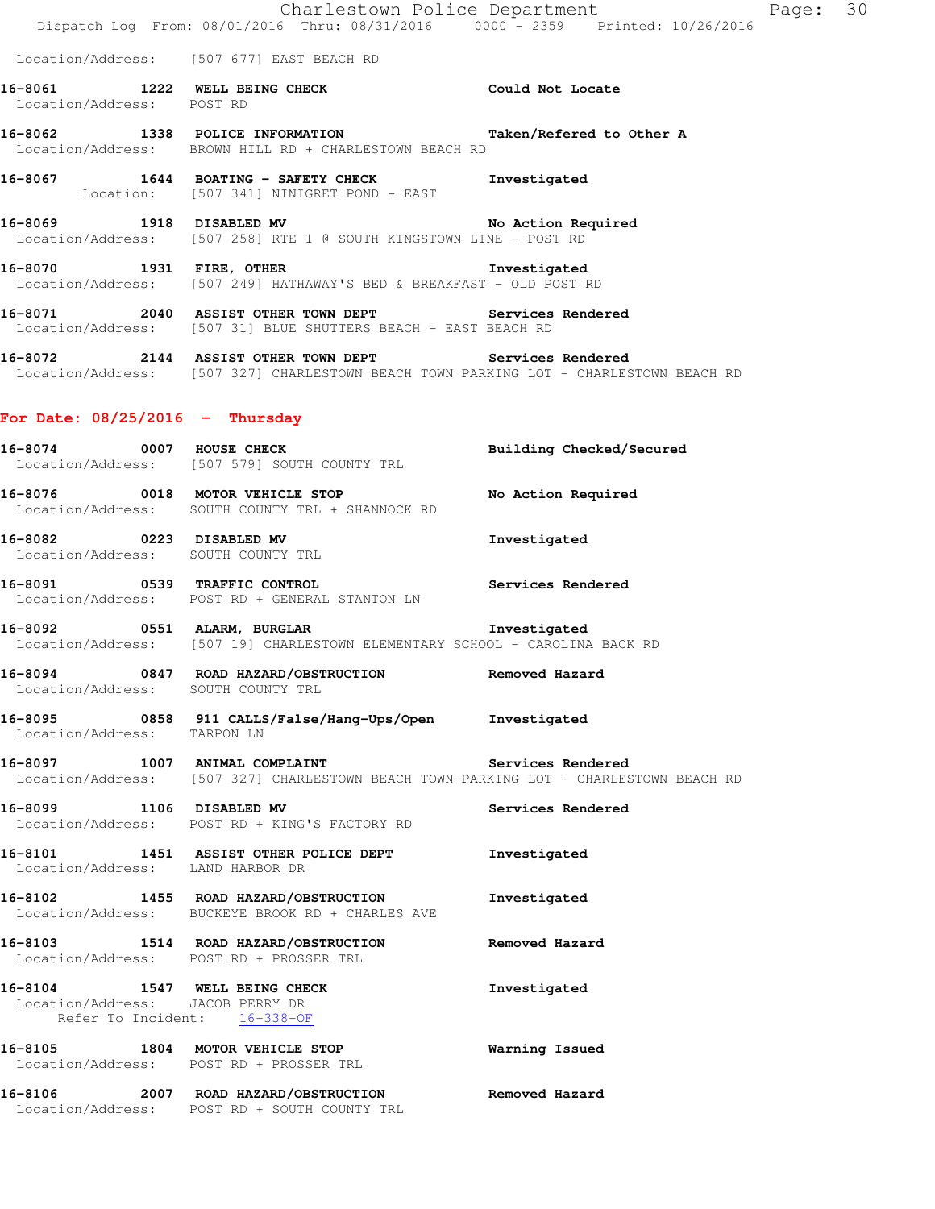|                                                                   | Dispatch Log From: 08/01/2016 Thru: 08/31/2016 0000 - 2359 Printed: 10/26/2016                                                                 | Charlestown Police Department | Page: 30 |  |
|-------------------------------------------------------------------|------------------------------------------------------------------------------------------------------------------------------------------------|-------------------------------|----------|--|
|                                                                   | Location/Address: [507 677] EAST BEACH RD                                                                                                      |                               |          |  |
| Location/Address: POST RD                                         | 16-8061 1222 WELL BEING CHECK COULD Not Locate                                                                                                 |                               |          |  |
|                                                                   | 16-8062 1338 POLICE INFORMATION Taken/Refered to Other A<br>Location/Address: BROWN HILL RD + CHARLESTOWN BEACH RD                             |                               |          |  |
|                                                                   | 16-8067   1644   BOATING - SAFETY CHECK   Investigated<br>Location: [507 341] NINIGRET POND - EAST                                             |                               |          |  |
|                                                                   | 16-8069 1918 DISABLED MV No Action Required<br>Location/Address: [507 258] RTE 1 @ SOUTH KINGSTOWN LINE - POST RD                              |                               |          |  |
|                                                                   | 16-8070 1931 FIRE, OTHER 16-8070 Investigated<br>Location/Address: [507 249] HATHAWAY'S BED & BREAKFAST - OLD POST RD                          |                               |          |  |
|                                                                   | 16-8071 2040 ASSIST OTHER TOWN DEPT Services Rendered<br>Location/Address: [507 31] BLUE SHUTTERS BEACH - EAST BEACH RD                        |                               |          |  |
|                                                                   | 16-8072 2144 ASSIST OTHER TOWN DEPT Services Rendered<br>Location/Address: [507 327] CHARLESTOWN BEACH TOWN PARKING LOT - CHARLESTOWN BEACH RD |                               |          |  |
| For Date: $08/25/2016$ - Thursday                                 |                                                                                                                                                |                               |          |  |
|                                                                   | 16-8074 0007 HOUSE CHECK<br>Location/Address: [507 579] SOUTH COUNTY TRL                                                                       | Building Checked/Secured      |          |  |
|                                                                   | 16-8076 0018 MOTOR VEHICLE STOP<br>Location/Address: SOUTH COUNTY TRL + SHANNOCK RD                                                            | No Action Required            |          |  |
| Location/Address: SOUTH COUNTY TRL                                | 16-8082 0223 DISABLED MV                                                                                                                       | Investigated                  |          |  |
|                                                                   | 16-8091 0539 TRAFFIC CONTROL 2000 Services Rendered<br>Location/Address: POST RD + GENERAL STANTON LN                                          |                               |          |  |
|                                                                   | 16-8092 0551 ALARM, BURGLAR<br>Location/Address: [507 19] CHARLESTOWN ELEMENTARY SCHOOL - CAROLINA BACK RD                                     | Investigated                  |          |  |
| Location/Address: SOUTH COUNTY TRL                                | 16-8094 0847 ROAD HAZARD/OBSTRUCTION Removed Hazard                                                                                            |                               |          |  |
| Location/Address: TARPON LN                                       | 16-8095 0858 911 CALLS/False/Hang-Ups/Open Investigated                                                                                        |                               |          |  |
|                                                                   | 16-8097 1007 ANIMAL COMPLAINT Services Rendered<br>Location/Address: [507 327] CHARLESTOWN BEACH TOWN PARKING LOT - CHARLESTOWN BEACH RD       |                               |          |  |
|                                                                   | 16-8099 1106 DISABLED MV<br>Location/Address: POST RD + KING'S FACTORY RD                                                                      | Services Rendered             |          |  |
| Location/Address: LAND HARBOR DR                                  | 16-8101 1451 ASSIST OTHER POLICE DEPT                                                                                                          | Investigated                  |          |  |
|                                                                   | 16-8102 1455 ROAD HAZARD/OBSTRUCTION<br>Location/Address: BUCKEYE BROOK RD + CHARLES AVE                                                       | Investigated                  |          |  |
|                                                                   | 16-8103 1514 ROAD HAZARD/OBSTRUCTION<br>Location/Address: POST RD + PROSSER TRL                                                                | Removed Hazard                |          |  |
| 16-8104 1547 WELL BEING CHECK<br>Location/Address: JACOB PERRY DR | Refer To Incident: 16-338-OF                                                                                                                   | Investigated                  |          |  |
|                                                                   | 16-8105 1804 MOTOR VEHICLE STOP<br>Location/Address: POST RD + PROSSER TRL                                                                     | Warning Issued                |          |  |
|                                                                   | 16-8106 2007 ROAD HAZARD/OBSTRUCTION Removed Hazard<br>Location/Address: POST RD + SOUTH COUNTY TRL                                            |                               |          |  |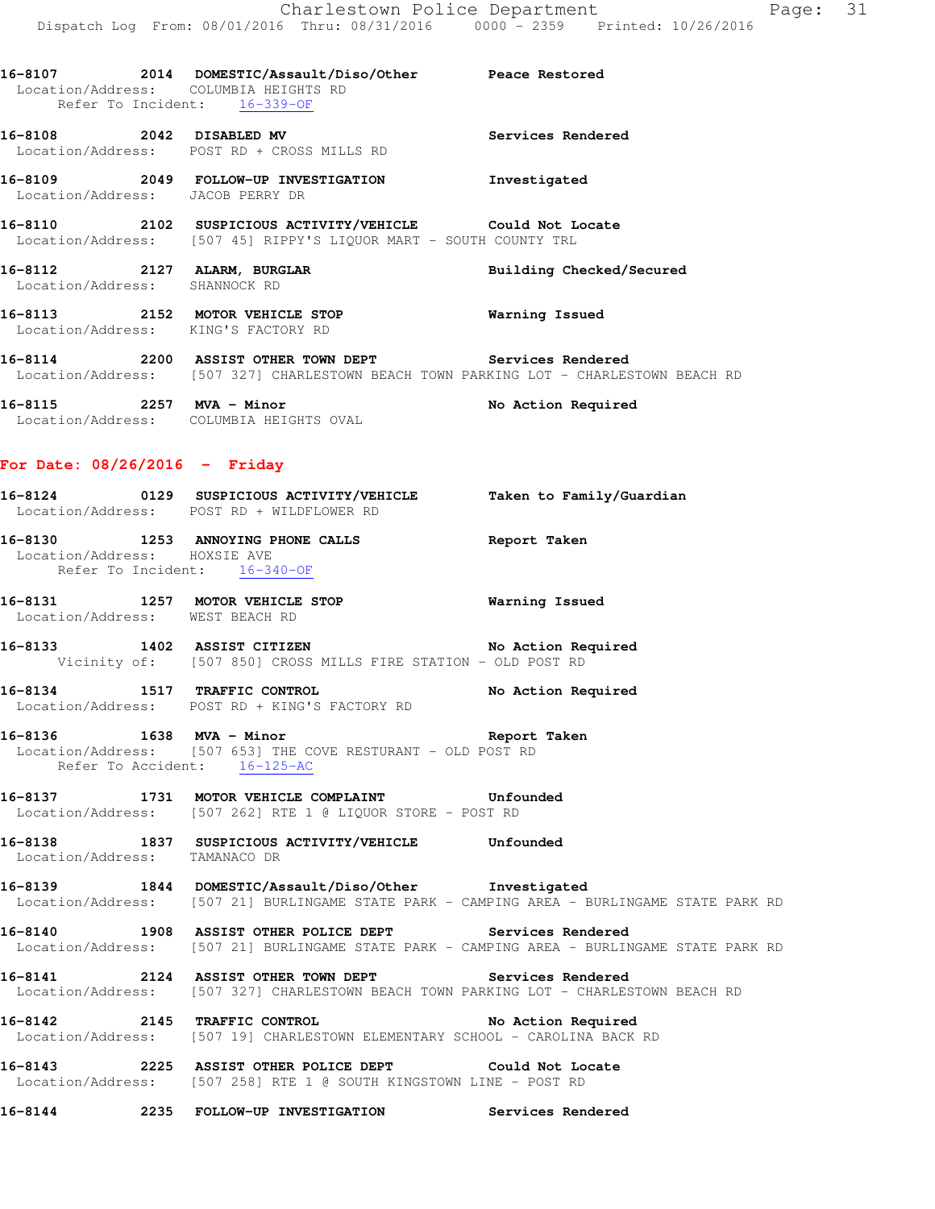Peace Restored

| 16-8107           | 2014               |  |                     | DOMESTIC/Assault/Diso/Other |  |
|-------------------|--------------------|--|---------------------|-----------------------------|--|
| Location/Address: |                    |  | COLUMBIA HEIGHTS RD |                             |  |
|                   | Refer To Incident: |  | $16 - 339 - 0F$     |                             |  |

**16-8108 2042 DISABLED MV Services Rendered**  Location/Address: POST RD + CROSS MILLS RD

**16-8109 2049 FOLLOW-UP INVESTIGATION Investigated**  Location/Address: JACOB PERRY DR

**16-8110 2102 SUSPICIOUS ACTIVITY/VEHICLE Could Not Locate**  Location/Address: [507 45] RIPPY'S LIQUOR MART - SOUTH COUNTY TRL

**16-8112 2127 ALARM, BURGLAR Building Checked/Secured**  Location/Address: SHANNOCK RD

**16-8113 2152 MOTOR VEHICLE STOP Warning Issued**  Location/Address: KING'S FACTORY RD

**16-8114 2200 ASSIST OTHER TOWN DEPT Services Rendered**  Location/Address: [507 327] CHARLESTOWN BEACH TOWN PARKING LOT - CHARLESTOWN BEACH RD

16-8115 2257 MVA - Minor **No Action Required** Location/Address: COLUMBIA HEIGHTS OVAL

### **For Date: 08/26/2016 - Friday**

| 16-8124           | 0129 | SUSPICIOUS ACTIVITY/VEHICLE | Taken to Family/Guardian |
|-------------------|------|-----------------------------|--------------------------|
| Location/Address: |      | POST RD + WILDFLOWER RD     |                          |

**16-8130 1253 ANNOYING PHONE CALLS Report Taken**  Location/Address: HOXSIE AVE Refer To Incident: 16-340-OF

**16-8131 1257 MOTOR VEHICLE STOP Warning Issued** Location/Address: WEST BEACH RD Location/Address:

**16-8133 1402 ASSIST CITIZEN No Action Required**  Vicinity of: [507 850] CROSS MILLS FIRE STATION - OLD POST RD

**16-8134 1517 TRAFFIC CONTROL No Action Required**  Location/Address: POST RD + KING'S FACTORY RD

**16-8136 1638 MVA - Minor Report Taken**  Location/Address: [507 653] THE COVE RESTURANT - OLD POST RD Refer To Accident: 16-125-AC

**16-8137 1731 MOTOR VEHICLE COMPLAINT Unfounded**  Location/Address: [507 262] RTE 1 @ LIQUOR STORE - POST RD

**16-8138 1837 SUSPICIOUS ACTIVITY/VEHICLE Unfounded**  Location/Address: TAMANACO DR

**16-8139 1844 DOMESTIC/Assault/Diso/Other Investigated**  Location/Address: [507 21] BURLINGAME STATE PARK - CAMPING AREA - BURLINGAME STATE PARK RD

**16-8140 1908 ASSIST OTHER POLICE DEPT Services Rendered**  Location/Address: [507 21] BURLINGAME STATE PARK - CAMPING AREA - BURLINGAME STATE PARK RD

**16-8141 2124 ASSIST OTHER TOWN DEPT Services Rendered**  Location/Address: [507 327] CHARLESTOWN BEACH TOWN PARKING LOT - CHARLESTOWN BEACH RD

**16-8142 2145 TRAFFIC CONTROL No Action Required**  Location/Address: [507 19] CHARLESTOWN ELEMENTARY SCHOOL - CAROLINA BACK RD

**16-8143 2225 ASSIST OTHER POLICE DEPT Could Not Locate**  Location/Address: [507 258] RTE 1 @ SOUTH KINGSTOWN LINE - POST RD

**16-8144 2235 FOLLOW-UP INVESTIGATION Services Rendered**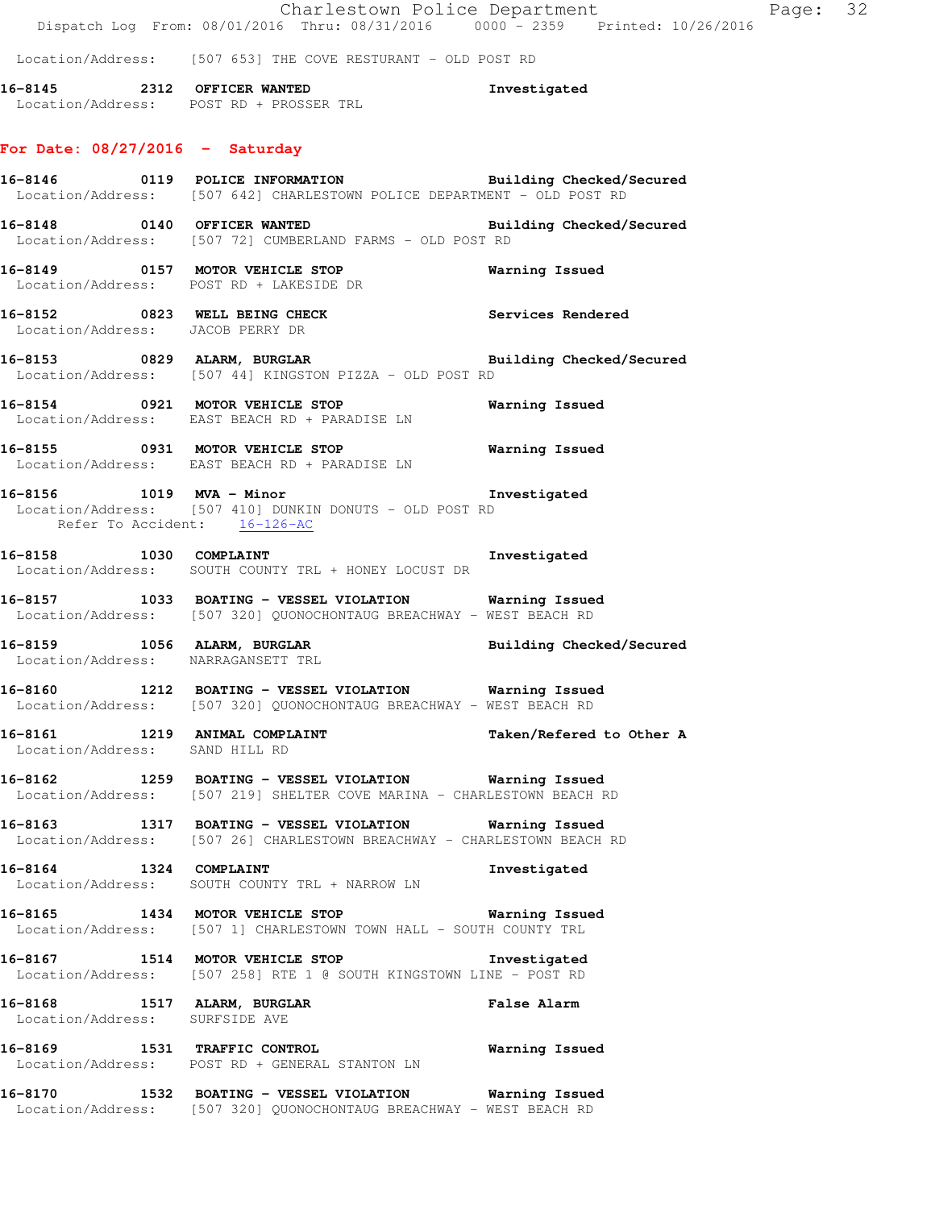Charlestown Police Department Fage: 32 Dispatch Log From: 08/01/2016 Thru: 08/31/2016 0000 - 2359 Printed: 10/26/2016 Location/Address: [507 653] THE COVE RESTURANT - OLD POST RD **16-8145 2312 OFFICER WANTED Investigated**  Location/Address: POST RD + PROSSER TRL **For Date: 08/27/2016 - Saturday 16-8146 0119 POLICE INFORMATION Building Checked/Secured**  Location/Address: [507 642] CHARLESTOWN POLICE DEPARTMENT - OLD POST RD **16-8148 0140 OFFICER WANTED Building Checked/Secured**  Location/Address: [507 72] CUMBERLAND FARMS - OLD POST RD **16-8149 0157 MOTOR VEHICLE STOP Warning Issued**  Location/Address: POST RD + LAKESIDE DR **16-8152 0823 WELL BEING CHECK Services Rendered**  Location/Address: JACOB PERRY DR **16-8153 0829 ALARM, BURGLAR Building Checked/Secured**  Location/Address: [507 44] KINGSTON PIZZA - OLD POST RD **16-8154 0921 MOTOR VEHICLE STOP Warning Issued**  Location/Address: EAST BEACH RD + PARADISE LN **16-8155 0931 MOTOR VEHICLE STOP Warning Issued**  Location/Address: EAST BEACH RD + PARADISE LN **16-8156 1019 MVA - Minor Investigated**  Location/Address: [507 410] DUNKIN DONUTS - OLD POST RD Refer To Accident: 16-126-AC **16-8158 1030 COMPLAINT Investigated**  Location/Address: SOUTH COUNTY TRL + HONEY LOCUST DR **16-8157 1033 BOATING - VESSEL VIOLATION Warning Issued**  Location/Address: [507 320] QUONOCHONTAUG BREACHWAY - WEST BEACH RD 16-8159 1056 ALARM, BURGLAR **Building Checked/Secured**  Location/Address: NARRAGANSETT TRL **16-8160 1212 BOATING - VESSEL VIOLATION Warning Issued**  Location/Address: [507 320] QUONOCHONTAUG BREACHWAY - WEST BEACH RD **16-8161 1219 ANIMAL COMPLAINT Taken/Refered to Other A**  Location/Address: SAND HILL RD **16-8162 1259 BOATING - VESSEL VIOLATION Warning Issued**  Location/Address: [507 219] SHELTER COVE MARINA - CHARLESTOWN BEACH RD **16-8163 1317 BOATING - VESSEL VIOLATION Warning Issued**  Location/Address: [507 26] CHARLESTOWN BREACHWAY - CHARLESTOWN BEACH RD **16-8164 1324 COMPLAINT Investigated**  Location/Address: SOUTH COUNTY TRL + NARROW LN **16-8165 1434 MOTOR VEHICLE STOP Warning Issued**  Location/Address: [507 1] CHARLESTOWN TOWN HALL - SOUTH COUNTY TRL **16-8167 1514 MOTOR VEHICLE STOP Investigated**  Location/Address: [507 258] RTE 1 @ SOUTH KINGSTOWN LINE - POST RD **16-8168 1517 ALARM, BURGLAR False Alarm**  Location/Address: SURFSIDE AVE **16-8169 1531 TRAFFIC CONTROL Warning Issued**  Location/Address: POST RD + GENERAL STANTON LN **16-8170 1532 BOATING - VESSEL VIOLATION Warning Issued**  Location/Address: [507 320] QUONOCHONTAUG BREACHWAY - WEST BEACH RD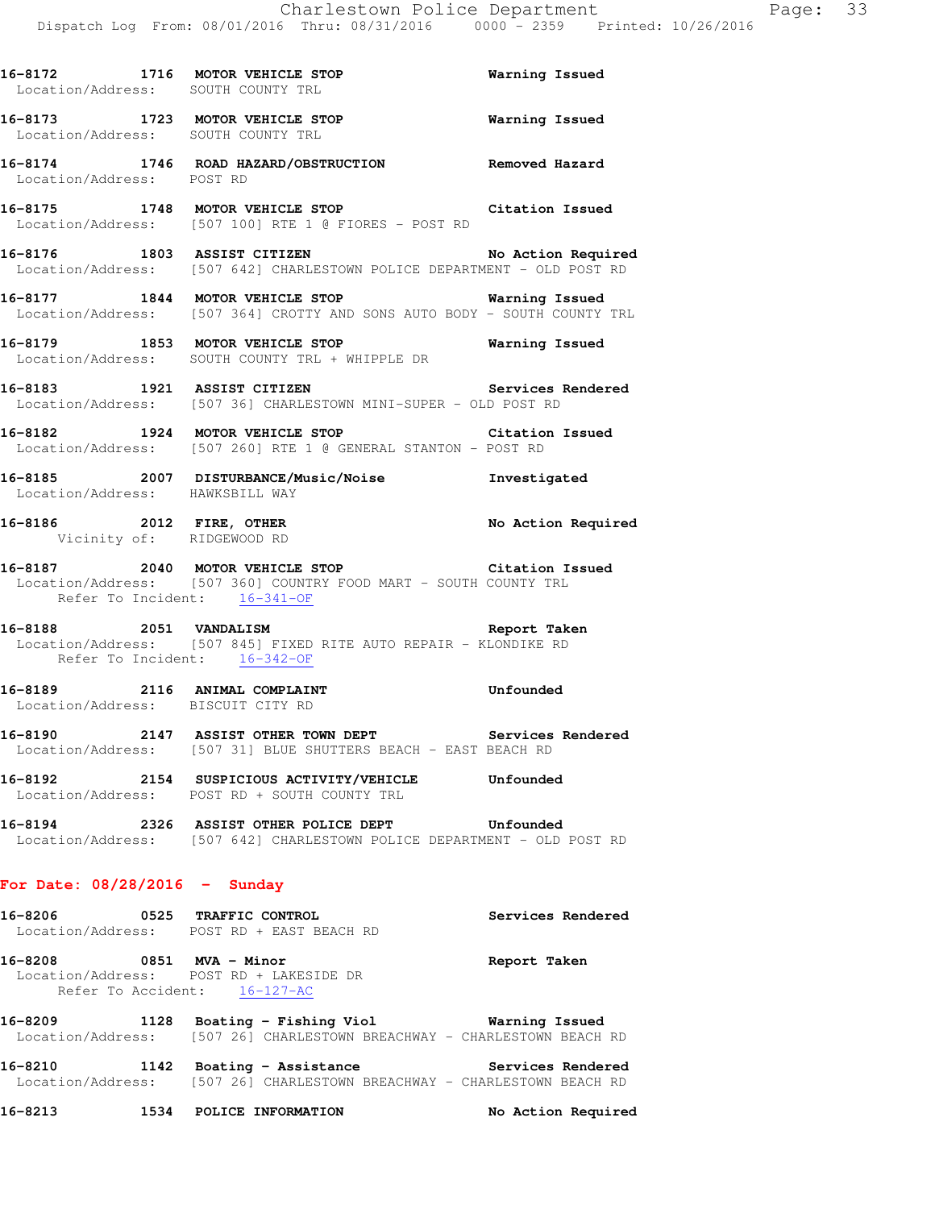|                                 | 16-8172 1716 MOTOR VEHICLE STOP<br>Location/Address: SOUTH COUNTY TRL                                                                               | Warning Issued     |
|---------------------------------|-----------------------------------------------------------------------------------------------------------------------------------------------------|--------------------|
|                                 | 16-8173 1723 MOTOR VEHICLE STOP 6 Warning Issued<br>Location/Address: SOUTH COUNTY TRL                                                              |                    |
| Location/Address: POST RD       | 16-8174 1746 ROAD HAZARD/OBSTRUCTION Removed Hazard                                                                                                 |                    |
|                                 | 16-8175 1748 MOTOR VEHICLE STOP Citation Issued<br>Location/Address: [507 100] RTE 1 @ FIORES - POST RD                                             |                    |
|                                 | 16-8176 1803 ASSIST CITIZEN<br>Location/Address: [507 642] CHARLESTOWN POLICE DEPARTMENT - OLD POST RD                                              | No Action Required |
|                                 | 16-8177 1844 MOTOR VEHICLE STOP Warning Issued<br>Location/Address: [507 364] CROTTY AND SONS AUTO BODY - SOUTH COUNTY TRL                          |                    |
|                                 | 16-8179 1853 MOTOR VEHICLE STOP Warning Issued<br>Location/Address: SOUTH COUNTY TRL + WHIPPLE DR                                                   |                    |
|                                 | 16-8183 1921 ASSIST CITIZEN Services Rendered<br>Location/Address: [507 36] CHARLESTOWN MINI-SUPER - OLD POST RD                                    |                    |
|                                 | 16-8182 1924 MOTOR VEHICLE STOP<br>Location/Address: [507 260] RTE 1 @ GENERAL STANTON - POST RD                                                    | Citation Issued    |
| Location/Address: HAWKSBILL WAY | 16-8185 2007 DISTURBANCE/Music/Noise Investigated                                                                                                   |                    |
|                                 | 16-8186 2012 FIRE, OTHER No Action Required Vicinity of: RIDGEWOOD RD                                                                               |                    |
|                                 | 16-8187 2040 MOTOR VEHICLE STOP Citation Issued<br>Location/Address: [507 360] COUNTRY FOOD MART - SOUTH COUNTY TRL<br>Refer To Incident: 16-341-OF |                    |
|                                 | 16-8188 2051 VANDALISM 2005 2007 2007 2007 2008<br>Location/Address: [507 845] FIXED RITE AUTO REPAIR - KLONDIKE RD<br>Refer To Incident: 16-342-OF |                    |
|                                 | 16-8189 2116 ANIMAL COMPLAINT Unfounded<br>Location/Address: BISCUIT CITY RD                                                                        |                    |
|                                 | 16-8190 2147 ASSIST OTHER TOWN DEPT Services Rendered<br>Location/Address: [507 31] BLUE SHUTTERS BEACH - EAST BEACH RD                             |                    |
| 16-8192                         | 2154 SUSPICIOUS ACTIVITY/VEHICLE Unfounded<br>Location/Address: POST RD + SOUTH COUNTY TRL                                                          |                    |
|                                 | 16-8194 2326 ASSIST OTHER POLICE DEPT Unfounded<br>Location/Address: [507 642] CHARLESTOWN POLICE DEPARTMENT - OLD POST RD                          |                    |
| For Date: $08/28/2016$ - Sunday |                                                                                                                                                     |                    |
|                                 | 16-8206 0525 TRAFFIC CONTROL<br>Location/Address: POST RD + EAST BEACH RD                                                                           | Services Rendered  |

**16-8208 0851 MVA - Minor Report Taken**  Location/Address: POST RD + LAKESIDE DR Refer To Accident: 16-127-AC

**16-8209 1128 Boating - Fishing Viol Warning Issued**  Location/Address: [507 26] CHARLESTOWN BREACHWAY - CHARLESTOWN BEACH RD

**16-8210 1142 Boating - Assistance Services Rendered**  Location/Address: [507 26] CHARLESTOWN BREACHWAY - CHARLESTOWN BEACH RD

**16-8213 1534 POLICE INFORMATION No Action Required**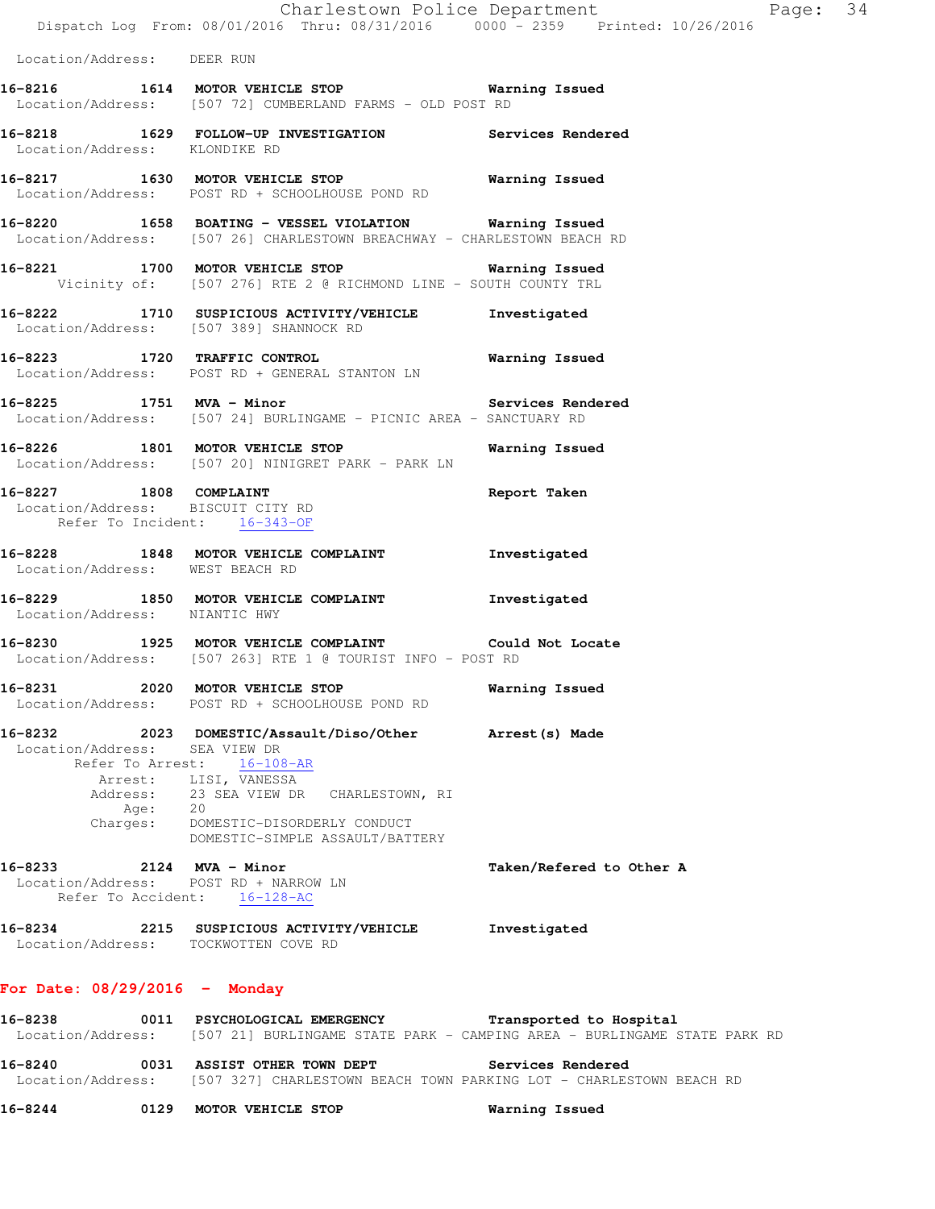|                                                       | Charlestown Police Department<br>Dispatch Log From: 08/01/2016 Thru: 08/31/2016 0000 - 2359 Printed: 10/26/2016                                                                                                              |                          |
|-------------------------------------------------------|------------------------------------------------------------------------------------------------------------------------------------------------------------------------------------------------------------------------------|--------------------------|
| Location/Address: DEER RUN                            |                                                                                                                                                                                                                              |                          |
|                                                       | 16-8216 1614 MOTOR VEHICLE STOP 16 Warning Issued<br>Location/Address: [507 72] CUMBERLAND FARMS - OLD POST RD                                                                                                               |                          |
| Location/Address: KLONDIKE RD                         | 16-8218 1629 FOLLOW-UP INVESTIGATION Services Rendered                                                                                                                                                                       |                          |
|                                                       | 16-8217 1630 MOTOR VEHICLE STOP 16 Warning Issued<br>Location/Address: POST RD + SCHOOLHOUSE POND RD                                                                                                                         |                          |
|                                                       | 16-8220 1658 BOATING - VESSEL VIOLATION Warning Issued<br>Location/Address: [507 26] CHARLESTOWN BREACHWAY - CHARLESTOWN BEACH RD                                                                                            |                          |
|                                                       | 16-8221 1700 MOTOR VEHICLE STOP 1997 Warning Issued<br>Vicinity of: [507 276] RTE 2 @ RICHMOND LINE - SOUTH COUNTY TRL                                                                                                       |                          |
|                                                       | 16-8222 1710 SUSPICIOUS ACTIVITY/VEHICLE 1nvestigated<br>Location/Address: [507 389] SHANNOCK RD                                                                                                                             |                          |
|                                                       | 16-8223 1720 TRAFFIC CONTROL 10 Warning Issued<br>Location/Address: POST RD + GENERAL STANTON LN                                                                                                                             |                          |
|                                                       | 16-8225 1751 MVA - Minor<br>Location/Address: [507 24] BURLINGAME - PICNIC AREA - SANCTUARY RD                                                                                                                               |                          |
|                                                       | 16-8226 1801 MOTOR VEHICLE STOP <b>Warning Issued</b><br>Location/Address: [507 20] NINIGRET PARK - PARK LN                                                                                                                  |                          |
| Refer To Incident: 16-343-OF                          | 16-8227 1808 COMPLAINT<br>Location/Address: BISCUIT CITY RD                                                                                                                                                                  | Report Taken             |
| Location/Address: WEST BEACH RD                       | 16-8228 1848 MOTOR VEHICLE COMPLAINT Threstigated                                                                                                                                                                            |                          |
| Location/Address: NIANTIC HWY                         | 16-8229 1850 MOTOR VEHICLE COMPLAINT Threstigated                                                                                                                                                                            |                          |
|                                                       | 16-8230 1925 MOTOR VEHICLE COMPLAINT Could Not Locate<br>Location/Address: [507 263] RTE 1 @ TOURIST INFO - POST RD                                                                                                          |                          |
| 16-8231                                               | 2020 MOTOR VEHICLE STOP<br>Location/Address: POST RD + SCHOOLHOUSE POND RD                                                                                                                                                   | Warning Issued           |
| 16-8232<br>Location/Address: SEA VIEW DR<br>Age: $20$ | 2023 DOMESTIC/Assault/Diso/Other Arrest(s) Made<br>Refer To Arrest: 16-108-AR<br>Arrest: LISI, VANESSA<br>Address: 23 SEA VIEW DR CHARLESTOWN, RI<br>Charges: DOMESTIC-DISORDERLY CONDUCT<br>DOMESTIC-SIMPLE ASSAULT/BATTERY |                          |
| 16-8233<br>Location/Address: POST RD + NARROW LN      | 2124 MVA - Minor<br>Refer To Accident: 16-128-AC                                                                                                                                                                             | Taken/Refered to Other A |
| Location/Address: TOCKWOTTEN COVE RD                  | 16-8234 2215 SUSPICIOUS ACTIVITY/VEHICLE                                                                                                                                                                                     | Investigated             |
| For Date: $08/29/2016$ - Monday                       |                                                                                                                                                                                                                              |                          |

Page: 34

**16-8238 0011 PSYCHOLOGICAL EMERGENCY Transported to Hospital**  Location/Address: [507 21] BURLINGAME STATE PARK - CAMPING AREA - BURLINGAME STATE PARK RD **16-8240 0031 ASSIST OTHER TOWN DEPT Services Rendered**  Location/Address: [507 327] CHARLESTOWN BEACH TOWN PARKING LOT - CHARLESTOWN BEACH RD

**16-8244 0129 MOTOR VEHICLE STOP Warning Issued**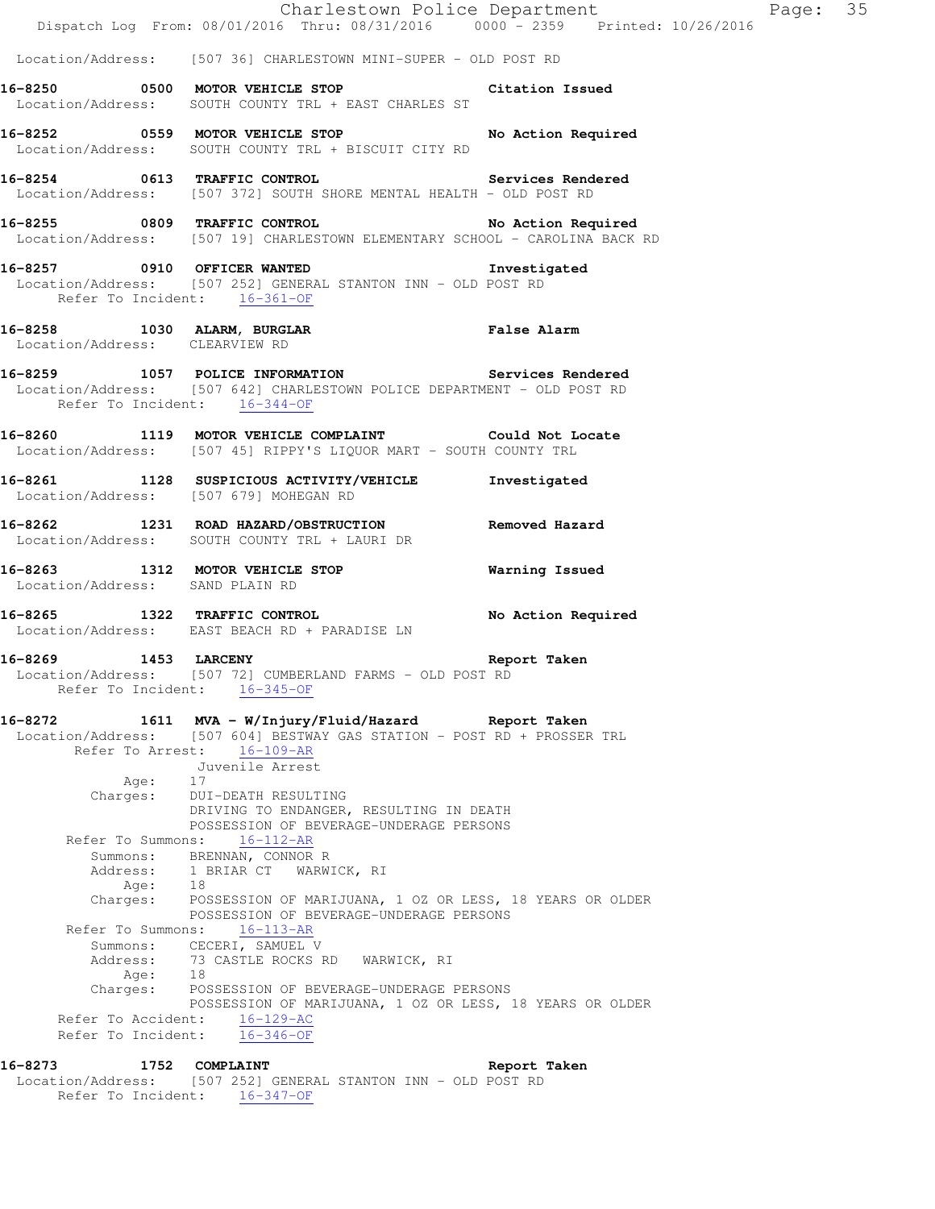| 16-8273                         | 1752 COMPLAINT                                                                                                                 |                                                                                                     | Report Taken       |          |  |
|---------------------------------|--------------------------------------------------------------------------------------------------------------------------------|-----------------------------------------------------------------------------------------------------|--------------------|----------|--|
| Refer To Incident:              | $16 - 346 - OF$                                                                                                                |                                                                                                     |                    |          |  |
| Refer To Accident:              | $16 - 129 - AC$                                                                                                                | POSSESSION OF MARIJUANA, 1 OZ OR LESS, 18 YEARS OR OLDER                                            |                    |          |  |
| Age:<br>Charges:                | 18                                                                                                                             | POSSESSION OF BEVERAGE-UNDERAGE PERSONS                                                             |                    |          |  |
|                                 | Summons: CECERI, SAMUEL V<br>Address: 73 CASTLE ROCKS RD WARWICK, RI                                                           |                                                                                                     |                    |          |  |
| Refer To Summons:               | $16 - 113 - AR$                                                                                                                |                                                                                                     |                    |          |  |
| Charges:                        |                                                                                                                                | POSSESSION OF MARIJUANA, 1 OZ OR LESS, 18 YEARS OR OLDER<br>POSSESSION OF BEVERAGE-UNDERAGE PERSONS |                    |          |  |
| Address:                        | 1 BRIAR CT WARWICK, RI<br>Age: 18                                                                                              |                                                                                                     |                    |          |  |
| Summons:                        | BRENNAN, CONNOR R                                                                                                              |                                                                                                     |                    |          |  |
| Refer To Summons:               | $16 - 112 - AR$                                                                                                                | POSSESSION OF BEVERAGE-UNDERAGE PERSONS                                                             |                    |          |  |
|                                 |                                                                                                                                | DRIVING TO ENDANGER, RESULTING IN DEATH                                                             |                    |          |  |
| Age:<br>Charges:                | 17<br>DUI-DEATH RESULTING                                                                                                      |                                                                                                     |                    |          |  |
| Refer To Arrest:                | $16 - 109 - AR$<br>Juvenile Arrest                                                                                             |                                                                                                     |                    |          |  |
| Location/Address:               |                                                                                                                                | [507 604] BESTWAY GAS STATION - POST RD + PROSSER TRL                                               |                    |          |  |
| 16-8272                         | 1611 MVA - W/Injury/Fluid/Hazard Report Taken                                                                                  |                                                                                                     |                    |          |  |
| Refer To Incident:              | Location/Address: [507 72] CUMBERLAND FARMS - OLD POST RD<br>$16 - 345 - OF$                                                   |                                                                                                     |                    |          |  |
|                                 | 16-8269 1453 LARCENY                                                                                                           |                                                                                                     | Report Taken       |          |  |
|                                 | Location/Address: EAST BEACH RD + PARADISE LN                                                                                  |                                                                                                     | No Action Required |          |  |
|                                 | 16-8265 1322 TRAFFIC CONTROL                                                                                                   |                                                                                                     |                    |          |  |
| Location/Address: SAND PLAIN RD | 16-8263 1312 MOTOR VEHICLE STOP 6 Warning Issued                                                                               |                                                                                                     |                    |          |  |
|                                 | Location/Address: SOUTH COUNTY TRL + LAURI DR                                                                                  |                                                                                                     |                    |          |  |
|                                 | <br> 16-8262        1231  ROAD HAZARD/OBSTRUCTION              Removed Hazard                                                  |                                                                                                     |                    |          |  |
|                                 | 16-8261 1128 SUSPICIOUS ACTIVITY/VEHICLE Investigated<br>Location/Address: [507 679] MOHEGAN RD                                |                                                                                                     |                    |          |  |
|                                 | Location/Address: [507 45] RIPPY'S LIQUOR MART - SOUTH COUNTY TRL                                                              |                                                                                                     |                    |          |  |
|                                 | 16-8260 1119 MOTOR VEHICLE COMPLAINT Could Not Locate                                                                          |                                                                                                     |                    |          |  |
|                                 | Refer To Incident: 16-344-OF                                                                                                   |                                                                                                     |                    |          |  |
|                                 | 16-8259 1057 POLICE INFORMATION Services Rendered<br>Location/Address: [507 642] CHARLESTOWN POLICE DEPARTMENT - OLD POST RD   |                                                                                                     |                    |          |  |
| Location/Address: CLEARVIEW RD  | 16-8258 1030 ALARM, BURGLAR False Alarm<br>Location/Address: CLEARVIEW RD                                                      |                                                                                                     |                    |          |  |
|                                 |                                                                                                                                |                                                                                                     |                    |          |  |
|                                 | Location/Address: [507 252] GENERAL STANTON INN - OLD POST RD<br>Refer To Incident: 16-361-OF                                  |                                                                                                     |                    |          |  |
|                                 | 16-8257 0910 OFFICER WANTED                                                                                                    |                                                                                                     | Investigated       |          |  |
|                                 | 16-8255 0809 TRAFFIC CONTROL No Action Required<br>Location/Address: [507 19] CHARLESTOWN ELEMENTARY SCHOOL - CAROLINA BACK RD |                                                                                                     |                    |          |  |
|                                 | Location/Address: [507 372] SOUTH SHORE MENTAL HEALTH - OLD POST RD                                                            |                                                                                                     |                    |          |  |
|                                 | 16-8254 0613 TRAFFIC CONTROL Services Rendered                                                                                 |                                                                                                     |                    |          |  |
|                                 | 16-8252 0559 MOTOR VEHICLE STOP No Action Required<br>Location/Address: SOUTH COUNTY TRL + BISCUIT CITY RD                     |                                                                                                     |                    |          |  |
|                                 | Location/Address: SOUTH COUNTY TRL + EAST CHARLES ST                                                                           |                                                                                                     |                    |          |  |
|                                 | 16-8250 0500 MOTOR VEHICLE STOP Citation Issued                                                                                |                                                                                                     |                    |          |  |
|                                 | Location/Address: [507 36] CHARLESTOWN MINI-SUPER - OLD POST RD                                                                |                                                                                                     |                    |          |  |
|                                 | Dispatch Log From: 08/01/2016 Thru: 08/31/2016 0000 - 2359 Printed: 10/26/2016                                                 | Charlestown Police Department                                                                       |                    | Page: 35 |  |

 Location/Address: [507 252] GENERAL STANTON INN - OLD POST RD Refer To Incident: 16-347-OF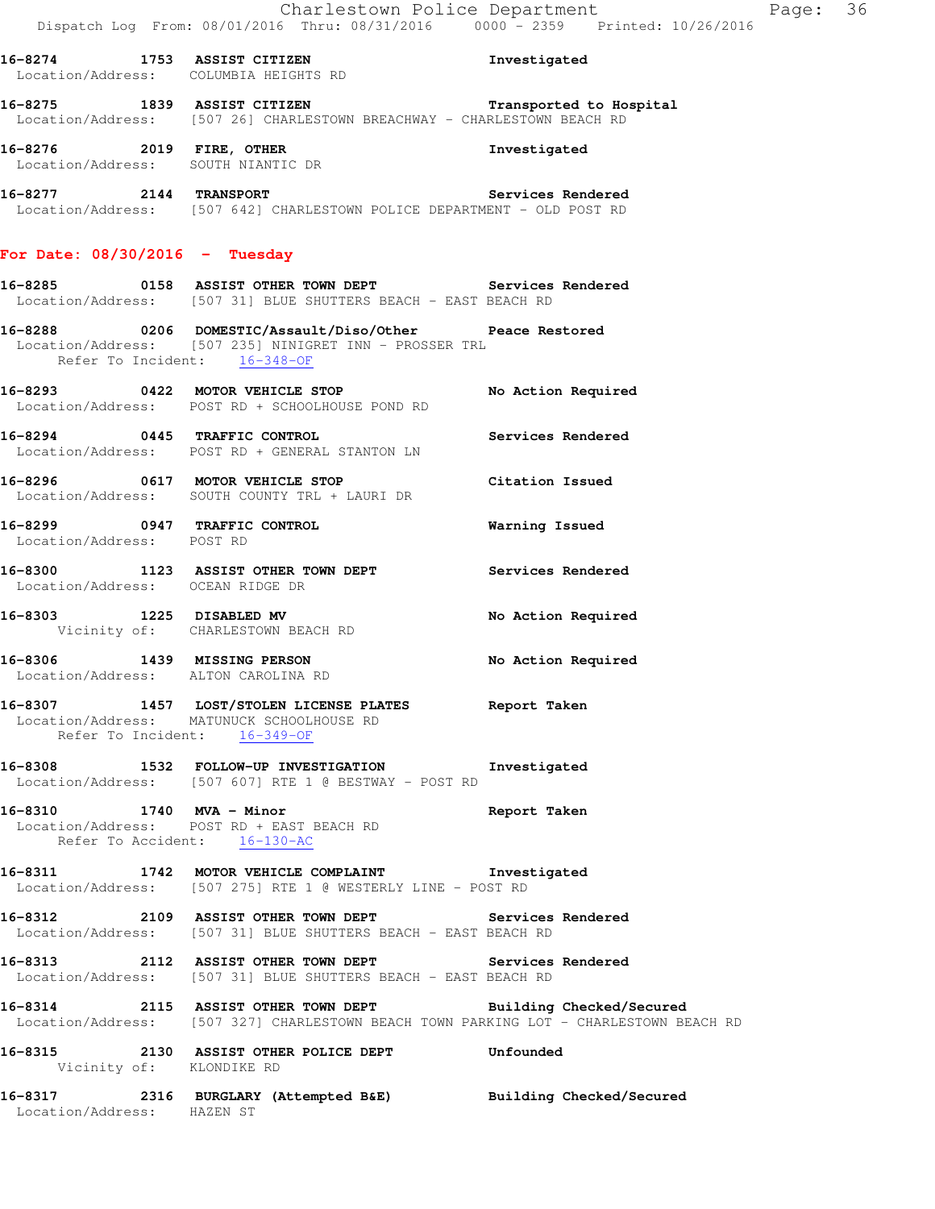|                                  | ADDIST CITIZEN Investigated<br>Location/Address: COLUMBIA HEIGHTS RD                                                                                  |                    |
|----------------------------------|-------------------------------------------------------------------------------------------------------------------------------------------------------|--------------------|
|                                  | 16-8275 1839 ASSIST CITIZEN Transported to Hospital<br>Location/Address: [507 26] CHARLESTOWN BREACHWAY - CHARLESTOWN BEACH RD                        |                    |
|                                  | 16-8276 2019 FIRE, OTHER<br>Location/Address: SOUTH NIANTIC DR                                                                                        | Investigated       |
|                                  | 16-8277 2144 TRANSPORT 2008 Services Rendered<br>Location/Address: [507 642] CHARLESTOWN POLICE DEPARTMENT - OLD POST RD                              |                    |
| For Date: $08/30/2016$ - Tuesday |                                                                                                                                                       |                    |
|                                  | 16-8285 		 0158 ASSIST OTHER TOWN DEPT 		 Services Rendered<br>Location/Address: [507 31] BLUE SHUTTERS BEACH - EAST BEACH RD                         |                    |
|                                  | 16-8288 0206 DOMESTIC/Assault/Diso/Other Peace Restored<br>Location/Address: [507 235] NINIGRET INN - PROSSER TRL<br>Refer To Incident: 16-348-OF     |                    |
|                                  | 16-8293 0422 MOTOR VEHICLE STOP<br>Location/Address: POST RD + SCHOOLHOUSE POND RD                                                                    | No Action Required |
|                                  | 16-8294 0445 TRAFFIC CONTROL<br>Location/Address: POST RD + GENERAL STANTON LN                                                                        | Services Rendered  |
|                                  | 16-8296 0617 MOTOR VEHICLE STOP<br>Location/Address: SOUTH COUNTY TRL + LAURI DR                                                                      | Citation Issued    |
| Location/Address: POST RD        | 16-8299 0947 TRAFFIC CONTROL                                                                                                                          | Warning Issued     |
| Location/Address: OCEAN RIDGE DR | 16-8300 1123 ASSIST OTHER TOWN DEPT Services Rendered                                                                                                 |                    |
|                                  | 16-8303 1225 DISABLED MV<br>Vicinity of: CHARLESTOWN BEACH RD                                                                                         | No Action Required |
|                                  | 16-8306 1439 MISSING PERSON<br>Location/Address: ALTON CAROLINA RD                                                                                    | No Action Required |
|                                  | 16-8307 1457 LOST/STOLEN LICENSE PLATES Report Taken<br>Location/Address: MATUNUCK SCHOOLHOUSE RD<br>Refer To Incident: 16-349-OF                     |                    |
|                                  | 16-8308 1532 FOLLOW-UP INVESTIGATION Investigated<br>Location/Address: [507 607] RTE 1 @ BESTWAY - POST RD                                            |                    |
| Refer To Accident: 16-130-AC     | 16-8310 1740 MVA - Minor 1999 1999 Report Taken<br>Location/Address: POST RD + EAST BEACH RD                                                          |                    |
|                                  | 16-8311 1742 MOTOR VEHICLE COMPLAINT 1nvestigated<br>Location/Address: [507 275] RTE 1 @ WESTERLY LINE - POST RD                                      |                    |
|                                  | 16-8312 2109 ASSIST OTHER TOWN DEPT Services Rendered<br>Location/Address: [507 31] BLUE SHUTTERS BEACH - EAST BEACH RD                               |                    |
|                                  | 16-8313 2112 ASSIST OTHER TOWN DEPT Services Rendered<br>Location/Address: [507 31] BLUE SHUTTERS BEACH - EAST BEACH RD                               |                    |
|                                  | 16-8314 2115 ASSIST OTHER TOWN DEPT Building Checked/Secured<br>Location/Address: [507 327] CHARLESTOWN BEACH TOWN PARKING LOT - CHARLESTOWN BEACH RD |                    |
| Vicinity of: KLONDIKE RD         | 16-8315 2130 ASSIST OTHER POLICE DEPT Unfounded                                                                                                       |                    |
|                                  | 16-8317 2316 BURGLARY (Attempted B&E) Building Checked/Secured Location/Address: HAZEN ST                                                             |                    |
|                                  |                                                                                                                                                       |                    |